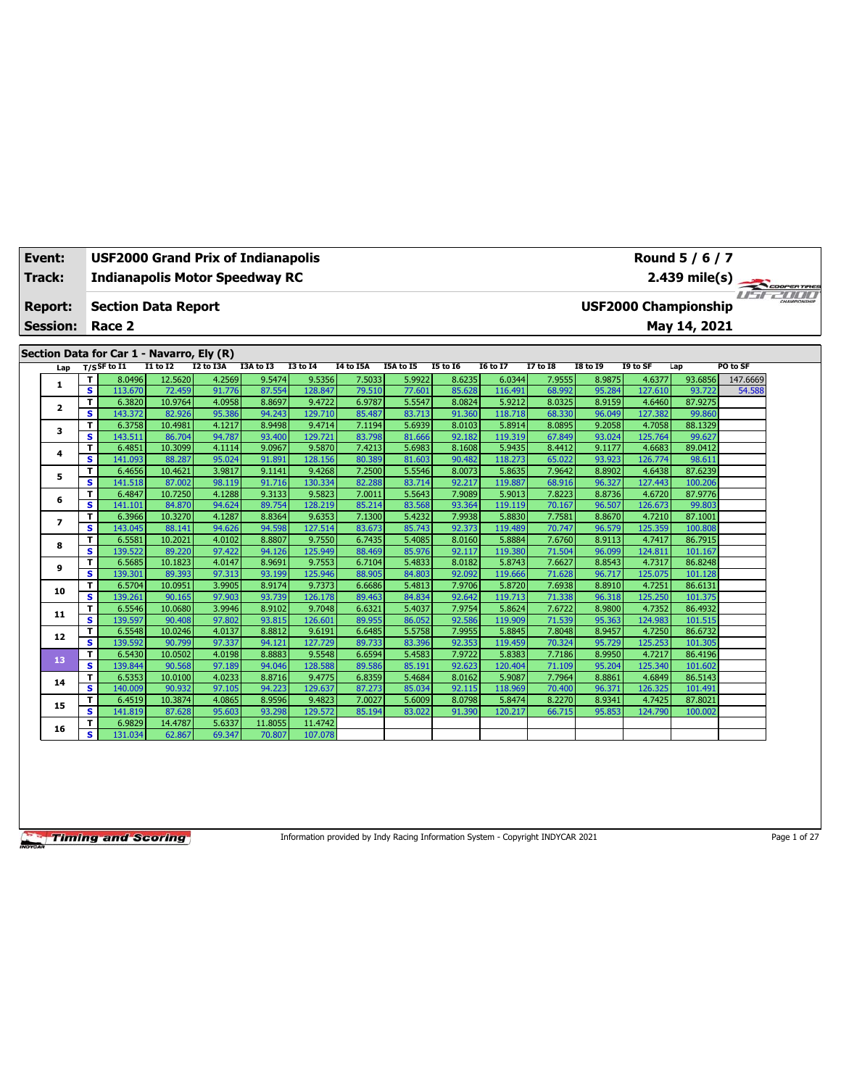| Event:                            |     |                |                   |                            | USF2000 Grand Prix of Indianapolis        |                  |                   |                  |                  |                  |                   |                  |                  |                   | Round 5 / 6 / 7                             |             |
|-----------------------------------|-----|----------------|-------------------|----------------------------|-------------------------------------------|------------------|-------------------|------------------|------------------|------------------|-------------------|------------------|------------------|-------------------|---------------------------------------------|-------------|
| Track:                            |     |                |                   |                            | <b>Indianapolis Motor Speedway RC</b>     |                  |                   |                  |                  |                  |                   |                  |                  |                   | $2.439$ mile(s)                             | COOPERTIRES |
| <b>Report:</b><br><b>Session:</b> |     |                | Race 2            | <b>Section Data Report</b> |                                           |                  |                   |                  |                  |                  |                   |                  |                  |                   | <b>USF2000 Championship</b><br>May 14, 2021 | 1 I T       |
|                                   |     |                |                   |                            | Section Data for Car 1 - Navarro, Ely (R) |                  |                   |                  |                  |                  |                   |                  |                  |                   |                                             |             |
|                                   | Lap | $T/S$ SF to I1 |                   | $I1$ to $I2$               | I2 to I3A                                 | I3A to I3        | <b>I3 to 14</b>   | <b>I4 to I5A</b> | I5A to I5        | <b>I5 to 16</b>  | <b>I6 to I7</b>   | <b>I7 to I8</b>  | <b>I8 to 19</b>  | I9 to SF          | Lap                                         | PO to SF    |
|                                   | 1   | т              | 8.0496            | 12.5620                    | 4.2569                                    | 9.5474           | 9.5356            | 7.5033           | 5.9922           | 8.6235           | 6.0344            | 7.9555           | 8.9875           | 4.6377            | 93.6856                                     | 147.6669    |
|                                   |     | s              | 113.670           | 72.459                     | 91.776                                    | 87.554           | 128.847           | 79.510           | 77.601           | 85.628           | 116.491           | 68.992           | 95.284           | 127.610           | 93.722                                      | 54.588      |
|                                   | 2   | т              | 6.3820            | 10.9764                    | 4.0958                                    | 8.8697           | 9.4722            | 6.9787           | 5.5547           | 8.0824           | 5.9212            | 8.0325           | 8.9159           | 4.6460            | 87.9275                                     |             |
|                                   |     | s              | 143.372           | 82.926                     | 95.386                                    | 94.243           | 129,710           | 85.487           | 83.713           | 91.360           | 118,718           | 68.330           | 96.049           | 127.382           | 99.860                                      |             |
|                                   | з   | T              | 6.3758            | 10.4981                    | 4.1217                                    | 8.9498           | 9.4714            | 7.1194           | 5.6939           | 8.0103           | 5.8914            | 8.0895           | 9.2058           | 4.7058            | 88.1329                                     |             |
|                                   |     | s              | 143.511           | 86.704                     | 94.787                                    | 93.400           | 129.721           | 83.798           | 81.666           | 92.182           | 119.319           | 67.849           | 93.024           | 125.764           | 99.627                                      |             |
|                                   | 4   | T              | 6.4851            | 10.3099                    | 4.1114                                    | 9.0967           | 9.5870            | 7.4213           | 5.6983           | 8.1608           | 5.9435            | 8.4412           | 9.1177           | 4.6683            | 89.0412                                     |             |
|                                   |     | s              | 141.093           | 88.287                     | 95.024                                    | 91.891           | 128.156           | 80.389           | 81.603           | 90.482           | 118.273           | 65.022           | 93.923           | 126.774           | 98.611                                      |             |
|                                   | 5   | т              | 6.4656            | 10.4621                    | 3.9817                                    | 9.1141           | 9.4268            | 7.2500           | 5.5546           | 8.0073           | 5.8635            | 7.9642           | 8.8902           | 4.6438            | 87.6239                                     |             |
|                                   |     | s              | 141.518           | 87.002                     | 98.119                                    | 91.716           | 130.334           | 82.288           | 83.714           | 92.217           | 119.887           | 68.916           | 96.327           | 127.443           | 100.206                                     |             |
|                                   | 6   | т              | 6.4847            | 10.7250                    | 4.1288                                    | 9.3133           | 9.5823            | 7.0011           | 5.5643           | 7.9089           | 5.9013            | 7.8223           | 8.8736           | 4.6720            | 87.9776                                     |             |
|                                   |     | s              | 141.101           | 84.870                     | 94.624                                    | 89.754           | 128.219           | 85.214           | 83.568           | 93.364           | 119.119           | 70.167           | 96.507           | 126.673           | 99.803                                      |             |
|                                   | 7   | T              | 6.3966            | 10.3270                    | 4.1287                                    | 8.8364           | 9.6353            | 7.1300           | 5.4232           | 7.9938           | 5.8830            | 7.7581           | 8.8670           | 4.7210            | 87.1001                                     |             |
|                                   |     | s              | 143.045           | 88.141                     | 94.626                                    | 94.598           | 127.514<br>9.7550 | 83.673           | 85.743           | 92.373           | 119.489           | 70.747           | 96.579           | 125.359           | 100.808<br>86.7915                          |             |
|                                   | 8   | T<br>s         | 6.5581<br>139.522 | 10.2021<br>89.220          | 4.0102<br>97.422                          | 8.8807<br>94.126 | 125.949           | 6.7435<br>88.469 | 5.4085<br>85.976 | 8.0160<br>92.117 | 5.8884<br>119.380 | 7.6760<br>71.504 | 8.9113<br>96.099 | 4.7417<br>124.811 | 101.167                                     |             |
|                                   |     |                | 6.5685            |                            | 4.0147                                    | 8.9691           | 9.7553            | 6.7104           | 5.4833           | 8.0182           | 5.8743            | 7.6627           | 8.8543           | 4.7317            | 86.8248                                     |             |
|                                   | 9   | T<br>s         | 139.301           | 10.1823<br>89.393          | 97.313                                    | 93.199           | 125.946           | 88.905           | 84.803           | 92.092           | 119.666           | 71.628           | 96.717           | 125.075           | 101.128                                     |             |
|                                   |     | T              | 6.5704            | 10.0951                    | 3.9905                                    | 8.9174           | 9.7373            | 6.6686           | 5.4813           | 7.9706           | 5.8720            | 7.6938           | 8.8910           | 4.7251            | 86.6131                                     |             |
|                                   | 10  | s              | 139.261           | 90.165                     | 97.903                                    | 93.739           | 126.178           | 89.463           | 84.834           | 92.642           | 119.713           | 71.338           | 96.318           | 125.250           | 101.375                                     |             |
|                                   |     | T              | 6.5546            | 10.0680                    | 3.9946                                    | 8.9102           | 9.7048            | 6.6321           | 5.4037           | 7.9754           | 5.8624            | 7.6722           | 8.9800           | 4.7352            | 86.4932                                     |             |
|                                   | 11  | s              | 139.597           | 90.408                     | 97.802                                    | 93.815           | 126.601           | 89.955           | 86.052           | 92.586           | 119.909           | 71.539           | 95.363           | 124.983           | 101.515                                     |             |
|                                   |     | т              | 6.5548            | 10.0246                    | 4.0137                                    | 8.8812           | 9.6191            | 6.6485           | 5.5758           | 7.9955           | 5.8845            | 7.8048           | 8.9457           | 4.7250            | 86.6732                                     |             |
|                                   | 12  | s              | 139.592           | 90.799                     | 97.337                                    | 94.121           | 127.729           | 89.733           | 83.396           | 92.353           | 119.459           | 70.324           | 95.729           | 125.253           | 101.305                                     |             |
|                                   |     | T              | 6.5430            | 10.0502                    | 4.0198                                    | 8.8883           | 9.5548            | 6.6594           | 5.4583           | 7.9722           | 5.8383            | 7.7186           | 8.9950           | 4.7217            | 86.4196                                     |             |
|                                   | 13  | s              | 139.844           | 90.568                     | 97.189                                    | 94.046           | 128.588           | 89.586           | 85.191           | 92.623           | 120.404           | 71.109           | 95.204           | 125.340           | 101.602                                     |             |
|                                   |     | т              | 6.5353            | 10.0100                    | 4.0233                                    | 8.8716           | 9.4775            | 6.8359           | 5.4684           | 8.0162           | 5.9087            | 7.7964           | 8.8861           | 4.6849            | 86.5143                                     |             |
|                                   | 14  | s              | 140.009           | 90.932                     | 97.105                                    | 94.223           | 129.637           | 87.273           | 85.034           | 92.115           | 118.969           | 70.400           | 96.371           | 126.325           | 101.491                                     |             |
|                                   |     | T              | 6.4519            | 10.3874                    | 4.0865                                    | 8.9596           | 9.4823            | 7.0027           | 5.6009           | 8.0798           | 5.8474            | 8.2270           | 8.9341           | 4.7425            | 87.8021                                     |             |
|                                   | 15  | s              | 141.819           | 87.628                     | 95.603                                    | 93.298           | 129.572           | 85.194           | 83.022           | 91.390           | 120.217           | 66.715           | 95.853           | 124.790           | 100.002                                     |             |
|                                   |     | т              | 6.9829            | 14.4787                    | 5.6337                                    | 11.8055          | 11.4742           |                  |                  |                  |                   |                  |                  |                   |                                             |             |
|                                   | 16  | s              | 131.034           | 62.867                     | 69.347                                    | 70.807           | 107.078           |                  |                  |                  |                   |                  |                  |                   |                                             |             |

Information provided by Indy Racing Information System - Copyright INDYCAR 2021 Page 1 of 27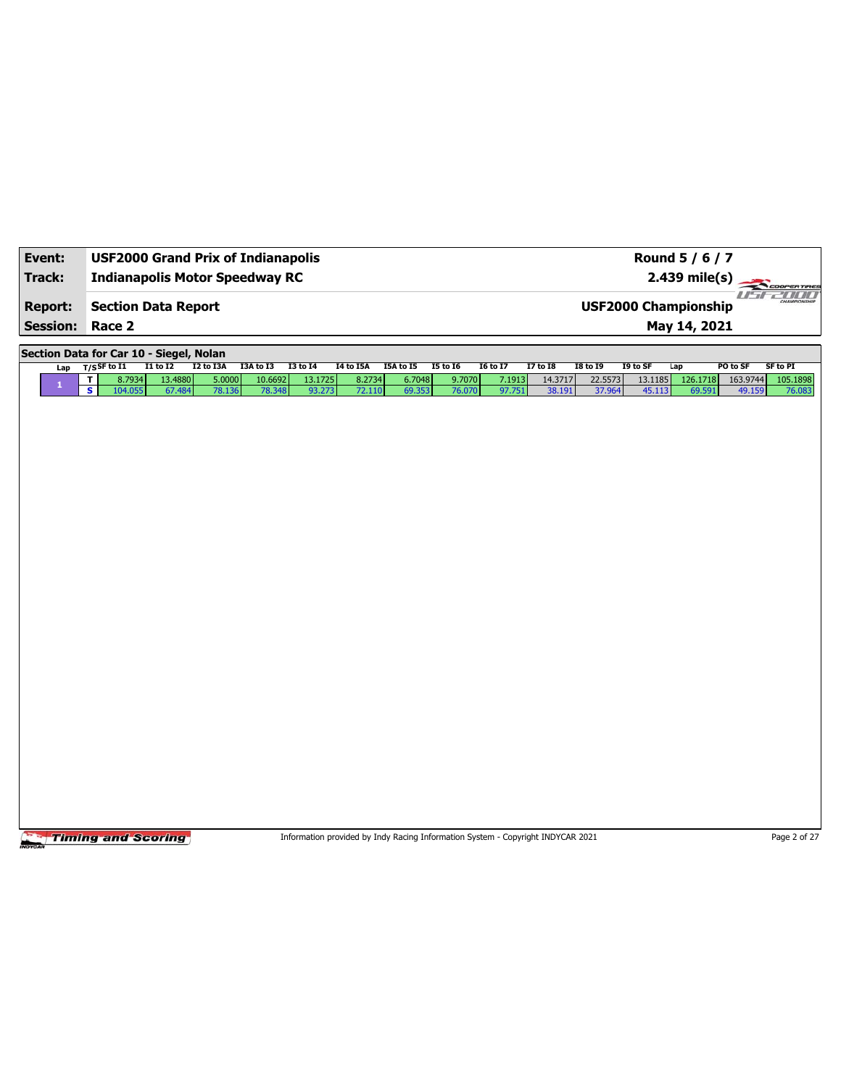| Event:<br>Track: | <b>USF2000 Grand Prix of Indianapolis</b><br><b>Indianapolis Motor Speedway RC</b> |              |           |           |                 |                  |           |                 |                 |                 |                 |                 | Round 5 / 6 / 7<br>2.439 mile(s) | COOPERTIRES                 |
|------------------|------------------------------------------------------------------------------------|--------------|-----------|-----------|-----------------|------------------|-----------|-----------------|-----------------|-----------------|-----------------|-----------------|----------------------------------|-----------------------------|
| <b>Report:</b>   | <b>Section Data Report</b>                                                         |              |           |           |                 |                  |           |                 |                 |                 |                 |                 | <b>USF2000 Championship</b>      | ust-2000                    |
| <b>Session:</b>  | Race 2                                                                             |              |           |           |                 |                  |           |                 |                 |                 |                 |                 | May 14, 2021                     |                             |
|                  | Section Data for Car 10 - Siegel, Nolan                                            |              |           |           |                 |                  |           |                 |                 |                 |                 |                 |                                  |                             |
| Lap              | $T/S$ SF to $I1$                                                                   | $I1$ to $I2$ | I2 to I3A | I3A to I3 | <b>I3 to 14</b> | <b>I4 to I5A</b> | I5A to I5 | <b>I5 to 16</b> | <b>I6 to I7</b> | <b>I7 to I8</b> | <b>I8 to 19</b> | I9 to SF<br>Lap |                                  | PO to SF<br><b>SF to PI</b> |
| $\mathbf{1}$     | 8.7934<br>T                                                                        | 13.4880      | 5.0000    | 10.6692   | 13.1725         | 8.2734           | 6.7048    | 9.7070          | 7.1913          | 14.3717         | 22.5573         | 13.1185         | 126.1718                         | 163.9744<br>105.1898        |
|                  | $\overline{\mathbf{s}}$<br>104.055                                                 | 67.484       | 78.136    | 78.348    | 93.273          | 72.110           | 69.353    | 76.070          | 97.751          | 38.191          | 37.964          | 45.113          | 69.591                           | 49.159<br>76.083            |
|                  |                                                                                    |              |           |           |                 |                  |           |                 |                 |                 |                 |                 |                                  |                             |
|                  |                                                                                    |              |           |           |                 |                  |           |                 |                 |                 |                 |                 |                                  |                             |
|                  |                                                                                    |              |           |           |                 |                  |           |                 |                 |                 |                 |                 |                                  |                             |
|                  |                                                                                    |              |           |           |                 |                  |           |                 |                 |                 |                 |                 |                                  |                             |
|                  |                                                                                    |              |           |           |                 |                  |           |                 |                 |                 |                 |                 |                                  |                             |
|                  |                                                                                    |              |           |           |                 |                  |           |                 |                 |                 |                 |                 |                                  |                             |
|                  |                                                                                    |              |           |           |                 |                  |           |                 |                 |                 |                 |                 |                                  |                             |
|                  |                                                                                    |              |           |           |                 |                  |           |                 |                 |                 |                 |                 |                                  |                             |
|                  |                                                                                    |              |           |           |                 |                  |           |                 |                 |                 |                 |                 |                                  |                             |
|                  |                                                                                    |              |           |           |                 |                  |           |                 |                 |                 |                 |                 |                                  |                             |
|                  |                                                                                    |              |           |           |                 |                  |           |                 |                 |                 |                 |                 |                                  |                             |
|                  |                                                                                    |              |           |           |                 |                  |           |                 |                 |                 |                 |                 |                                  |                             |
|                  |                                                                                    |              |           |           |                 |                  |           |                 |                 |                 |                 |                 |                                  |                             |
|                  |                                                                                    |              |           |           |                 |                  |           |                 |                 |                 |                 |                 |                                  |                             |
|                  |                                                                                    |              |           |           |                 |                  |           |                 |                 |                 |                 |                 |                                  |                             |
|                  |                                                                                    |              |           |           |                 |                  |           |                 |                 |                 |                 |                 |                                  |                             |
|                  |                                                                                    |              |           |           |                 |                  |           |                 |                 |                 |                 |                 |                                  |                             |
|                  |                                                                                    |              |           |           |                 |                  |           |                 |                 |                 |                 |                 |                                  |                             |
|                  |                                                                                    |              |           |           |                 |                  |           |                 |                 |                 |                 |                 |                                  |                             |
|                  |                                                                                    |              |           |           |                 |                  |           |                 |                 |                 |                 |                 |                                  |                             |
|                  |                                                                                    |              |           |           |                 |                  |           |                 |                 |                 |                 |                 |                                  |                             |
|                  |                                                                                    |              |           |           |                 |                  |           |                 |                 |                 |                 |                 |                                  |                             |
|                  |                                                                                    |              |           |           |                 |                  |           |                 |                 |                 |                 |                 |                                  |                             |
|                  |                                                                                    |              |           |           |                 |                  |           |                 |                 |                 |                 |                 |                                  |                             |
|                  |                                                                                    |              |           |           |                 |                  |           |                 |                 |                 |                 |                 |                                  |                             |
|                  |                                                                                    |              |           |           |                 |                  |           |                 |                 |                 |                 |                 |                                  |                             |
|                  |                                                                                    |              |           |           |                 |                  |           |                 |                 |                 |                 |                 |                                  |                             |

Information provided by Indy Racing Information System - Copyright INDYCAR 2021 Page 2 of 27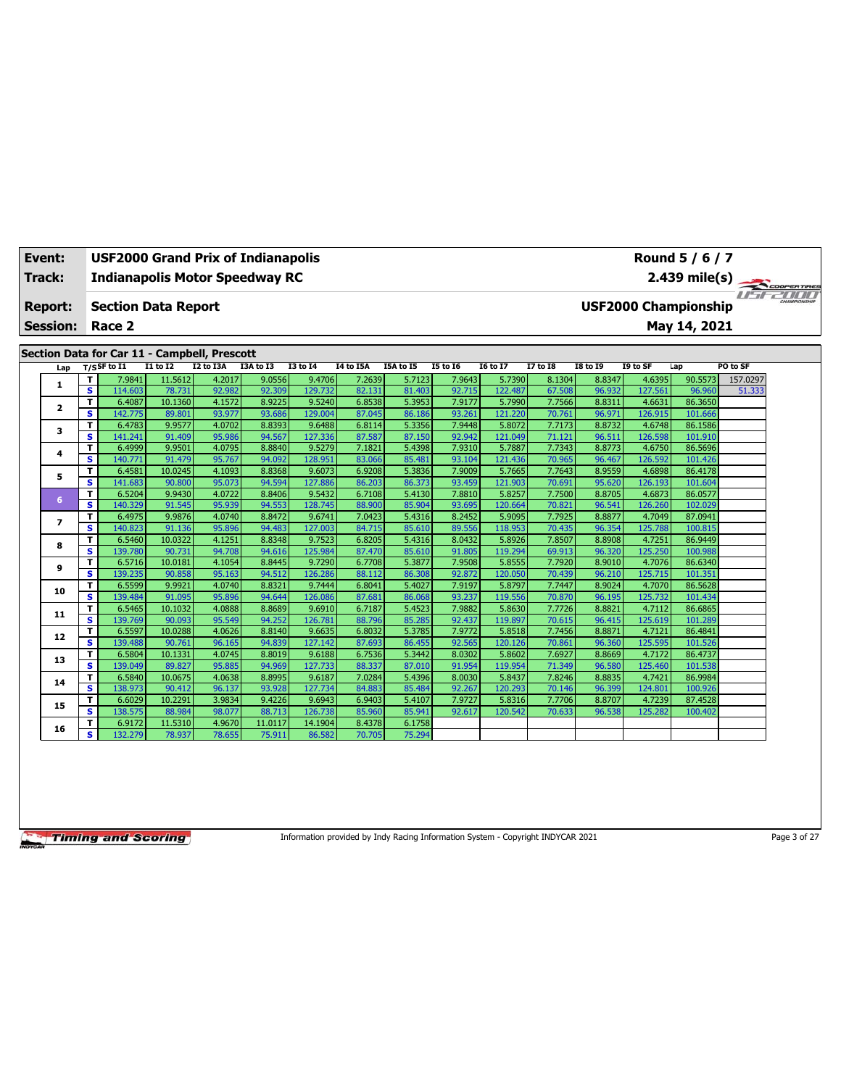| Event:          | <b>USF2000 Grand Prix of Indianapolis</b><br>Round 5 / 6 / 7<br>2.439 mile(s)<br><b>Indianapolis Motor Speedway RC</b> |                                              |                  |                  |                  |                   |                  |                  |                  |                   |                  |                  |                   |                             |          |  |
|-----------------|------------------------------------------------------------------------------------------------------------------------|----------------------------------------------|------------------|------------------|------------------|-------------------|------------------|------------------|------------------|-------------------|------------------|------------------|-------------------|-----------------------------|----------|--|
| <b>Track:</b>   |                                                                                                                        |                                              |                  |                  |                  |                   |                  |                  |                  |                   |                  |                  |                   |                             |          |  |
|                 |                                                                                                                        |                                              |                  |                  |                  |                   |                  |                  |                  |                   |                  |                  |                   |                             |          |  |
| Report:         |                                                                                                                        | <b>Section Data Report</b>                   |                  |                  |                  |                   |                  |                  |                  |                   |                  |                  |                   | <b>USF2000 Championship</b> |          |  |
| <b>Session:</b> |                                                                                                                        | Race 2                                       |                  |                  |                  |                   |                  |                  |                  |                   |                  |                  |                   | May 14, 2021                |          |  |
|                 |                                                                                                                        |                                              |                  |                  |                  |                   |                  |                  |                  |                   |                  |                  |                   |                             |          |  |
|                 |                                                                                                                        | Section Data for Car 11 - Campbell, Prescott |                  |                  |                  |                   |                  |                  |                  |                   |                  |                  |                   |                             |          |  |
| Lap             |                                                                                                                        | $T/S$ SF to I1                               | <b>I1 to I2</b>  | I2 to I3A        | I3A to I3        | <b>I3 to 14</b>   | I4 to I5A        | I5A to I5        | <b>I5 to 16</b>  | <b>16 to 17</b>   | 17 to 18         | <b>18 to 19</b>  | I9 to SF          | Lap                         | PO to SF |  |
| 1               | т                                                                                                                      | 7.9841                                       | 11.5612          | 4.2017           | 9.0556           | 9.4706            | 7.2639           | 5.7123           | 7.9643           | 5.7390            | 8.1304           | 8.8347           | 4.6395            | 90.5573                     | 157.0297 |  |
|                 | $\overline{\mathbf{s}}$                                                                                                | 114.603                                      | 78.731           | 92.982           | 92.309           | 129.732           | 82.131           | 81.403           | 92.715           | 122.487           | 67.508           | 96.932           | 127.561           | 96.960                      | 51.333   |  |
| $\mathbf{2}$    | T.                                                                                                                     | 6.4087                                       | 10.1360          | 4.1572           | 8.9225           | 9.5240            | 6.8538           | 5.3953           | 7.9177           | 5.7990            | 7.7566           | 8.8311           | 4.6631            | 86.3650                     |          |  |
|                 | s                                                                                                                      | 142.775                                      | 89.801<br>9.9577 | 93.977           | 93.686<br>8.8393 | 129.004           | 87.045           | 86.186<br>5.3356 | 93.261<br>7.9448 | 121.220           | 70.761<br>7.7173 | 96.971<br>8.8732 | 126.915<br>4.6748 | 101.666                     |          |  |
| 3               | т<br>s                                                                                                                 | 6.4783<br>141.241                            | 91.409           | 4.0702<br>95.986 | 94.567           | 9.6488<br>127.336 | 6.8114<br>87.587 | 87.150           | 92.942           | 5.8072<br>121.049 | 71.121           | 96.511           | 126.598           | 86.1586<br>101.910          |          |  |
|                 | т                                                                                                                      | 6.4999                                       | 9.9501           | 4.0795           | 8.8840           | 9.5279            | 7.1821           | 5.4398           | 7.9310           | 5.7887            | 7.7343           | 8.8773           | 4.6750            | 86.5696                     |          |  |
| 4               | s.                                                                                                                     | 140.771                                      | 91.479           | 95.767           | 94.092           | 128.951           | 83.066           | 85.481           | 93.104           | 121.436           | 70.965           | 96.467           | 126.592           | 101.426                     |          |  |
|                 | т                                                                                                                      | 6.4581                                       | 10.0245          | 4.1093           | 8.8368           | 9.6073            | 6.9208           | 5.3836           | 7.9009           | 5.7665            | 7.7643           | 8.9559           | 4.6898            | 86.4178                     |          |  |
| 5               | $\overline{\mathbf{s}}$                                                                                                | 141.683                                      | 90.800           | 95.073           | 94.594           | 127.886           | 86,203           | 86.373           | 93.459           | 121.903           | 70.691           | 95.620           | 126.193           | 101.604                     |          |  |
|                 | T                                                                                                                      | 6.5204                                       | 9.9430           | 4.0722           | 8.8406           | 9.5432            | 6.7108           | 5.4130           | 7.8810           | 5.8257            | 7.7500           | 8.8705           | 4.6873            | 86.0577                     |          |  |
| 6               | s.                                                                                                                     | 140.329                                      | 91.545           | 95.939           | 94.553           | 128.745           | 88.900           | 85.904           | 93.695           | 120.664           | 70.821           | 96.541           | 126.260           | 102.029                     |          |  |
| $\overline{ }$  | T                                                                                                                      | 6.4975                                       | 9.9876           | 4.0740           | 8.8472           | 9.6741            | 7.0423           | 5.4316           | 8.2452           | 5.9095            | 7.7925           | 8.8877           | 4.7049            | 87.0941                     |          |  |
|                 | s.                                                                                                                     | 140.823                                      | 91.136           | 95.896           | 94.483           | 127.003           | 84.715           | 85.610           | 89.556           | 118.953           | 70.435           | 96.354           | 125.788           | 100.815                     |          |  |
| 8               | т                                                                                                                      | 6.5460                                       | 10.0322          | 4.1251           | 8.8348           | 9.7523            | 6.8205           | 5.4316           | 8.0432           | 5.8926            | 7.8507           | 8.8908           | 4.7251            | 86.9449                     |          |  |
|                 | s                                                                                                                      | 139.780                                      | 90.731           | 94.708           | 94.616           | 125.984           | 87.470           | 85.610           | 91.805           | 119.294           | 69.913           | 96.320           | 125.250           | 100.988                     |          |  |
| 9               | T                                                                                                                      | 6.5716                                       | 10.0181          | 4.1054           | 8.8445           | 9.7290            | 6.7708           | 5.3877           | 7.9508           | 5.8555            | 7.7920           | 8.9010           | 4.7076            | 86.6340                     |          |  |
|                 | s                                                                                                                      | 139.235                                      | 90.858<br>9.9921 | 95.163<br>4.0740 | 94.512           | 126.286           | 88.112           | 86,308           | 92.872<br>7.9197 | 120.050           | 70.439<br>7.7447 | 96.210<br>8.9024 | 125.715<br>4.7070 | 101.351<br>86.5628          |          |  |
| 10              | T<br>s                                                                                                                 | 6.5599<br>139.484                            | 91.095           | 95.896           | 8.8321<br>94.644 | 9.7444<br>126.086 | 6.8041<br>87.681 | 5.4027<br>86.068 | 93.237           | 5.8797<br>119.556 | 70.870           | 96.195           | 125.732           | 101.434                     |          |  |
|                 | T                                                                                                                      | 6.5465                                       | 10.1032          | 4.0888           | 8.8689           | 9.6910            | 6.7187           | 5.4523           | 7.9882           | 5.8630            | 7.7726           | 8.8821           | 4.7112            | 86.6865                     |          |  |
| 11              | s.                                                                                                                     | 139.769                                      | 90.093           | 95.549           | 94.252           | 126.781           | 88.796           | 85.285           | 92.437           | 119.897           | 70.615           | 96.415           | 125.619           | 101.289                     |          |  |
|                 | т                                                                                                                      | 6.5597                                       | 10.0288          | 4.0626           | 8.8140           | 9.6635            | 6.8032           | 5.3785           | 7.9772           | 5.8518            | 7.7456           | 8.8871           | 4.7121            | 86.4841                     |          |  |
| 12              | s.                                                                                                                     | 139.488                                      | 90.761           | 96.165           | 94.839           | 127.142           | 87.693           | 86.455           | 92.565           | 120.126           | 70.861           | 96.360           | 125.595           | 101.526                     |          |  |
|                 | T                                                                                                                      | 6.5804                                       | 10.1331          | 4.0745           | 8.8019           | 9.6188            | 6.7536           | 5.3442           | 8.0302           | 5.8602            | 7.6927           | 8.8669           | 4.7172            | 86.4737                     |          |  |
| 13              | $\overline{\mathbf{s}}$                                                                                                | 139.049                                      | 89.827           | 95.885           | 94.969           | 127.733           | 88.337           | 87.010           | 91.954           | 119.954           | 71.349           | 96.580           | 125.460           | 101.538                     |          |  |
| 14              | т                                                                                                                      | 6.5840                                       | 10.0675          | 4.0638           | 8.8995           | 9.6187            | 7.0284           | 5.4396           | 8.0030           | 5.8437            | 7.8246           | 8.8835           | 4.7421            | 86.9984                     |          |  |
|                 | s                                                                                                                      | 138.973                                      | 90.412           | 96.137           | 93.928           | 127.734           | 84.883           | 85.484           | 92.267           | 120.293           | 70.146           | 96.399           | 124.801           | 100.926                     |          |  |
| 15              | T                                                                                                                      | 6.6029                                       | 10.2291          | 3.9834           | 9.4226           | 9.6943            | 6.9403           | 5.4107           | 7.9727           | 5.8316            | 7.7706           | 8.8707           | 4.7239            | 87.4528                     |          |  |
|                 | s                                                                                                                      | 138.575                                      | 88.984           | 98.077           | 88.713           | 126.738           | 85.960           | 85.941           | 92.617           | 120.542           | 70.633           | 96.538           | 125.282           | 100.402                     |          |  |
| 16              | т                                                                                                                      | 6.9172                                       | 11.5310          | 4.9670           | 11.0117          | 14.1904           | 8.4378           | 6.1758           |                  |                   |                  |                  |                   |                             |          |  |
|                 | s.                                                                                                                     | 132.279                                      | 78.937           | 78.655           | 75.911           | 86.582            | 70.705           | 75.294           |                  |                   |                  |                  |                   |                             |          |  |

Information provided by Indy Racing Information System - Copyright INDYCAR 2021 Page 3 of 27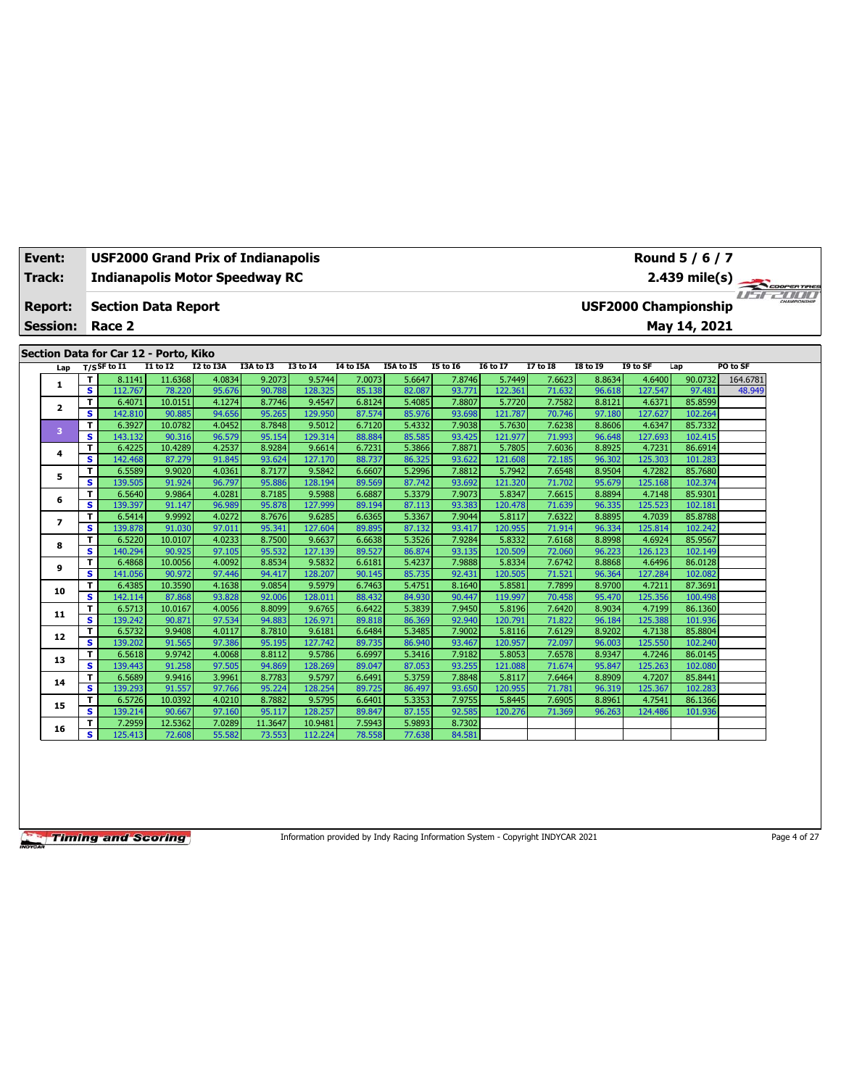| Event:         |                 |                  |                   |                                       | <b>USF2000 Grand Prix of Indianapolis</b> |                  |                   |                  |                  |                  |                   |                  |                  |                             | Round 5 / 6 / 7    |          |  |
|----------------|-----------------|------------------|-------------------|---------------------------------------|-------------------------------------------|------------------|-------------------|------------------|------------------|------------------|-------------------|------------------|------------------|-----------------------------|--------------------|----------|--|
| <b>Track:</b>  |                 |                  |                   |                                       | <b>Indianapolis Motor Speedway RC</b>     |                  |                   |                  |                  | $2.439$ mile(s)  | COOPERTIRES       |                  |                  |                             |                    |          |  |
| <b>Report:</b> | <b>Session:</b> |                  | Race 2            | <b>Section Data Report</b>            |                                           |                  |                   |                  |                  |                  |                   |                  |                  | <b>USF2000 Championship</b> | May 14, 2021       |          |  |
|                |                 |                  |                   | Section Data for Car 12 - Porto, Kiko |                                           |                  |                   |                  |                  |                  |                   |                  |                  |                             |                    |          |  |
|                | Lap             | $T/S$ SF to $I1$ |                   | $I1$ to $I2$                          | I2 to I3A                                 | I3A to I3        | <b>I3 to 14</b>   | <b>I4 to I5A</b> | I5A to I5        | <b>I5 to 16</b>  | <b>I6 to I7</b>   | <b>I7 to I8</b>  | <b>I8 to 19</b>  | I9 to SF                    | Lap                | PO to SF |  |
|                | 1               | T.               | 8.1141            | 11.6368                               | 4.0834                                    | 9.2073           | 9.5744            | 7.0073           | 5.6647           | 7.8746           | 5.7449            | 7.6623           | 8.8634           | 4.6400                      | 90.0732            | 164.6781 |  |
|                |                 | s.               | 112.767           | 78.220                                | 95.676                                    | 90.788           | 128.325           | 85.138           | 82.087           | 93.771           | 122.361           | 71.632           | 96.618           | 127.547                     | 97.481             | 48.949   |  |
|                | 2               | T.               | 6.4071            | 10.0151                               | 4.1274                                    | 8.7746           | 9.4547            | 6.8124           | 5.4085           | 7.8807           | 5.7720            | 7.7582           | 8.8121           | 4.6371                      | 85.8599            |          |  |
|                |                 | s                | 142.810           | 90.885                                | 94.656                                    | 95.265           | 129.950           | 87.574           | 85.976           | 93.698           | 121.787           | 70.746           | 97.180           | 127.627                     | 102.264            |          |  |
|                | 3               | T.               | 6.3927            | 10.0782                               | 4.0452                                    | 8.7848           | 9.5012            | 6.7120           | 5.4332           | 7.9038           | 5.7630            | 7.6238           | 8.8606           | 4.6347                      | 85.7332            |          |  |
|                |                 | s.               | 143.132           | 90.316                                | 96.579                                    | 95.154           | 129.314           | 88.884           | 85.585           | 93.425           | 121.977           | 71.993           | 96.648           | 127.693                     | 102.415            |          |  |
|                | 4               | T.<br>s          | 6.4225<br>142.468 | 10.4289<br>87.279                     | 4.2537<br>91.845                          | 8.9284<br>93.624 | 9.6614<br>127.170 | 6.7231<br>88.737 | 5.3866<br>86.325 | 7.8871<br>93.622 | 5.7805<br>121.608 | 7.6036<br>72.185 | 8.8925<br>96.302 | 4.7231<br>125.303           | 86.6914<br>101.283 |          |  |
|                |                 | T.               | 6.5589            | 9.9020                                | 4.0361                                    | 8.7177           | 9.5842            | 6.6607           | 5.2996           | 7.8812           | 5.7942            | 7.6548           | 8.9504           | 4.7282                      | 85.7680            |          |  |
|                | 5               | s                | 139.505           | 91.924                                | 96.797                                    | 95.886           | 128.194           | 89.569           | 87.742           | 93.692           | 121.320           | 71.702           | 95.679           | 125.168                     | 102.374            |          |  |
|                |                 | T.               | 6.5640            | 9.9864                                | 4.0281                                    | 8.7185           | 9.5988            | 6.6887           | 5.3379           | 7.9073           | 5.8347            | 7.6615           | 8.8894           | 4.7148                      | 85.9301            |          |  |
|                | 6               | s.               | 139.397           | 91.147                                | 96.989                                    | 95.878           | 127.999           | 89.194           | 87.113           | 93.383           | 120.478           | 71.639           | 96.335           | 125.523                     | 102.181            |          |  |
|                |                 | T.               | 6.5414            | 9.9992                                | 4.0272                                    | 8.7676           | 9.6285            | 6.6365           | 5.3367           | 7.9044           | 5.8117            | 7.6322           | 8.8895           | 4.7039                      | 85.8788            |          |  |
|                | $\overline{ }$  | s.               | 139.878           | 91.030                                | 97.011                                    | 95.341           | 127.604           | 89.895           | 87.132           | 93.417           | 120.955           | 71.914           | 96.334           | 125.814                     | 102.242            |          |  |
|                |                 | T                | 6.5220            | 10.0107                               | 4.0233                                    | 8.7500           | 9.6637            | 6.6638           | 5.3526           | 7.9284           | 5.8332            | 7.6168           | 8.8998           | 4.6924                      | 85.9567            |          |  |
|                | 8               | s                | 140.294           | 90.925                                | 97.105                                    | 95.532           | 127.139           | 89.527           | 86.874           | 93.135           | 120.509           | 72.060           | 96.223           | 126.123                     | 102.149            |          |  |
|                |                 | T.               | 6.4868            | 10.0056                               | 4.0092                                    | 8.8534           | 9.5832            | 6.6181           | 5.4237           | 7.9888           | 5.8334            | 7.6742           | 8.8868           | 4.6496                      | 86.0128            |          |  |
|                | 9               | s.               | 141.056           | 90.972                                | 97.446                                    | 94.417           | 128.207           | 90.145           | 85.735           | 92.431           | 120.505           | 71.521           | 96.364           | 127.284                     | 102.082            |          |  |
|                |                 | T.               | 6.4385            | 10.3590                               | 4.1638                                    | 9.0854           | 9.5979            | 6.7463           | 5.4751           | 8.1640           | 5.8581            | 7.7899           | 8.9700           | 4.7211                      | 87.3691            |          |  |
|                | 10              | s                | 142.114           | 87.868                                | 93.828                                    | 92.006           | 128.011           | 88.432           | 84.930           | 90.447           | 119.997           | 70.458           | 95.470           | 125.356                     | 100.498            |          |  |
|                | 11              | T                | 6.5713            | 10.0167                               | 4.0056                                    | 8.8099           | 9.6765            | 6.6422           | 5.3839           | 7.9450           | 5.8196            | 7.6420           | 8.9034           | 4.7199                      | 86.1360            |          |  |
|                |                 | s.               | 139.242           | 90.871                                | 97.534                                    | 94.883           | 126.971           | 89.818           | 86.369           | 92.940           | 120.791           | 71.822           | 96.184           | 125.388                     | 101.936            |          |  |
|                | 12              | T.               | 6.5732            | 9.9408                                | 4.0117                                    | 8.7810           | 9.6181            | 6.6484           | 5.3485           | 7.9002           | 5.8116            | 7.6129           | 8.9202           | 4.7138                      | 85.8804            |          |  |
|                |                 | s.               | 139.202           | 91.565                                | 97.386                                    | 95.195           | 127.742           | 89.735           | 86.940           | 93.467           | 120.957           | 72.097           | 96.003           | 125.550                     | 102.240            |          |  |
|                | 13              | T.               | 6.5618            | 9.9742                                | 4.0068                                    | 8.8112           | 9.5786            | 6.6997           | 5.3416           | 7.9182           | 5.8053            | 7.6578           | 8.9347           | 4.7246                      | 86.0145            |          |  |
|                |                 | s.               | 139.443           | 91.258                                | 97.505                                    | 94.869           | 128.269           | 89.047           | 87.053           | 93.255           | 121.088           | 71.674           | 95.847           | 125.263                     | 102.080            |          |  |
|                | 14              | T                | 6.5689            | 9.9416                                | 3.9961                                    | 8.7783           | 9.5797            | 6.6491           | 5.3759           | 7.8848           | 5.8117            | 7.6464           | 8.8909           | 4.7207                      | 85.8441            |          |  |
|                |                 | s.               | 139.293           | 91.557                                | 97.766                                    | 95.224           | 128.254           | 89.725           | 86.497           | 93.650           | 120.955           | 71.781           | 96.319           | 125.367                     | 102.283            |          |  |
|                | 15              | T.               | 6.5726            | 10.0392                               | 4.0210                                    | 8.7882           | 9.5795            | 6.6401           | 5.3353           | 7.9755           | 5.8445            | 7.6905           | 8.8961           | 4.7541                      | 86.1366            |          |  |
|                |                 | s.               | 139.214           | 90.667                                | 97.160                                    | 95.117           | 128.257           | 89.847           | 87.155           | 92.585           | 120.276           | 71.369           | 96.263           | 124.486                     | 101.936            |          |  |
|                | 16              | т                | 7.2959            | 12.5362                               | 7.0289                                    | 11.3647          | 10.9481           | 7.5943           | 5.9893           | 8.7302           |                   |                  |                  |                             |                    |          |  |
|                |                 | s.               | 125.413           | 72.608                                | 55.582                                    | 73.553           | 112.224           | 78.558           | 77.638           | 84.581           |                   |                  |                  |                             |                    |          |  |

Information provided by Indy Racing Information System - Copyright INDYCAR 2021 Page 4 of 27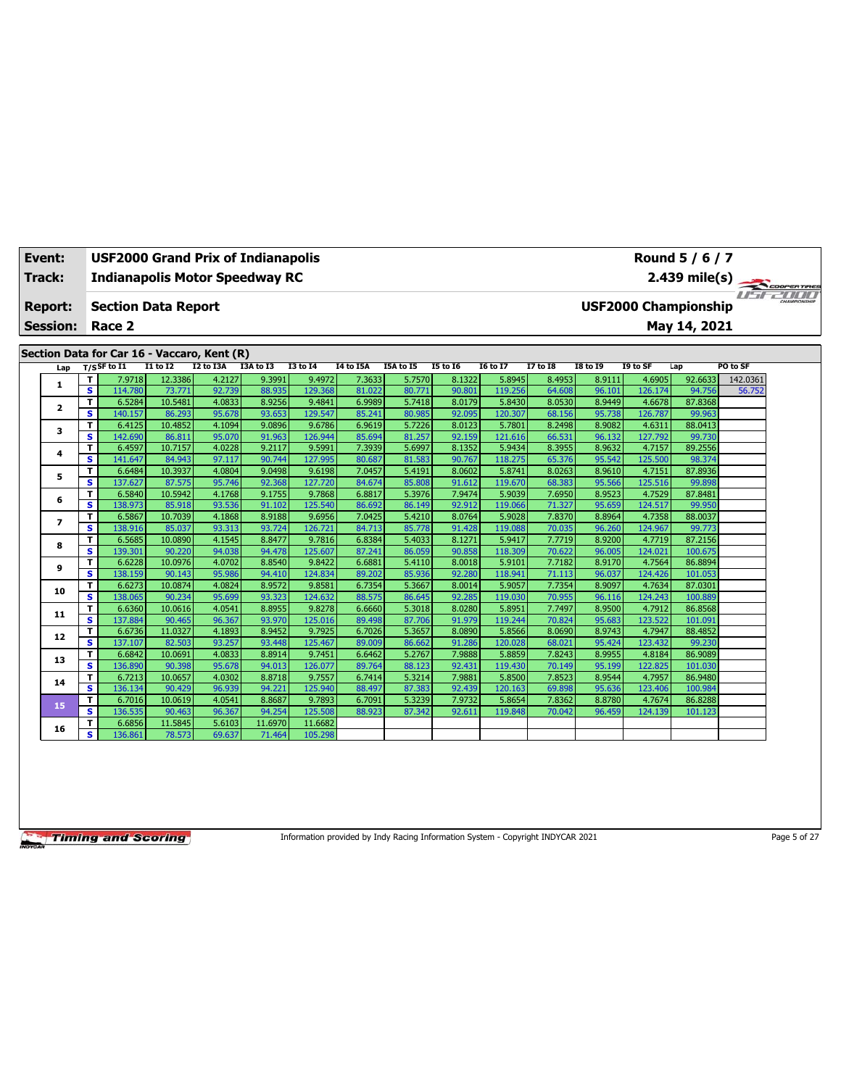| Event: |                 |                         | <b>USF2000 Grand Prix of Indianapolis</b>   |                   |                  |                  |                   |                  |                  |                  |                   |                  |                  |                   | Round 5 / 6 / 7             |               |  |
|--------|-----------------|-------------------------|---------------------------------------------|-------------------|------------------|------------------|-------------------|------------------|------------------|------------------|-------------------|------------------|------------------|-------------------|-----------------------------|---------------|--|
|        | Track:          |                         | <b>Indianapolis Motor Speedway RC</b>       |                   |                  |                  |                   |                  |                  |                  |                   |                  |                  |                   |                             |               |  |
|        | <b>Report:</b>  |                         | <b>Section Data Report</b>                  |                   |                  |                  |                   |                  |                  |                  |                   |                  |                  |                   | <b>USF2000 Championship</b> | 2.439 mile(s) |  |
|        | <b>Session:</b> |                         | Race 2                                      |                   |                  |                  |                   |                  |                  |                  |                   |                  |                  |                   | May 14, 2021                |               |  |
|        |                 |                         |                                             |                   |                  |                  |                   |                  |                  |                  |                   |                  |                  |                   |                             |               |  |
|        |                 |                         | Section Data for Car 16 - Vaccaro, Kent (R) |                   |                  |                  |                   |                  |                  |                  |                   |                  |                  |                   |                             |               |  |
|        | Lap             |                         | $T/S$ SF to I1                              | <b>I1 to I2</b>   | I2 to I3A        | I3A to I3        | <b>I3 to 14</b>   | I4 to I5A        | I5A to I5        | <b>I5 to 16</b>  | <b>16 to 17</b>   | 17 to 18         | <b>18 to 19</b>  | I9 to SF          | Lap                         | PO to SF      |  |
|        |                 | т                       | 7.9718                                      | 12.3386           | 4.2127           | 9.3991           | 9.4972            | 7.3633           | 5.7570           | 8.1322           | 5.8945            | 8.4953           | 8.9111           | 4.6905            | 92.6633                     | 142.0361      |  |
|        | 1               | $\overline{\mathbf{s}}$ | 114.780                                     | 73.771            | 92.739           | 88.935           | 129.368           | 81.022           | 80.771           | 90.801           | 119.256           | 64.608           | 96.101           | 126.174           | 94.756                      | 56.752        |  |
|        |                 | т                       | 6.5284                                      | 10.5481           | 4.0833           | 8.9256           | 9.4841            | 6.9989           | 5.7418           | 8.0179           | 5.8430            | 8.0530           | 8.9449           | 4.6678            | 87.8368                     |               |  |
|        | $\mathbf{z}$    | s                       | 140.157                                     | 86.293            | 95.678           | 93.653           | 129.547           | 85.241           | 80.985           | 92.095           | 120.307           | 68.156           | 95.738           | 126.787           | 99.963                      |               |  |
|        |                 | т                       | 6.4125                                      | 10.4852           | 4.1094           | 9.0896           | 9.6786            | 6.9619           | 5.7226           | 8.0123           | 5.7801            | 8.2498           | 8.9082           | 4.6311            | 88.0413                     |               |  |
|        | 3               | s                       | 142.690                                     | 86.811            | 95.070           | 91.963           | 126.944           | 85.694           | 81.257           | 92.159           | 121.616           | 66.531           | 96.132           | 127.792           | 99.730                      |               |  |
|        | 4               | T                       | 6.4597                                      | 10.7157           | 4.0228           | 9.2117           | 9.5991            | 7.3939           | 5.6997           | 8.1352           | 5.9434            | 8.3955           | 8.9632           | 4.7157            | 89.2556                     |               |  |
|        |                 | s                       | 141.647                                     | 84.943            | 97.117           | 90.744           | 127.995           | 80.687           | 81.583           | 90.767           | 118.275           | 65.376           | 95.542           | 125.500           | 98.374                      |               |  |
|        | 5               | т                       | 6.6484                                      | 10.3937           | 4.0804           | 9.0498           | 9.6198            | 7.0457           | 5.4191           | 8.0602           | 5.8741            | 8.0263           | 8.9610           | 4.7151            | 87.8936                     |               |  |
|        |                 | s                       | 137.627                                     | 87.575            | 95.746           | 92.368           | 127.720           | 84.674           | 85,808           | 91.612           | 119.670           | 68.383           | 95.566           | 125.516           | 99.898                      |               |  |
|        | 6               | T                       | 6.5840                                      | 10.5942           | 4.1768           | 9.1755           | 9.7868            | 6.8817           | 5.3976           | 7.9474           | 5.9039            | 7.6950           | 8.9523           | 4.7529            | 87.8481                     |               |  |
|        |                 | s                       | 138.973                                     | 85.918            | 93.536           | 91.102           | 125.540           | 86.692           | 86.149           | 92.912           | 119.066           | 71.327           | 95.659           | 124.517           | 99.950                      |               |  |
|        | $\overline{ }$  | т                       | 6.5867                                      | 10.7039           | 4.1868           | 8.9188           | 9.6956            | 7.0425           | 5.4210           | 8.0764           | 5.9028            | 7.8370           | 8.8964           | 4.7358            | 88.0037                     |               |  |
|        |                 | s                       | 138.916                                     | 85.037            | 93.313           | 93.724           | 126.721           | 84.713           | 85.778           | 91.428           | 119.088           | 70.035           | 96.260           | 124.967           | 99.773                      |               |  |
|        | 8               | т                       | 6.5685                                      | 10.0890           | 4.1545           | 8.8477           | 9.7816            | 6.8384           | 5.4033           | 8.1271           | 5.9417            | 7.7719           | 8.9200           | 4.7719            | 87.2156                     |               |  |
|        |                 | s                       | 139.301                                     | 90.220            | 94.038           | 94.478           | 125.607           | 87.241           | 86.059           | 90.858           | 118,309           | 70.622           | 96.005           | 124.021           | 100.675                     |               |  |
|        | 9               | т                       | 6.6228                                      | 10.0976           | 4.0702           | 8.8540           | 9.8422            | 6.6881           | 5.4110           | 8.0018           | 5.9101            | 7.7182           | 8.9170           | 4.7564            | 86.8894                     |               |  |
|        |                 | s                       | 138.159                                     | 90.143            | 95.986           | 94.410           | 124.834           | 89.202           | 85.936           | 92.280           | 118.941           | 71.113           | 96.037           | 124.426           | 101.053                     |               |  |
|        | 10              | T<br>s                  | 6.6273<br>138.065                           | 10.0874<br>90.234 | 4.0824<br>95.699 | 8.9572<br>93.323 | 9.8581<br>124.632 | 6.7354<br>88.575 | 5.3667<br>86.645 | 8.0014<br>92.285 | 5.9057<br>119.030 | 7.7354<br>70.955 | 8.9097<br>96.116 | 4.7634<br>124.243 | 87.0301<br>100.889          |               |  |
|        |                 | T                       | 6.6360                                      | 10.0616           | 4.0541           | 8.8955           | 9.8278            | 6.6660           | 5.3018           | 8.0280           | 5.8951            | 7.7497           | 8.9500           | 4.7912            | 86.8568                     |               |  |
|        | 11              | s                       | 137.884                                     | 90.465            | 96.367           | 93.970           | 125.016           | 89.498           | 87.706           | 91.979           | 119.244           | 70.824           | 95.683           | 123.522           | 101.091                     |               |  |
|        |                 | т                       | 6.6736                                      | 11.0327           | 4.1893           | 8.9452           | 9.7925            | 6.7026           | 5.3657           | 8.0890           | 5.8566            | 8.0690           | 8.9743           | 4.7947            | 88.4852                     |               |  |
|        | 12              | s                       | 137.107                                     | 82.503            | 93.257           | 93.448           | 125,467           | 89.009           | 86.662           | 91.286           | 120.028           | 68.021           | 95.424           | 123.432           | 99.230                      |               |  |
|        |                 | T                       | 6.6842                                      | 10.0691           | 4.0833           | 8.8914           | 9.7451            | 6.6462           | 5.2767           | 7.9888           | 5.8859            | 7.8243           | 8.9955           | 4.8184            | 86.9089                     |               |  |
|        | 13              | s                       | 136.890                                     | 90.398            | 95.678           | 94.013           | 126.077           | 89.764           | 88.123           | 92.431           | 119.430           | 70.149           | 95.199           | 122.825           | 101.030                     |               |  |
|        |                 | т                       | 6.7213                                      | 10.0657           | 4.0302           | 8.8718           | 9.7557            | 6.7414           | 5.3214           | 7.9881           | 5.8500            | 7.8523           | 8.9544           | 4.7957            | 86.9480                     |               |  |
|        | 14              | s                       | 136.134                                     | 90.429            | 96.939           | 94.221           | 125.940           | 88.497           | 87.383           | 92.439           | 120.163           | 69.898           | 95.636           | 123.406           | 100.984                     |               |  |
|        |                 | т                       | 6.7016                                      | 10.0619           | 4.0541           | 8.8687           | 9.7893            | 6.7091           | 5.3239           | 7.9732           | 5.8654            | 7.8362           | 8.8780           | 4.7674            | 86.8288                     |               |  |
|        | 15              | s                       | 136.535                                     | 90.463            | 96.367           | 94.254           | 125.508           | 88.923           | 87.342           | 92.611           | 119.848           | 70.042           | 96.459           | 124.139           | 101.123                     |               |  |
|        |                 | т                       | 6.6856                                      | 11.5845           | 5.6103           | 11.6970          | 11.6682           |                  |                  |                  |                   |                  |                  |                   |                             |               |  |
|        | 16              | s                       | 136.861                                     | 78.573            | 69.637           | 71.464           | 105.298           |                  |                  |                  |                   |                  |                  |                   |                             |               |  |

Information provided by Indy Racing Information System - Copyright INDYCAR 2021 Page 5 of 27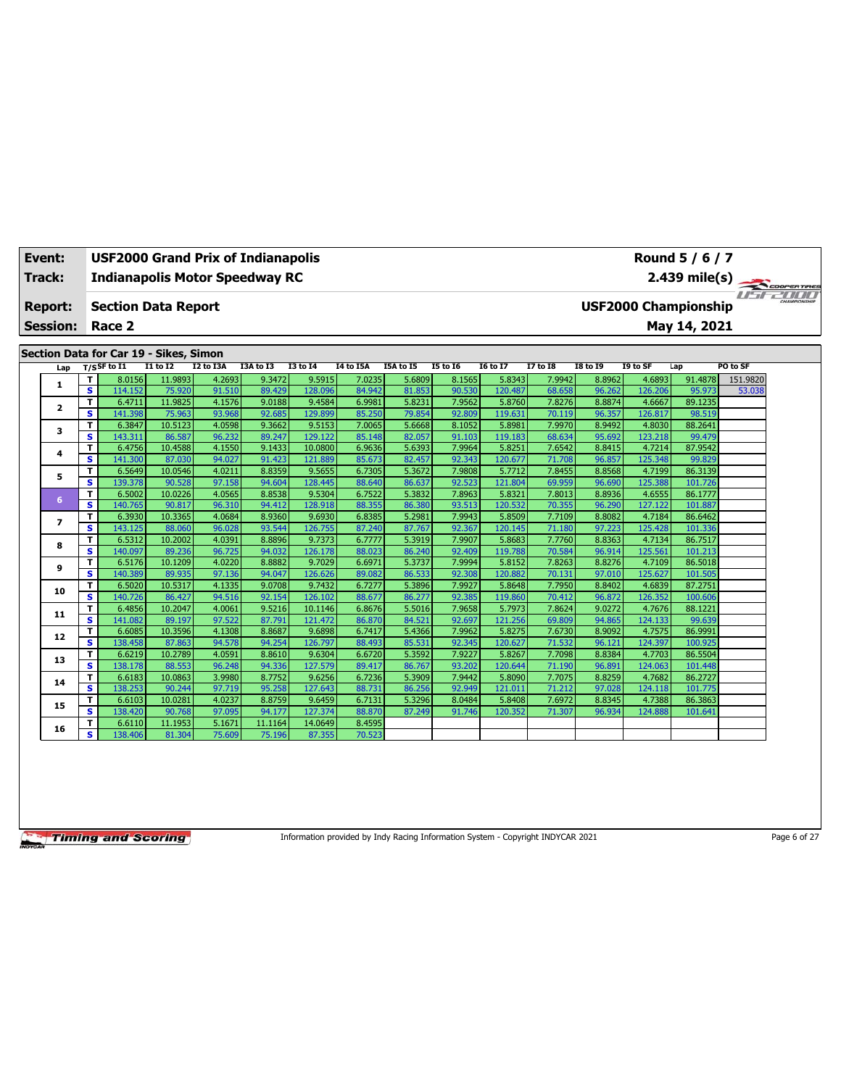| Event:                  |                         | <b>USF2000 Grand Prix of Indianapolis</b> |                   |                  |                  |                    |                  |                  |                  |                   |                  |                  |                   | Round 5 / 6 / 7             |               |  |
|-------------------------|-------------------------|-------------------------------------------|-------------------|------------------|------------------|--------------------|------------------|------------------|------------------|-------------------|------------------|------------------|-------------------|-----------------------------|---------------|--|
| <b>Track:</b>           |                         | <b>Indianapolis Motor Speedway RC</b>     |                   |                  |                  |                    |                  |                  |                  |                   |                  |                  |                   |                             | 2.439 mile(s) |  |
| <b>Report:</b>          |                         | <b>Section Data Report</b>                |                   |                  |                  |                    |                  |                  |                  |                   |                  |                  |                   | <b>USF2000 Championship</b> |               |  |
| <b>Session:</b>         |                         | Race 2                                    |                   |                  |                  |                    |                  |                  |                  |                   |                  |                  |                   | May 14, 2021                |               |  |
|                         |                         | Section Data for Car 19 - Sikes, Simon    |                   |                  |                  |                    |                  |                  |                  |                   |                  |                  |                   |                             |               |  |
| Lap                     |                         | $T/S$ SF to I1                            | $I1$ to $I2$      | I2 to I3A        | I3A to I3        | <b>I3 to 14</b>    | <b>I4 to I5A</b> | I5A to I5        | <b>I5 to 16</b>  | <b>I6 to I7</b>   | <b>I7 to I8</b>  | <b>18 to 19</b>  | I9 to SF          | Lap                         | PO to SF      |  |
|                         | т                       | 8.0156                                    | 11.9893           | 4.2693           | 9.3472           | 9.5915             | 7.0235           | 5.6809           | 8.1565           | 5.8343            | 7.9942           | 8.8962           | 4.6893            | 91.4878                     | 151.9820      |  |
| 1                       | s                       | 114.152                                   | 75.920            | 91.510           | 89.429           | 128.096            | 84.942           | 81.853           | 90.530           | 120.487           | 68.658           | 96.262           | 126.206           | 95.973                      | 53.038        |  |
| $\overline{\mathbf{2}}$ | T                       | 6.4711                                    | 11.9825           | 4.1576           | 9.0188           | 9.4584             | 6.9981           | 5.8231           | 7.9562           | 5.8760            | 7.8276           | 8.8874           | 4.6667            | 89.1235                     |               |  |
|                         | s.                      | 141.398                                   | 75.963            | 93.968           | 92.685           | 129.899            | 85.250           | 79.854           | 92.809           | 119.631           | 70.119           | 96.357           | 126.817           | 98.519                      |               |  |
| 3                       | т                       | 6.3847                                    | 10.5123           | 4.0598           | 9.3662           | 9.5153             | 7.0065           | 5.6668           | 8.1052           | 5.8981            | 7.9970           | 8.9492           | 4.8030            | 88.2641                     |               |  |
|                         | s.<br>T                 | 143.311<br>6.4756                         | 86.587<br>10.4588 | 96.232<br>4.1550 | 89.247<br>9.1433 | 129.122<br>10.0800 | 85.148<br>6.9636 | 82.057<br>5.6393 | 91.103<br>7.9964 | 119.183<br>5.8251 | 68.634<br>7.6542 | 95.692<br>8.8415 | 123.218<br>4.7214 | 99.479<br>87.9542           |               |  |
| 4                       | s.                      | 141.300                                   | 87.030            | 94.027           | 91.423           | 121.889            | 85.673           | 82.457           | 92.343           | 120.677           | 71.708           | 96.857           | 125.348           | 99.829                      |               |  |
|                         | т                       | 6.5649                                    | 10.0546           | 4.0211           | 8.8359           | 9.5655             | 6.7305           | 5.3672           | 7.9808           | 5.7712            | 7.8455           | 8.8568           | 4.7199            | 86.3139                     |               |  |
| 5                       | s                       | 139.378                                   | 90.528            | 97.158           | 94.604           | 128.445            | 88.640           | 86.637           | 92.523           | 121.804           | 69.959           | 96.690           | 125.388           | 101.726                     |               |  |
|                         | T                       | 6.5002                                    | 10.0226           | 4.0565           | 8.8538           | 9.5304             | 6.7522           | 5.3832           | 7.8963           | 5.8321            | 7.8013           | 8.8936           | 4.6555            | 86.1777                     |               |  |
| 6                       | s                       | 140.765                                   | 90.817            | 96.310           | 94.412           | 128.918            | 88.355           | 86.380           | 93.513           | 120.532           | 70.355           | 96.290           | 127.122           | 101.887                     |               |  |
|                         | T                       | 6.3930                                    | 10.3365           | 4.0684           | 8.9360           | 9.6930             | 6.8385           | 5.2981           | 7.9943           | 5.8509            | 7.7109           | 8.8082           | 4.7184            | 86.6462                     |               |  |
| $\overline{ }$          | s.                      | 143.125                                   | 88.060            | 96.028           | 93.544           | 126.755            | 87.240           | 87.767           | 92.367           | 120.145           | 71.180           | 97.223           | 125.428           | 101.336                     |               |  |
| 8                       | T.                      | 6.5312                                    | 10.2002           | 4.0391           | 8.8896           | 9.7373             | 6.7777           | 5.3919           | 7.9907           | 5.8683            | 7.7760           | 8.8363           | 4.7134            | 86.7517                     |               |  |
|                         | s                       | 140.097                                   | 89.236            | 96.725           | 94.032           | 126.178            | 88.023           | 86.240           | 92.409           | 119.788           | 70.584           | 96.914           | 125.561           | 101.213                     |               |  |
| 9                       | T                       | 6.5176                                    | 10.1209           | 4.0220           | 8.8882           | 9.7029             | 6.6971           | 5.3737           | 7.9994           | 5.8152            | 7.8263           | 8.8276           | 4.7109            | 86.5018                     |               |  |
|                         | s                       | 140.389                                   | 89.935            | 97.136           | 94.047           | 126.626            | 89.082           | 86.533           | 92.308           | 120.882           | 70.131           | 97.010           | 125.627           | 101.505                     |               |  |
| 10                      | T                       | 6.5020                                    | 10.5317           | 4.1335           | 9.0708           | 9.7432             | 6.7277           | 5.3896           | 7.9927           | 5.8648            | 7.7950           | 8.8402           | 4.6839            | 87.2751                     |               |  |
|                         | s                       | 140.726                                   | 86.427            | 94.516<br>4.0061 | 92.154<br>9.5216 | 126.102<br>10.1146 | 88.677<br>6.8676 | 86.277<br>5.5016 | 92.385<br>7.9658 | 119.860           | 70.412<br>7.8624 | 96.872<br>9.0272 | 126.352<br>4.7676 | 100.606<br>88.1221          |               |  |
| 11                      | T<br>s                  | 6.4856<br>141.082                         | 10.2047<br>89.197 | 97.522           | 87.791           | 121.472            | 86.870           | 84.521           | 92.697           | 5.7973<br>121.256 | 69.809           | 94.865           | 124.133           | 99.639                      |               |  |
|                         | T                       | 6.6085                                    | 10.3596           | 4.1308           | 8.8687           | 9.6898             | 6.7417           | 5.4366           | 7.9962           | 5.8275            | 7.6730           | 8.9092           | 4.7575            | 86.9991                     |               |  |
| 12                      | $\overline{\mathbf{s}}$ | 138.458                                   | 87.863            | 94.578           | 94.254           | 126.797            | 88.493           | 85.531           | 92.345           | 120.627           | 71.532           | 96.121           | 124.397           | 100.925                     |               |  |
|                         | T                       | 6.6219                                    | 10.2789           | 4.0591           | 8.8610           | 9.6304             | 6.6720           | 5.3592           | 7.9227           | 5.8267            | 7.7098           | 8.8384           | 4.7703            | 86.5504                     |               |  |
| 13                      | s                       | 138.178                                   | 88.553            | 96.248           | 94.336           | 127.579            | 89.417           | 86.767           | 93.202           | 120.644           | 71.190           | 96.891           | 124.063           | 101.448                     |               |  |
| 14                      | т                       | 6.6183                                    | 10.0863           | 3.9980           | 8.7752           | 9.6256             | 6.7236           | 5.3909           | 7.9442           | 5.8090            | 7.7075           | 8.8259           | 4.7682            | 86.2727                     |               |  |
|                         | s.                      | 138.253                                   | 90.244            | 97.719           | 95.258           | 127.643            | 88.731           | 86.256           | 92.949           | 121.01:           | 71.212           | 97.028           | 124.118           | 101.775                     |               |  |
| 15                      | T                       | 6.6103                                    | 10.0281           | 4.0237           | 8.8759           | 9.6459             | 6.7131           | 5.3296           | 8.0484           | 5.8408            | 7.6972           | 8.8345           | 4.7388            | 86.3863                     |               |  |
|                         | s                       | 138.420                                   | 90.768            | 97.095           | 94.177           | 127.374            | 88,870           | 87.249           | 91.746           | 120.352           | 71.307           | 96.934           | 124.888           | 101.641                     |               |  |
| 16                      | т                       | 6.6110                                    | 11.1953           | 5.1671           | 11.1164          | 14.0649            | 8.4595           |                  |                  |                   |                  |                  |                   |                             |               |  |
|                         | s.                      | 138.406                                   | 81.304            | 75.609           | 75.196           | 87.355             | 70.523           |                  |                  |                   |                  |                  |                   |                             |               |  |

Information provided by Indy Racing Information System - Copyright INDYCAR 2021 Page 6 of 27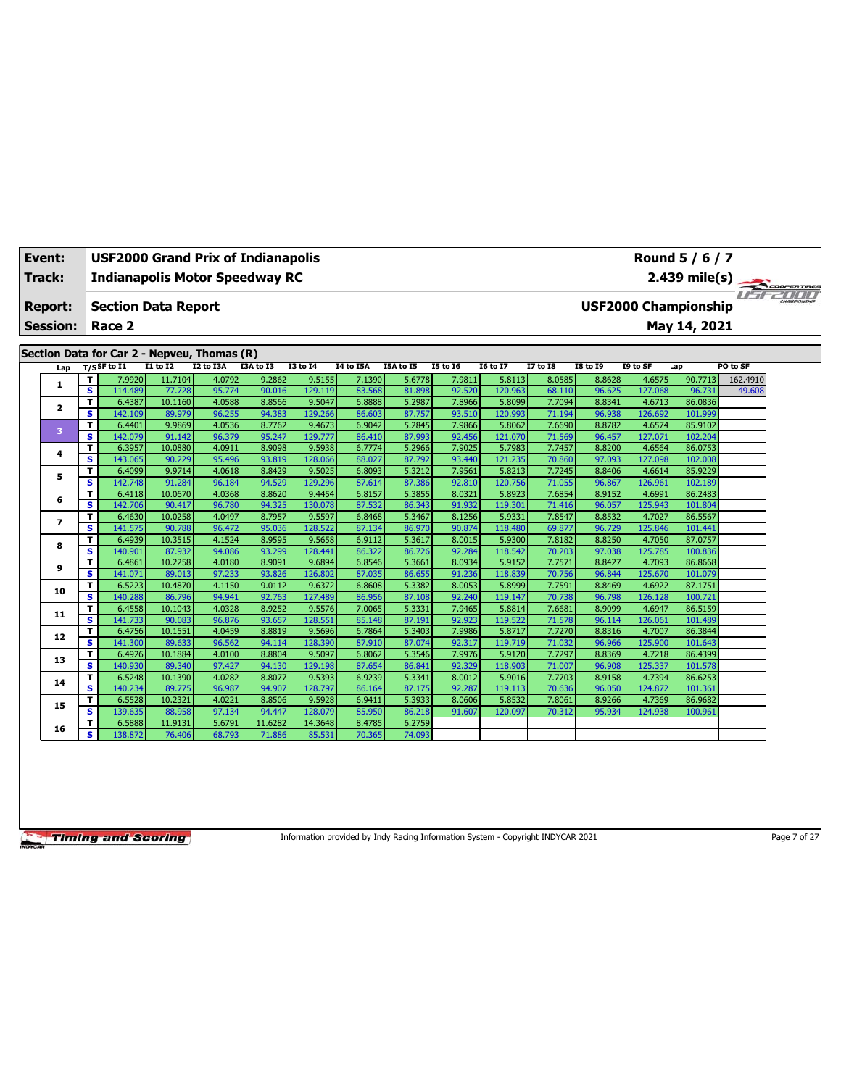| Event:          |                         | <b>USF2000 Grand Prix of Indianapolis</b>   |                   |                  |                  |                   |                  |                  |                  | Round 5 / 6 / 7   |                  |                  |                   |                             |               |  |
|-----------------|-------------------------|---------------------------------------------|-------------------|------------------|------------------|-------------------|------------------|------------------|------------------|-------------------|------------------|------------------|-------------------|-----------------------------|---------------|--|
| Track:          |                         | <b>Indianapolis Motor Speedway RC</b>       |                   |                  |                  |                   |                  |                  |                  |                   |                  |                  |                   |                             | 2.439 mile(s) |  |
| <b>Report:</b>  |                         | <b>Section Data Report</b>                  |                   |                  |                  |                   |                  |                  |                  |                   |                  |                  |                   | <b>USF2000 Championship</b> |               |  |
| <b>Session:</b> |                         | Race 2                                      |                   |                  |                  |                   |                  |                  |                  |                   |                  |                  |                   | May 14, 2021                |               |  |
|                 |                         | Section Data for Car 2 - Nepveu, Thomas (R) |                   |                  |                  |                   |                  |                  |                  |                   |                  |                  |                   |                             |               |  |
| Lap             |                         | $T/S$ SF to I1                              | <b>I1 to I2</b>   | I2 to I3A        | I3A to I3        | <b>I3 to 14</b>   | I4 to I5A        | I5A to I5        | <b>I5 to 16</b>  | <b>16 to 17</b>   | <b>I7 to I8</b>  | <b>I8 to 19</b>  | I9 to SF          | Lap                         | PO to SF      |  |
|                 | т                       | 7.9920                                      | 11.7104           | 4.0792           | 9.2862           | 9.5155            | 7.1390           | 5.6778           | 7.9811           | 5.8113            | 8.0585           | 8.8628           | 4.6575            | 90.7713                     | 162.4910      |  |
| 1               | s                       | 114,489                                     | 77.728            | 95.774           | 90.016           | 129.119           | 83.568           | 81.898           | 92.520           | 120.963           | 68.110           | 96.625           | 127.068           | 96.731                      | 49.608        |  |
| 2               | T                       | 6.4387                                      | 10.1160           | 4.0588           | 8.8566           | 9.5047            | 6.8888           | 5.2987           | 7.8966           | 5.8099            | 7.7094           | 8.8341           | 4.6713            | 86.0836                     |               |  |
|                 | s                       | 142.109                                     | 89.979            | 96.255           | 94.383           | 129.266           | 86.603           | 87.757           | 93.510           | 120.993           | 71.194           | 96.938           | 126.692           | 101.999                     |               |  |
| 3               | т                       | 6.4401                                      | 9.9869            | 4.0536           | 8.7762           | 9.4673            | 6.9042           | 5.2845           | 7.9866           | 5.8062            | 7.6690           | 8.8782           | 4.6574            | 85.9102                     |               |  |
|                 | s                       | 142.079                                     | 91.142            | 96.379           | 95.247           | 129,777           | 86.410           | 87.993           | 92.456           | 121.070           | 71.569           | 96.457           | 127.071           | 102.204                     |               |  |
| 4               | T                       | 6.3957                                      | 10.0880<br>90.229 | 4.0911<br>95.496 | 8.9098<br>93.819 | 9.5938<br>128.066 | 6.7774<br>88.027 | 5.2966<br>87.792 | 7.9025           | 5.7983<br>121.235 | 7.7457           | 8.8200           | 4.6564            | 86.0753<br>102.008          |               |  |
|                 | s<br>т                  | 143.065<br>6.4099                           | 9.9714            | 4.0618           | 8.8429           | 9.5025            | 6.8093           | 5.3212           | 93.440<br>7.9561 | 5.8213            | 70.860<br>7.7245 | 97.093<br>8.8406 | 127.098<br>4.6614 | 85.9229                     |               |  |
| 5               | s                       | 142.748                                     | 91.284            | 96.184           | 94.529           | 129.296           | 87.614           | 87.386           | 92.810           | 120.756           | 71.055           | 96.867           | 126.961           | 102.189                     |               |  |
|                 | T                       | 6.4118                                      | 10.0670           | 4.0368           | 8.8620           | 9.4454            | 6.8157           | 5.3855           | 8.0321           | 5.8923            | 7.6854           | 8.9152           | 4.6991            | 86.2483                     |               |  |
| 6               | s                       | 142.706                                     | 90.417            | 96.780           | 94.325           | 130.078           | 87.532           | 86.343           | 91.932           | 119.301           | 71.416           | 96.057           | 125.943           | 101.804                     |               |  |
|                 | т                       | 6.4630                                      | 10.0258           | 4.0497           | 8.7957           | 9.5597            | 6.8468           | 5.3467           | 8.1256           | 5.9331            | 7.8547           | 8.8532           | 4.7027            | 86.5567                     |               |  |
| $\overline{ }$  | s                       | 141.575                                     | 90.788            | 96.472           | 95.036           | 128,522           | 87.134           | 86.970           | 90.874           | 118,480           | 69.877           | 96.729           | 125.846           | 101.441                     |               |  |
|                 | т                       | 6.4939                                      | 10.3515           | 4.1524           | 8.9595           | 9.5658            | 6.9112           | 5.3617           | 8.0015           | 5.9300            | 7.8182           | 8.8250           | 4.7050            | 87.0757                     |               |  |
| 8               | s                       | 140.901                                     | 87.932            | 94.086           | 93.299           | 128.441           | 86.322           | 86.726           | 92.284           | 118.542           | 70.203           | 97.038           | 125.785           | 100.836                     |               |  |
| 9               | т                       | 6.4861                                      | 10.2258           | 4.0180           | 8.9091           | 9.6894            | 6.8546           | 5.3661           | 8.0934           | 5.9152            | 7.7571           | 8.8427           | 4.7093            | 86.8668                     |               |  |
|                 | s                       | 141.071                                     | 89.013            | 97.233           | 93.826           | 126.802           | 87.035           | 86.655           | 91.236           | 118.839           | 70.756           | 96.844           | 125.670           | 101.079                     |               |  |
| 10              | T                       | 6.5223                                      | 10.4870           | 4.1150           | 9.0112           | 9.6372            | 6.8608           | 5.3382           | 8.0053           | 5.8999            | 7.7591           | 8.8469           | 4.6922            | 87.1751                     |               |  |
|                 | s                       | 140.288                                     | 86.796            | 94.941           | 92.763           | 127.489           | 86.956           | 87.108           | 92.240           | 119.147           | 70.738           | 96.798           | 126.128           | 100.721                     |               |  |
| 11              | T                       | 6.4558                                      | 10.1043           | 4.0328           | 8.9252           | 9.5576            | 7.0065           | 5.3331           | 7.9465           | 5.8814            | 7.6681           | 8.9099           | 4.6947            | 86.5159                     |               |  |
|                 | $\overline{\mathbf{s}}$ | 141.733                                     | 90.083            | 96.876           | 93.657           | 128.551           | 85.148           | 87.191           | 92.923           | 119.522           | 71.578           | 96.114           | 126.061           | 101.489                     |               |  |
| 12              | т                       | 6.4756                                      | 10.1551           | 4.0459           | 8.8819           | 9.5696            | 6.7864           | 5.3403           | 7.9986           | 5.8717            | 7.7270           | 8.8316           | 4.7007            | 86.3844                     |               |  |
|                 | s                       | 141.300                                     | 89.633            | 96.562           | 94.114           | 128.390           | 87.910           | 87.074           | 92.317           | 119.719           | 71.032           | 96.966           | 125.900           | 101.643                     |               |  |
| 13              | T                       | 6.4926                                      | 10.1884           | 4.0100           | 8.8804           | 9.5097            | 6.8062           | 5.3546           | 7.9976           | 5.9120            | 7.7297           | 8.8369           | 4.7218            | 86.4399                     |               |  |
|                 | s                       | 140.930                                     | 89.340            | 97.427<br>4.0282 | 94.130<br>8.8077 | 129.198           | 87.654           | 86.841           | 92.329<br>8.0012 | 118.903           | 71.007           | 96.908           | 125.337           | 101.578<br>86.6253          |               |  |
| 14              | т<br>s                  | 6.5248<br>140.234                           | 10.1390<br>89.775 | 96.987           | 94.907           | 9.5393<br>128.797 | 6.9239<br>86.164 | 5.3341<br>87.175 | 92.287           | 5.9016<br>119.113 | 7.7703<br>70.636 | 8.9158<br>96.050 | 4.7394<br>124.872 | 101.361                     |               |  |
|                 | T                       | 6.5528                                      | 10.2321           | 4.0221           | 8.8506           | 9.5928            | 6.9411           | 5.3933           | 8.0606           | 5.8532            | 7.8061           | 8.9266           | 4.7369            | 86.9682                     |               |  |
| 15              | s                       | 139.635                                     | 88.958            | 97.134           | 94.447           | 128.079           | 85.950           | 86.218           | 91.607           | 120.097           | 70.312           | 95.934           | 124.938           | 100.961                     |               |  |
|                 | T                       | 6.5888                                      | 11.9131           | 5.6791           | 11.6282          | 14.3648           | 8.4785           | 6.2759           |                  |                   |                  |                  |                   |                             |               |  |
| 16              | s                       | 138.872                                     | 76.406            | 68.793           | 71.886           | 85.531            | 70.365           | 74.093           |                  |                   |                  |                  |                   |                             |               |  |
|                 |                         |                                             |                   |                  |                  |                   |                  |                  |                  |                   |                  |                  |                   |                             |               |  |

Information provided by Indy Racing Information System - Copyright INDYCAR 2021 Page 7 of 27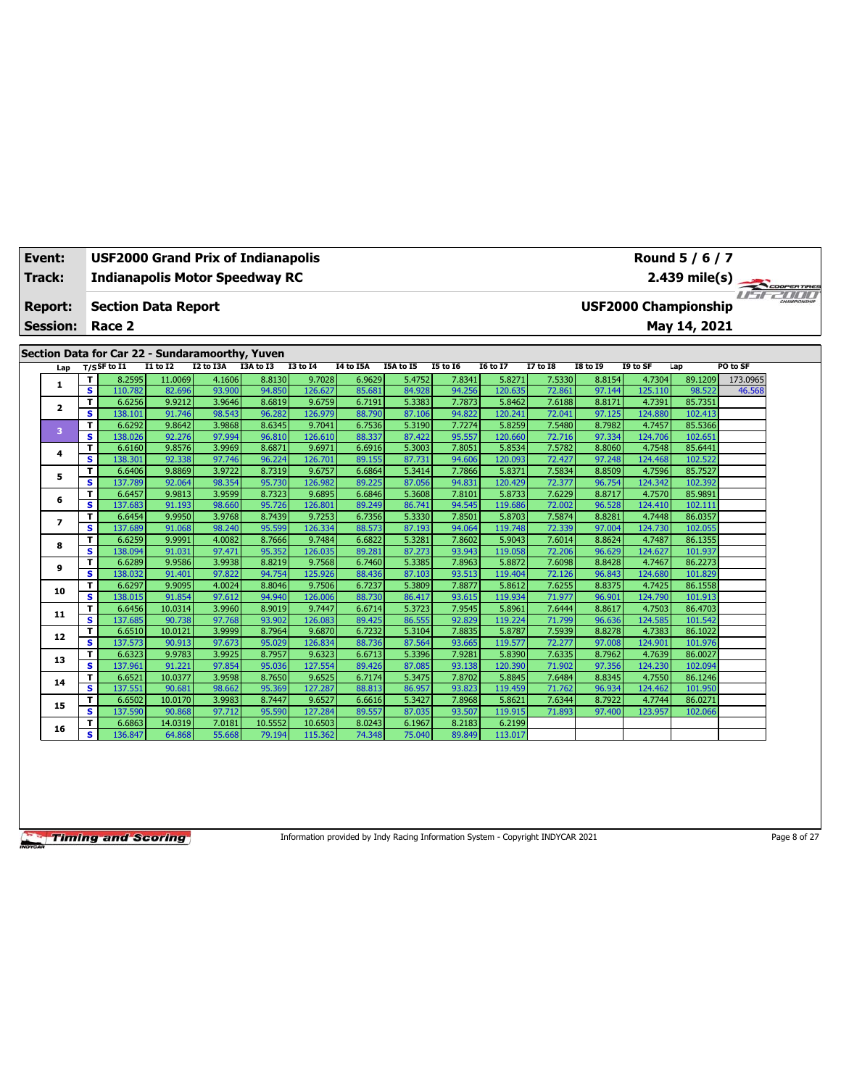| Event:          | Round 5 / 6 / 7<br><b>USF2000 Grand Prix of Indianapolis</b><br>2.439 mile(s)<br><b>Indianapolis Motor Speedway RC</b> |                                                 |                  |                  |                  |                   |                  |                  |                  |                   |                  |                  |                   |                             |          |  |
|-----------------|------------------------------------------------------------------------------------------------------------------------|-------------------------------------------------|------------------|------------------|------------------|-------------------|------------------|------------------|------------------|-------------------|------------------|------------------|-------------------|-----------------------------|----------|--|
| <b>Track:</b>   |                                                                                                                        |                                                 |                  |                  |                  |                   |                  |                  |                  |                   |                  |                  |                   |                             |          |  |
|                 |                                                                                                                        |                                                 |                  |                  |                  |                   |                  |                  |                  |                   |                  |                  |                   |                             |          |  |
| Report:         |                                                                                                                        | <b>Section Data Report</b>                      |                  |                  |                  |                   |                  |                  |                  |                   |                  |                  |                   | <b>USF2000 Championship</b> |          |  |
| <b>Session:</b> |                                                                                                                        | Race 2                                          |                  |                  |                  |                   |                  |                  |                  |                   |                  |                  |                   | May 14, 2021                |          |  |
|                 |                                                                                                                        |                                                 |                  |                  |                  |                   |                  |                  |                  |                   |                  |                  |                   |                             |          |  |
|                 |                                                                                                                        | Section Data for Car 22 - Sundaramoorthy, Yuven |                  |                  |                  |                   |                  |                  |                  |                   |                  |                  |                   |                             |          |  |
| Lap             |                                                                                                                        | $T/S$ SF to $I1$                                | <b>I1 to I2</b>  | I2 to I3A        | I3A to I3        | <b>I3 to 14</b>   | I4 to I5A        | I5A to I5        | <b>I5 to 16</b>  | <b>16 to 17</b>   | 17 to 18         | <b>18 to 19</b>  | I9 to SF          | Lap                         | PO to SF |  |
|                 | т                                                                                                                      | 8.2595                                          | 11.0069          | 4.1606           | 8.8130           | 9.7028            | 6.9629           | 5.4752           | 7.8341           | 5.8271            | 7.5330           | 8.8154           | 4.7304            | 89.1209                     | 173.0965 |  |
| 1               | $\overline{\mathbf{s}}$                                                                                                | 110.782                                         | 82.696           | 93.900           | 94.850           | 126.627           | 85.681           | 84.928           | 94.256           | 120.635           | 72.861           | 97.144           | 125.110           | 98.522                      | 46.568   |  |
| 2               | T                                                                                                                      | 6.6256                                          | 9.9212           | 3.9646           | 8.6819           | 9.6759            | 6.7191           | 5.3383           | 7.7873           | 5.8462            | 7.6188           | 8.8171           | 4.7391            | 85.7351                     |          |  |
|                 | s                                                                                                                      | 138.101                                         | 91.746           | 98.543           | 96.282           | 126.979           | 88.790           | 87.106           | 94.822           | 120.241           | 72.041           | 97.125           | 124.880           | 102.413                     |          |  |
| 3               | T                                                                                                                      | 6.6292                                          | 9.8642           | 3.9868           | 8.6345           | 9.7041            | 6.7536           | 5.3190           | 7.7274           | 5.8259            | 7.5480           | 8.7982           | 4.7457            | 85.5366                     |          |  |
|                 | s                                                                                                                      | 138.026                                         | 92.276           | 97.994           | 96.810           | 126.610           | 88.337           | 87.422           | 95.557           | 120,660           | 72.716           | 97.334           | 124.706           | 102.651                     |          |  |
| 4               | T                                                                                                                      | 6.6160                                          | 9.8576           | 3.9969           | 8.6871           | 9.6971            | 6.6916           | 5.3003           | 7.8051           | 5.8534            | 7.5782           | 8.8060           | 4.7548            | 85.6441                     |          |  |
|                 | s.                                                                                                                     | 138.301                                         | 92.338           | 97.746           | 96.224           | 126.701           | 89.155           | 87.731           | 94.606           | 120.093           | 72.427           | 97.248           | 124.468           | 102.522                     |          |  |
| 5               | T                                                                                                                      | 6.6406                                          | 9.8869           | 3.9722           | 8.7319           | 9.6757            | 6.6864           | 5.3414           | 7.7866           | 5.8371            | 7.5834           | 8.8509           | 4.7596            | 85.7527                     |          |  |
|                 | s                                                                                                                      | 137.789                                         | 92.064           | 98.354           | 95.730           | 126.982           | 89.225           | 87.056           | 94.831           | 120.429           | 72.377           | 96.754           | 124.342           | 102.392                     |          |  |
| 6               | T<br>S                                                                                                                 | 6.6457<br>137.683                               | 9.9813<br>91.193 | 3.9599<br>98.660 | 8.7323<br>95.726 | 9.6895<br>126.801 | 6.6846<br>89.249 | 5.3608<br>86.741 | 7.8101<br>94.545 | 5.8733<br>119.686 | 7.6229           | 8.8717<br>96.528 | 4.7570<br>124.410 | 85.9891<br>102.111          |          |  |
|                 | т                                                                                                                      | 6.6454                                          | 9.9950           | 3.9768           | 8.7439           | 9.7253            | 6.7356           | 5.3330           | 7.8501           | 5.8703            | 72.002<br>7.5874 | 8.8281           | 4.7448            | 86.0357                     |          |  |
| $\overline{ }$  | s                                                                                                                      | 137.689                                         | 91.068           | 98.240           | 95.599           | 126.334           | 88.573           | 87.193           | 94.064           | 119,748           | 72.339           | 97.004           | 124.730           | 102.055                     |          |  |
|                 | т                                                                                                                      | 6.6259                                          | 9.9991           | 4.0082           | 8.7666           | 9.7484            | 6.6822           | 5.3281           | 7.8602           | 5.9043            | 7.6014           | 8.8624           | 4.7487            | 86.1355                     |          |  |
| 8               | s                                                                                                                      | 138.094                                         | 91.031           | 97.471           | 95.352           | 126.035           | 89.281           | 87.273           | 93.943           | 119.058           | 72.206           | 96.629           | 124.627           | 101.937                     |          |  |
|                 | T                                                                                                                      | 6.6289                                          | 9.9586           | 3.9938           | 8.8219           | 9.7568            | 6.7460           | 5.3385           | 7.8963           | 5.8872            | 7.6098           | 8.8428           | 4.7467            | 86.2273                     |          |  |
| 9               | s                                                                                                                      | 138.032                                         | 91.401           | 97.822           | 94.754           | 125.926           | 88.436           | 87.103           | 93.513           | 119,404           | 72.126           | 96.843           | 124.680           | 101.829                     |          |  |
|                 | T                                                                                                                      | 6.6297                                          | 9.9095           | 4.0024           | 8.8046           | 9.7506            | 6.7237           | 5.3809           | 7.8877           | 5.8612            | 7.6255           | 8.8375           | 4.7425            | 86.1558                     |          |  |
| 10              | s                                                                                                                      | 138.015                                         | 91.854           | 97.612           | 94.940           | 126.006           | 88.730           | 86.417           | 93.615           | 119.934           | 71.977           | 96.901           | 124.790           | 101.913                     |          |  |
|                 | T                                                                                                                      | 6.6456                                          | 10.0314          | 3.9960           | 8.9019           | 9.7447            | 6.6714           | 5.3723           | 7.9545           | 5.8961            | 7.6444           | 8.8617           | 4.7503            | 86.4703                     |          |  |
| 11              | $\overline{\mathbf{s}}$                                                                                                | 137.685                                         | 90.738           | 97.768           | 93.902           | 126.083           | 89.425           | 86.555           | 92.829           | 119.224           | 71.799           | 96.636           | 124.585           | 101.542                     |          |  |
| 12              | т                                                                                                                      | 6.6510                                          | 10.0121          | 3.9999           | 8.7964           | 9.6870            | 6.7232           | 5.3104           | 7.8835           | 5.8787            | 7.5939           | 8.8278           | 4.7383            | 86.1022                     |          |  |
|                 | s.                                                                                                                     | 137.573                                         | 90.913           | 97.673           | 95.029           | 126.834           | 88.736           | 87.564           | 93.665           | 119.577           | 72.277           | 97.008           | 124.901           | 101.976                     |          |  |
| 13              | T                                                                                                                      | 6.6323                                          | 9.9783           | 3.9925           | 8.7957           | 9.6323            | 6.6713           | 5.3396           | 7.9281           | 5.8390            | 7.6335           | 8.7962           | 4.7639            | 86.0027                     |          |  |
|                 | $\overline{\mathbf{s}}$                                                                                                | 137.961                                         | 91.221           | 97.854           | 95.036           | 127.554           | 89.426           | 87.085           | 93.138           | 120.390           | 71.902           | 97.356           | 124.230           | 102.094                     |          |  |
| 14              | т                                                                                                                      | 6.6521                                          | 10.0377          | 3.9598           | 8.7650           | 9.6525            | 6.7174           | 5.3475           | 7.8702           | 5.8845            | 7.6484           | 8.8345           | 4.7550            | 86.1246                     |          |  |
|                 | s                                                                                                                      | 137.551                                         | 90.681           | 98.662           | 95.369           | 127.287           | 88.813           | 86.957           | 93.823           | 119.459           | 71.762           | 96.934           | 124.462           | 101.950                     |          |  |
| 15              | T                                                                                                                      | 6.6502                                          | 10.0170          | 3.9983           | 8.7447           | 9.6527            | 6.6616           | 5.3427           | 7.8968           | 5.8621            | 7.6344           | 8.7922           | 4.7744            | 86.0271                     |          |  |
|                 | s                                                                                                                      | 137.590                                         | 90.868           | 97.712           | 95.590           | 127.284           | 89.557           | 87.035           | 93.507           | 119.915           | 71.893           | 97.400           | 123.957           | 102.066                     |          |  |
| 16              | т<br>s.                                                                                                                | 6.6863                                          | 14.0319          | 7.0181<br>55.668 | 10.5552          | 10.6503           | 8.0243           | 6.1967           | 8.2183           | 6.2199            |                  |                  |                   |                             |          |  |
|                 |                                                                                                                        | 136.847                                         | 64.868           |                  | 79.194           | 115.362           | 74.348           | 75.040           | 89.849           | 113.017           |                  |                  |                   |                             |          |  |

Information provided by Indy Racing Information System - Copyright INDYCAR 2021 Page 8 of 27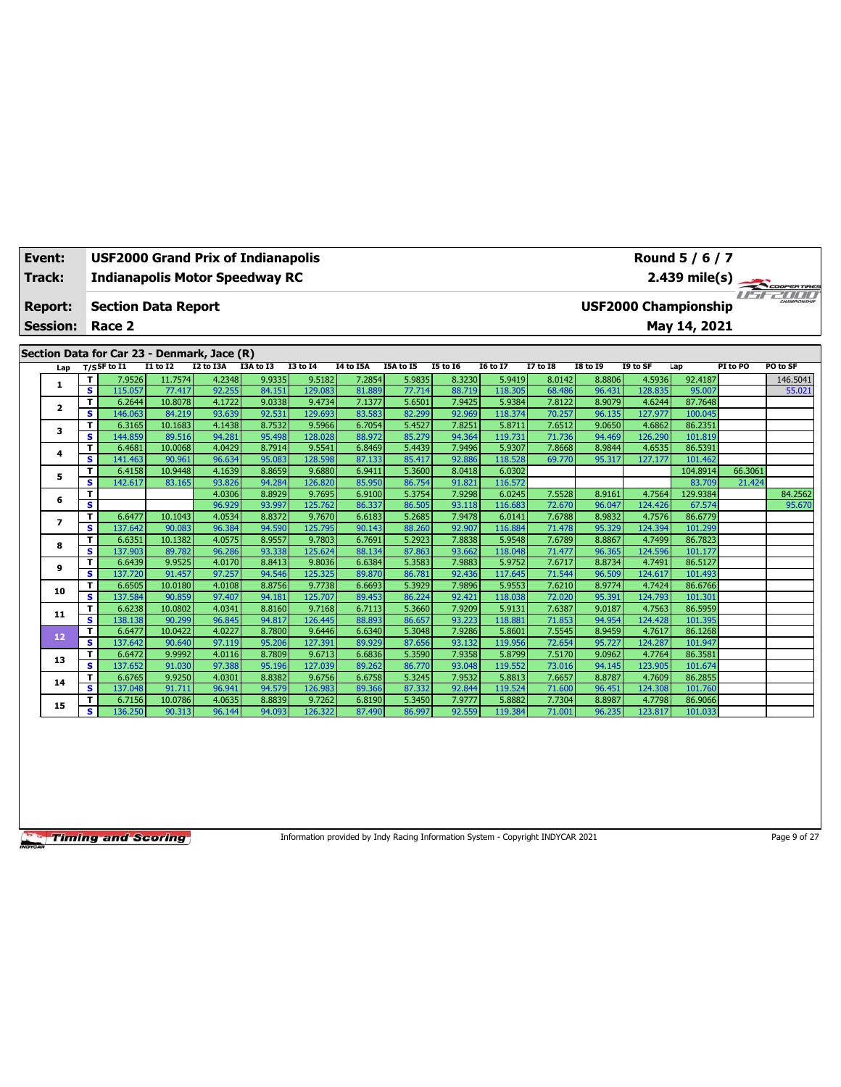| Event:                   |                              | USF2000 Grand Prix of Indianapolis          |                   |                  |                  |                   |                  |                  |                  |                   |                  |                  |                   | Round 5 / 6 / 7             |          |                    |
|--------------------------|------------------------------|---------------------------------------------|-------------------|------------------|------------------|-------------------|------------------|------------------|------------------|-------------------|------------------|------------------|-------------------|-----------------------------|----------|--------------------|
| Track:                   |                              | <b>Indianapolis Motor Speedway RC</b>       |                   |                  |                  |                   |                  |                  |                  |                   |                  |                  |                   | $2.439$ mile(s)             |          |                    |
| <b>Report:</b>           |                              | <b>Section Data Report</b>                  |                   |                  |                  |                   |                  |                  |                  |                   |                  |                  |                   | <b>USF2000 Championship</b> |          | <b>COOPERTIRES</b> |
| <b>Session:</b>          |                              | Race 2                                      |                   |                  |                  |                   |                  |                  |                  |                   |                  |                  |                   | May 14, 2021                |          |                    |
|                          |                              |                                             |                   |                  |                  |                   |                  |                  |                  |                   |                  |                  |                   |                             |          |                    |
|                          |                              | Section Data for Car 23 - Denmark, Jace (R) |                   |                  |                  |                   |                  |                  |                  |                   |                  |                  |                   |                             |          |                    |
| Lap                      |                              | $T/S$ SF to I1                              | $I1$ to $I2$      | I2 to I3A        | I3A to I3        | <b>I3 to I4</b>   | I4 to I5A        | I5A to I5        | <b>I5 to 16</b>  | <b>I6 to I7</b>   | 17 to 18         | <b>I8 to 19</b>  | I9 to SF          | Lap                         | PI to PO | PO to SF           |
| 1                        | T                            | 7.9526                                      | 11.7574           | 4.2348           | 9.9335           | 9.5182            | 7.2854           | 5.9835           | 8.3230           | 5.9419            | 8.0142           | 8.8806           | 4.5936            | 92.4187                     |          | 146.5041           |
|                          | S                            | 115.057                                     | 77.417            | 92.255           | 84.151<br>9.0338 | 129.083           | 81.889           | 77.714           | 88.719           | 118.305           | 68.486           | 96.431<br>8.9079 | 128.835           | 95.007                      |          | 55.021             |
| $\overline{\mathbf{2}}$  | T<br>$\overline{\mathbf{s}}$ | 6.2644<br>146.063                           | 10.8078<br>84.219 | 4.1722<br>93.639 | 92.531           | 9.4734<br>129.693 | 7.1377<br>83.583 | 5.6501<br>82.299 | 7.9425<br>92.969 | 5.9384<br>118.374 | 7.8122<br>70.257 | 96.135           | 4.6244<br>127.977 | 87.7648<br>100.045          |          |                    |
|                          | T                            | 6.3165                                      | 10.1683           | 4.1438           | 8.7532           | 9.5966            | 6.7054           | 5.4527           | 7.8251           | 5.8711            | 7.6512           | 9.0650           | 4.6862            | 86.2351                     |          |                    |
| 3                        | s                            | 144.859                                     | 89.516            | 94.281           | 95.498           | 128.028           | 88.972           | 85.279           | 94.364           | 119.73:           | 71.736           | 94.469           | 126.290           | 101.819                     |          |                    |
|                          | T                            | 6.4681                                      | 10.0068           | 4.0429           | 8.7914           | 9.5541            | 6.8469           | 5.4439           | 7.9496           | 5.9307            | 7.8668           | 8.9844           | 4.6535            | 86.5391                     |          |                    |
| 4                        | s                            | 141.463                                     | 90.961            | 96.634           | 95.083           | 128.598           | 87.133           | 85.417           | 92.886           | 118.528           | 69.770           | 95.317           | 127.177           | 101.462                     |          |                    |
|                          | T                            | 6.4158                                      | 10.9448           | 4.1639           | 8.8659           | 9.6880            | 6.9411           | 5.3600           | 8.0418           | 6.0302            |                  |                  |                   | 104.8914                    | 66.3061  |                    |
| 5                        | s                            | 142.617                                     | 83.165            | 93.826           | 94.284           | 126,820           | 85.950           | 86.754           | 91.821           | 116.572           |                  |                  |                   | 83.709                      | 21.424   |                    |
| 6                        | т                            |                                             |                   | 4.0306           | 8.8929           | 9.7695            | 6.9100           | 5.3754           | 7.9298           | 6.0245            | 7.5528           | 8.9161           | 4.7564            | 129.9384                    |          | 84.2562            |
|                          | s                            |                                             |                   | 96.929           | 93.997           | 125.762           | 86.337           | 86.505           | 93.118           | 116.683           | 72.670           | 96.047           | 124.426           | 67.574                      |          | 95.670             |
| $\overline{\phantom{a}}$ | T                            | 6.6477                                      | 10.1043           | 4.0534           | 8.8372           | 9.7670            | 6.6183           | 5.2685           | 7.9478           | 6.0141            | 7.6788           | 8.9832           | 4.7576            | 86.6779                     |          |                    |
|                          | $\overline{\mathbf{s}}$      | 137.642                                     | 90.083            | 96.384           | 94.590           | 125.795           | 90.143           | 88.260           | 92.907           | 116.884           | 71.478           | 95.329           | 124.394           | 101.299                     |          |                    |
| 8                        | т                            | 6.6351                                      | 10.1382           | 4.0575           | 8.9557           | 9.7803            | 6.7691           | 5.2923           | 7.8838           | 5.9548            | 7.6789           | 8.8867           | 4.7499            | 86.7823                     |          |                    |
|                          | s                            | 137.903                                     | 89.782            | 96.286           | 93.338           | 125.624           | 88.134           | 87.863           | 93.662           | 118.048           | 71.477           | 96.365           | 124.596           | 101.177                     |          |                    |
| 9                        | T<br>s                       | 6.6439<br>137.720                           | 9.9525<br>91.457  | 4.0170<br>97.257 | 8.8413<br>94.546 | 9.8036<br>125.325 | 6.6384<br>89.870 | 5.3583<br>86.781 | 7.9883<br>92.436 | 5.9752<br>117.645 | 7.6717<br>71.544 | 8.8734<br>96.509 | 4.7491<br>124.617 | 86.5127<br>101.493          |          |                    |
|                          | T                            | 6.6505                                      | 10.0180           | 4.0108           | 8.8756           | 9.7738            | 6.6693           | 5.3929           | 7.9896           | 5.9553            | 7.6210           | 8.9774           | 4.7424            | 86.6766                     |          |                    |
| 10                       | s                            | 137.584                                     | 90.859            | 97.407           | 94.181           | 125.707           | 89.453           | 86.224           | 92.421           | 118.038           | 72.020           | 95.391           | 124.793           | 101.301                     |          |                    |
|                          | T                            | 6.6238                                      | 10.0802           | 4.0341           | 8.8160           | 9.7168            | 6.7113           | 5.3660           | 7.9209           | 5.9131            | 7.6387           | 9.0187           | 4.7563            | 86.5959                     |          |                    |
| 11                       | s                            | 138.138                                     | 90.299            | 96.845           | 94.817           | 126.445           | 88.893           | 86.657           | 93.223           | 118.88            | 71.853           | 94.954           | 124.428           | 101.395                     |          |                    |
|                          | T                            | 6.6477                                      | 10.0422           | 4.0227           | 8.7800           | 9.6446            | 6.6340           | 5.3048           | 7.9286           | 5.8601            | 7.5545           | 8.9459           | 4.7617            | 86.1268                     |          |                    |
| 12                       | s                            | 137.642                                     | 90.640            | 97.119           | 95.206           | 127.391           | 89.929           | 87.656           | 93.132           | 119.956           | 72.654           | 95.727           | 124.287           | 101.947                     |          |                    |
| 13                       | T                            | 6.6472                                      | 9.9992            | 4.0116           | 8.7809           | 9.6713            | 6.6836           | 5.3590           | 7.9358           | 5.8799            | 7.5170           | 9.0962           | 4.7764            | 86.3581                     |          |                    |
|                          | $\overline{\mathbf{s}}$      | 137.652                                     | 91.030            | 97.388           | 95.196           | 127.039           | 89.262           | 86.770           | 93.048           | 119.552           | 73.016           | 94.145           | 123.905           | 101.674                     |          |                    |
| 14                       | T                            | 6.6765                                      | 9.9250            | 4.0301           | 8.8382           | 9.6756            | 6.6758           | 5.3245           | 7.9532           | 5.8813            | 7.6657           | 8.8787           | 4.7609            | 86.2855                     |          |                    |
|                          | s                            | 137.048                                     | 91.711            | 96.941           | 94.579           | 126.983           | 89.366           | 87.332           | 92.844           | 119.524           | 71.600           | 96.451           | 124.308           | 101.760                     |          |                    |
| 15                       | т                            | 6.7156                                      | 10.0786           | 4.0635           | 8.8839           | 9.7262            | 6.8190           | 5.3450           | 7.9777           | 5.8882            | 7.7304           | 8.8987           | 4.7798            | 86.9066                     |          |                    |
|                          | s                            | 136.250                                     | 90.313            | 96.144           | 94.093           | 126.322           | 87.490           | 86.997           | 92.559           | 119.384           | 71.001           | 96.235           | 123.817           | 101.033                     |          |                    |

Information provided by Indy Racing Information System - Copyright INDYCAR 2021 Page 9 of 27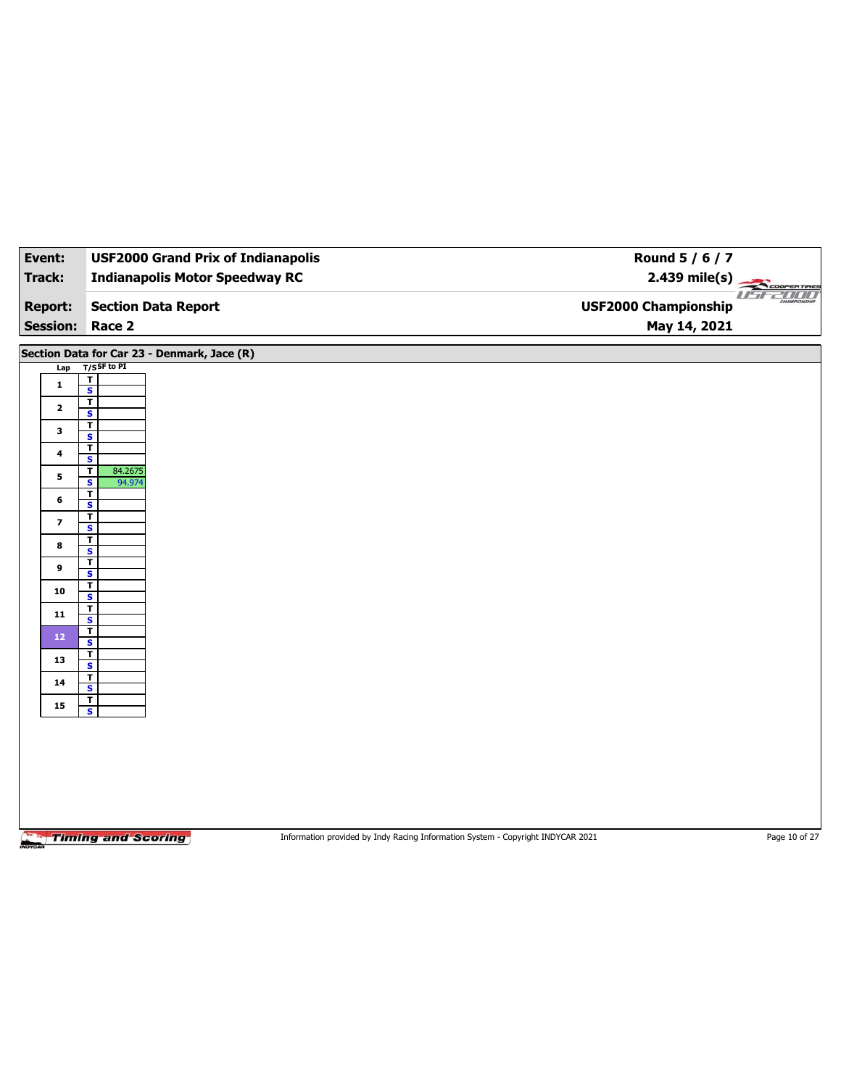| Event:                            | <b>USF2000 Grand Prix of Indianapolis</b>          |                                                                                 | Round 5 / 6 / 7                             |               |
|-----------------------------------|----------------------------------------------------|---------------------------------------------------------------------------------|---------------------------------------------|---------------|
| Track:                            | <b>Indianapolis Motor Speedway RC</b>              |                                                                                 | $2.439$ mile(s)                             | COOPERTIRES   |
| <b>Report:</b><br><b>Session:</b> | <b>Section Data Report</b><br>Race 2               |                                                                                 | <b>USF2000 Championship</b><br>May 14, 2021 | USE2000       |
|                                   |                                                    |                                                                                 |                                             |               |
|                                   | Section Data for Car 23 - Denmark, Jace (R)        |                                                                                 |                                             |               |
| Lap                               | $T/S$ SF to PI<br>$\overline{1}$                   |                                                                                 |                                             |               |
| 1                                 | $\overline{\mathbf{s}}$                            |                                                                                 |                                             |               |
| $\mathbf{2}$                      | $\overline{1}$<br>S                                |                                                                                 |                                             |               |
| $\mathbf{3}$                      | $\mathbf{T}$<br>$\overline{\mathbf{s}}$            |                                                                                 |                                             |               |
| $\overline{\mathbf{4}}$           | $\overline{\mathbf{r}}$                            |                                                                                 |                                             |               |
|                                   | $\mathbf{s}$<br>$\mathbf{T}$<br>84.2675            |                                                                                 |                                             |               |
| 5                                 | 94.974<br>$\overline{\mathbf{s}}$                  |                                                                                 |                                             |               |
| 6                                 | T<br>$\mathsf{s}$                                  |                                                                                 |                                             |               |
| $\overline{\mathbf{z}}$           | $\overline{1}$<br>$\overline{\mathbf{s}}$          |                                                                                 |                                             |               |
| 8                                 | T                                                  |                                                                                 |                                             |               |
|                                   | S<br>$\overline{\mathsf{r}}$                       |                                                                                 |                                             |               |
| 9                                 | $\overline{\mathbf{s}}$<br>$\overline{\mathbf{r}}$ |                                                                                 |                                             |               |
| 10                                | $\mathbf{s}$                                       |                                                                                 |                                             |               |
| ${\bf 11}$                        | $\overline{\mathbf{r}}$<br>$\overline{\mathbf{s}}$ |                                                                                 |                                             |               |
| 12                                | $\mathbf{T}$<br>$\mathbf{s}$                       |                                                                                 |                                             |               |
| 13                                | $\overline{\mathbf{r}}$                            |                                                                                 |                                             |               |
|                                   | $\overline{\mathbf{s}}$<br>$\overline{\mathbf{r}}$ |                                                                                 |                                             |               |
| ${\bf 14}$                        | $\overline{\mathbf{s}}$<br>$\overline{\mathbf{r}}$ |                                                                                 |                                             |               |
| 15                                | $\overline{\mathbf{s}}$                            |                                                                                 |                                             |               |
|                                   |                                                    |                                                                                 |                                             |               |
|                                   |                                                    |                                                                                 |                                             |               |
|                                   |                                                    |                                                                                 |                                             |               |
|                                   |                                                    |                                                                                 |                                             |               |
|                                   |                                                    |                                                                                 |                                             |               |
|                                   |                                                    |                                                                                 |                                             |               |
|                                   | <b>Timing and Scoring</b>                          | Information provided by Indy Racing Information System - Copyright INDYCAR 2021 |                                             | Page 10 of 27 |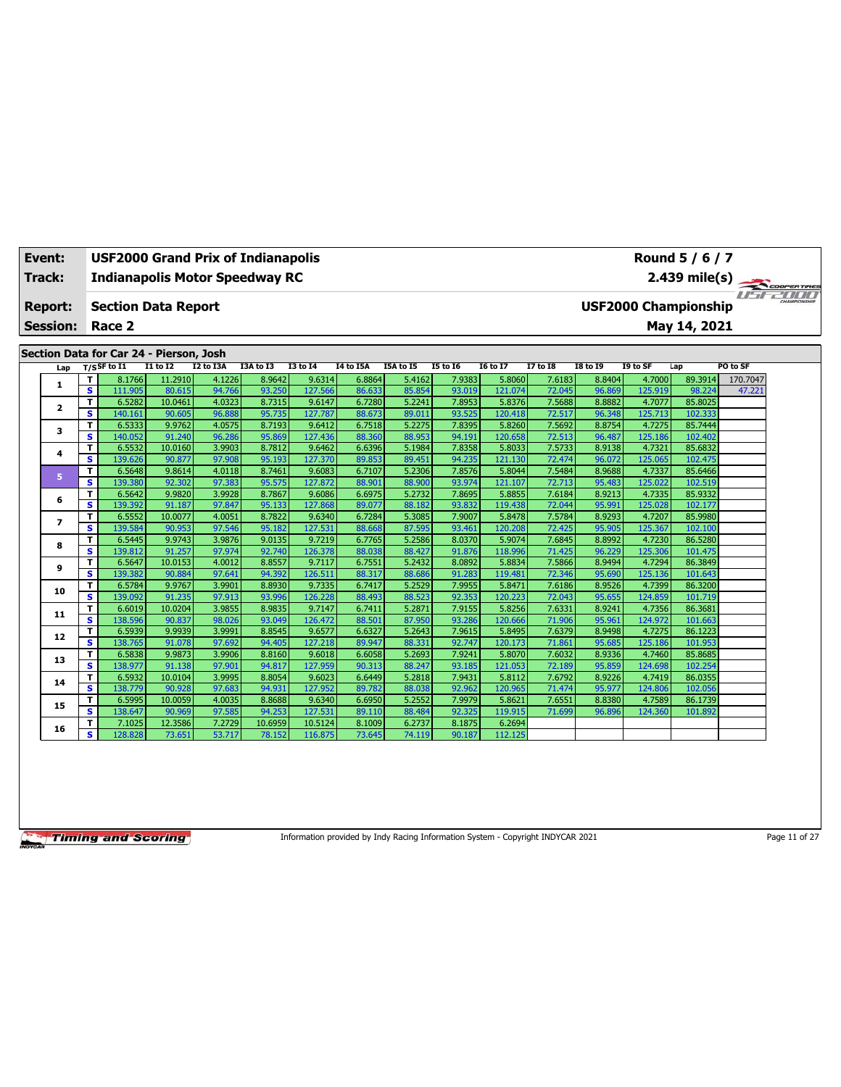| Event:          |                         | <b>USF2000 Grand Prix of Indianapolis</b> |                   |                  |                  |                    |                  |                  |                  |                   |                  |                  |                   | Round 5 / 6 / 7             |          |  |
|-----------------|-------------------------|-------------------------------------------|-------------------|------------------|------------------|--------------------|------------------|------------------|------------------|-------------------|------------------|------------------|-------------------|-----------------------------|----------|--|
| Track:          |                         | <b>Indianapolis Motor Speedway RC</b>     |                   |                  |                  |                    |                  |                  |                  |                   |                  |                  |                   | 2.439 mile(s)               |          |  |
|                 |                         |                                           |                   |                  |                  |                    |                  |                  |                  |                   |                  |                  |                   |                             |          |  |
| <b>Report:</b>  |                         | <b>Section Data Report</b>                |                   |                  |                  |                    |                  |                  |                  |                   |                  |                  |                   | <b>USF2000 Championship</b> |          |  |
| <b>Session:</b> |                         | Race 2                                    |                   |                  |                  |                    |                  |                  |                  |                   |                  |                  |                   | May 14, 2021                |          |  |
|                 |                         |                                           |                   |                  |                  |                    |                  |                  |                  |                   |                  |                  |                   |                             |          |  |
|                 |                         | Section Data for Car 24 - Pierson, Josh   |                   |                  |                  |                    |                  |                  |                  |                   |                  |                  |                   |                             |          |  |
| Lap             |                         | $T/S$ SF to $I1$                          | <b>I1 to I2</b>   | I2 to I3A        | I3A to I3        | <b>I3 to 14</b>    | <b>I4 to I5A</b> | I5A to I5        | <b>I5 to 16</b>  | <b>I6 to I7</b>   | <b>I7 to I8</b>  | <b>I8 to 19</b>  | I9 to SF          | Lap                         | PO to SF |  |
| 1               | т                       | 8.1766                                    | 11.2910           | 4.1226           | 8.9642           | 9.6314             | 6.8864           | 5.4162           | 7.9383           | 5.8060            | 7.6183           | 8.8404           | 4.7000            | 89.3914                     | 170.7047 |  |
|                 | s                       | 111.905                                   | 80.615            | 94.766           | 93.250           | 127.566            | 86.633           | 85.854           | 93.019           | 121.074           | 72.045           | 96.869           | 125.919           | 98.224                      | 47.221   |  |
| $\mathbf{z}$    | T                       | 6.5282                                    | 10.0461           | 4.0323           | 8.7315           | 9.6147             | 6.7280           | 5.2241           | 7.8953           | 5.8376            | 7.5688           | 8.8882           | 4.7077            | 85.8025                     |          |  |
|                 | s                       | 140.161                                   | 90.605            | 96.888           | 95.735           | 127.787            | 88.673           | 89.011           | 93.525           | 120.418           | 72.517           | 96.348           | 125.713           | 102.333                     |          |  |
| 3               | T                       | 6.5333                                    | 9.9762            | 4.0575           | 8.7193           | 9.6412             | 6.7518           | 5.2275           | 7.8395           | 5.8260            | 7.5692           | 8.8754           | 4.7275            | 85.7444<br>102.402          |          |  |
|                 | s<br>T                  | 140.052<br>6.5532                         | 91.240<br>10.0160 | 96.286<br>3.9903 | 95.869<br>8.7812 | 127.436<br>9.6462  | 88.360<br>6.6396 | 88.953<br>5.1984 | 94.191<br>7.8358 | 120.658<br>5.8033 | 72.513<br>7.5733 | 96.487<br>8.9138 | 125.186<br>4.7321 | 85.6832                     |          |  |
| 4               | s                       | 139.626                                   | 90.877            | 97.908           | 95.193           | 127.370            | 89.853           | 89.451           | 94.235           | 121.130           | 72.474           | 96.072           | 125.065           | 102.475                     |          |  |
|                 | T                       | 6.5648                                    | 9.8614            | 4.0118           | 8.7461           | 9.6083             | 6.7107           | 5.2306           | 7.8576           | 5.8044            | 7.5484           | 8.9688           | 4.7337            | 85.6466                     |          |  |
| 5               | s                       | 139.380                                   | 92.302            | 97.383           | 95.575           | 127,872            | 88.901           | 88.900           | 93.974           | 121.107           | 72.713           | 95.483           | 125.022           | 102.519                     |          |  |
|                 | T                       | 6.5642                                    | 9.9820            | 3.9928           | 8.7867           | 9.6086             | 6.6975           | 5.2732           | 7.8695           | 5.8855            | 7.6184           | 8.9213           | 4.7335            | 85.9332                     |          |  |
| 6               | S                       | 139.392                                   | 91.187            | 97.847           | 95.133           | 127.868            | 89.077           | 88.182           | 93.832           | 119.438           | 72.044           | 95.991           | 125.028           | 102.177                     |          |  |
|                 | T                       | 6.5552                                    | 10.0077           | 4.0051           | 8.7822           | 9.6340             | 6.7284           | 5.3085           | 7.9007           | 5.8478            | 7.5784           | 8.9293           | 4.7207            | 85.9980                     |          |  |
| $\overline{ }$  | s                       | 139.584                                   | 90.953            | 97.546           | 95.182           | 127.531            | 88.668           | 87.595           | 93.461           | 120,208           | 72.425           | 95.905           | 125.367           | 102.100                     |          |  |
|                 | T                       | 6.5445                                    | 9.9743            | 3.9876           | 9.0135           | 9.7219             | 6.7765           | 5.2586           | 8.0370           | 5.9074            | 7.6845           | 8.8992           | 4.7230            | 86.5280                     |          |  |
| 8               | s                       | 139.812                                   | 91.257            | 97.974           | 92.740           | 126.378            | 88.038           | 88.427           | 91.876           | 118.996           | 71.425           | 96.229           | 125.306           | 101.475                     |          |  |
|                 | T                       | 6.5647                                    | 10.0153           | 4.0012           | 8.8557           | 9.7117             | 6.7551           | 5.2432           | 8.0892           | 5.8834            | 7.5866           | 8.9494           | 4.7294            | 86.3849                     |          |  |
| 9               | $\overline{\mathbf{s}}$ | 139.382                                   | 90.884            | 97.641           | 94.392           | 126.511            | 88.317           | 88.686           | 91.283           | 119.48            | 72.346           | 95.690           | 125.136           | 101.643                     |          |  |
| 10              | T                       | 6.5784                                    | 9.9767            | 3.9901           | 8.8930           | 9.7335             | 6.7417           | 5.2529           | 7.9955           | 5.8471            | 7.6186           | 8.9526           | 4.7399            | 86.3200                     |          |  |
|                 | s                       | 139.092                                   | 91.235            | 97.913           | 93.996           | 126.228            | 88.493           | 88.523           | 92.353           | 120,223           | 72.043           | 95.655           | 124.859           | 101.719                     |          |  |
| 11              | T                       | 6.6019                                    | 10.0204           | 3.9855           | 8.9835           | 9.7147             | 6.7411           | 5.2871           | 7.9155           | 5.8256            | 7.6331           | 8.9241           | 4.7356            | 86.3681                     |          |  |
|                 | s                       | 138.596                                   | 90.837            | 98.026           | 93.049           | 126.472            | 88.501           | 87.950           | 93.286           | 120.666           | 71.906           | 95.961           | 124.972           | 101.663                     |          |  |
| 12              | т                       | 6.5939                                    | 9.9939            | 3.9991           | 8.8545           | 9.6577             | 6.6327           | 5.2643           | 7.9615           | 5.8495            | 7.6379           | 8.9498           | 4.7275            | 86.1223                     |          |  |
|                 | s.                      | 138.765                                   | 91.078            | 97.692           | 94.405           | 127.218            | 89.947           | 88.331           | 92.747           | 120.173           | 71.861           | 95.685           | 125.186           | 101.953                     |          |  |
| 13              | T                       | 6.5838                                    | 9.9873            | 3.9906           | 8.8160           | 9.6018             | 6.6058           | 5.2693           | 7.9241           | 5.8070            | 7.6032           | 8.9336           | 4.7460            | 85.8685                     |          |  |
|                 | s                       | 138.977                                   | 91.138            | 97.901           | 94.817           | 127.959            | 90.313           | 88.247           | 93.185           | 121.053           | 72.189           | 95.859           | 124.698           | 102.254                     |          |  |
| 14              | т                       | 6.5932                                    | 10.0104           | 3.9995           | 8.8054           | 9.6023             | 6.6449           | 5.2818           | 7.9431           | 5.8112            | 7.6792           | 8.9226           | 4.7419            | 86.0355                     |          |  |
|                 | s.                      | 138.779                                   | 90.928            | 97.683           | 94.931           | 127.952            | 89.782           | 88.03            | 92.962           | 120.965           | 71.474           | 95.977           | 124.806           | 102.056                     |          |  |
| 15              | T<br>s                  | 6.5995                                    | 10.0059<br>90.969 | 4.0035<br>97.585 | 8.8688<br>94.253 | 9.6340             | 6.6950           | 5.2552           | 7.9979<br>92.325 | 5.8621            | 7.6551           | 8.8380           | 4.7589            | 86.1739                     |          |  |
|                 | т                       | 138.647<br>7.1025                         | 12.3586           | 7.2729           | 10.6959          | 127.531<br>10.5124 | 89.110<br>8.1009 | 88.484<br>6.2737 | 8.1875           | 119.915<br>6.2694 | 71.699           | 96.896           | 124.360           | 101.892                     |          |  |
| 16              | s.                      | 128.828                                   | 73.651            | 53.717           | 78.152           | 116.875            | 73.645           | 74.119           | 90.187           | 112.125           |                  |                  |                   |                             |          |  |
|                 |                         |                                           |                   |                  |                  |                    |                  |                  |                  |                   |                  |                  |                   |                             |          |  |

Information provided by Indy Racing Information System - Copyright INDYCAR 2021 Page 11 of 27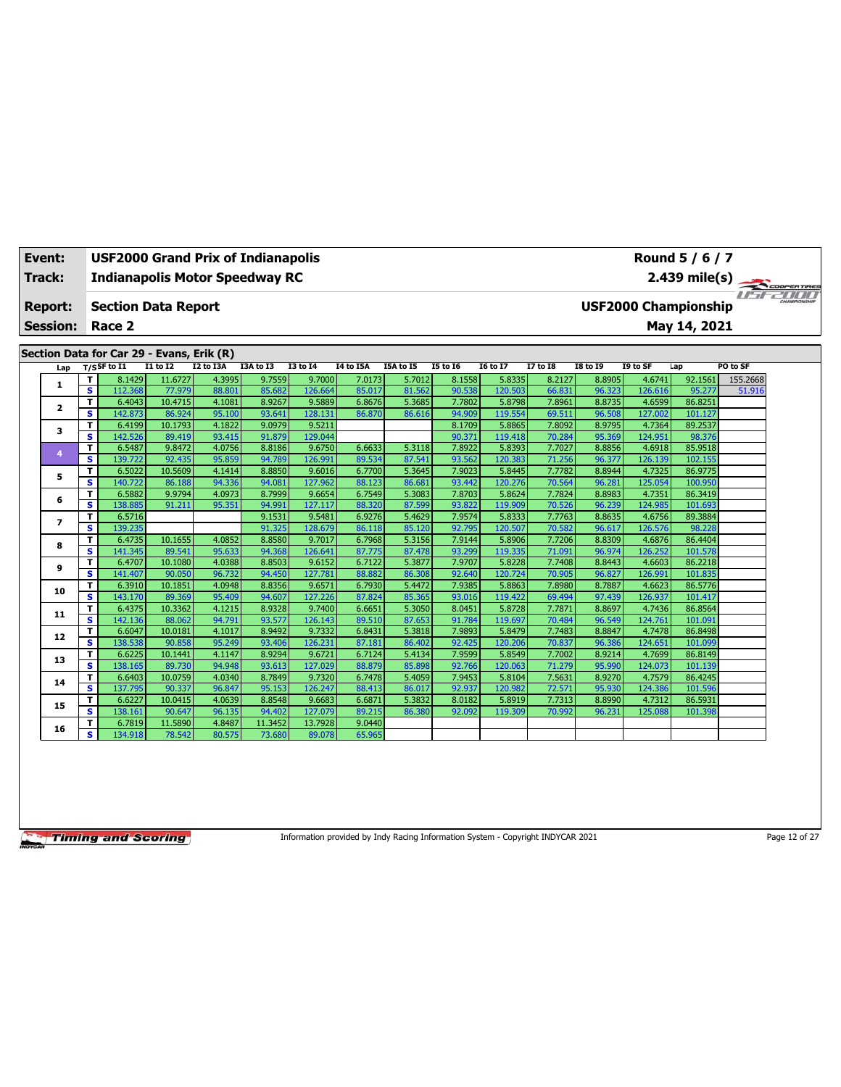| Event:          | <b>USF2000 Grand Prix of Indianapolis</b><br>Round 5 / 6 / 7<br>2.439 mile(s)<br><b>Indianapolis Motor Speedway RC</b> |                                           |                  |                  |                  |                   |                  |                  |                  |                   |                  |                  |                   |                             |          |  |
|-----------------|------------------------------------------------------------------------------------------------------------------------|-------------------------------------------|------------------|------------------|------------------|-------------------|------------------|------------------|------------------|-------------------|------------------|------------------|-------------------|-----------------------------|----------|--|
| Track:          |                                                                                                                        |                                           |                  |                  |                  |                   |                  |                  |                  |                   |                  |                  |                   |                             |          |  |
| <b>Report:</b>  |                                                                                                                        | <b>Section Data Report</b>                |                  |                  |                  |                   |                  |                  |                  |                   |                  |                  |                   | <b>USF2000 Championship</b> |          |  |
| <b>Session:</b> |                                                                                                                        | Race 2                                    |                  |                  |                  |                   |                  |                  |                  |                   |                  |                  |                   | May 14, 2021                |          |  |
|                 |                                                                                                                        |                                           |                  |                  |                  |                   |                  |                  |                  |                   |                  |                  |                   |                             |          |  |
|                 |                                                                                                                        | Section Data for Car 29 - Evans, Erik (R) |                  |                  |                  |                   |                  |                  |                  |                   |                  |                  |                   |                             |          |  |
| Lap             |                                                                                                                        | $T/S$ SF to I1                            | <b>I1 to I2</b>  | I2 to I3A        | I3A to I3        | <b>I3 to 14</b>   | I4 to I5A        | <b>I5A to I5</b> | <b>I5 to 16</b>  | <b>16 to 17</b>   | 17 to 18         | <b>18 to 19</b>  | I9 to SF          | Lap                         | PO to SF |  |
|                 | т                                                                                                                      | 8.1429                                    | 11.6727          | 4.3995           | 9.7559           | 9.7000            | 7.0173           | 5.7012           | 8.1558           | 5.8335            | 8.2127           | 8.8905           | 4.6741            | 92.1561                     | 155.2668 |  |
| 1               | $\overline{\mathbf{s}}$                                                                                                | 112.368                                   | 77.979           | 88.801           | 85.682           | 126.664           | 85.017           | 81.562           | 90.538           | 120.503           | 66.831           | 96.323           | 126.616           | 95.277                      | 51.916   |  |
| 2               | T                                                                                                                      | 6.4043                                    | 10.4715          | 4.1081           | 8.9267           | 9.5889            | 6.8676           | 5.3685           | 7.7802           | 5.8798            | 7.8961           | 8.8735           | 4.6599            | 86.8251                     |          |  |
|                 | s                                                                                                                      | 142.873                                   | 86.924           | 95.100           | 93.641           | 128.131           | 86.870           | 86.616           | 94.909           | 119.554           | 69.511           | 96.508           | 127.002           | 101.127                     |          |  |
| 3               | т                                                                                                                      | 6.4199                                    | 10.1793          | 4.1822           | 9.0979           | 9.5211            |                  |                  | 8.1709           | 5.8865            | 7.8092           | 8.9795           | 4.7364            | 89.2537                     |          |  |
|                 | s                                                                                                                      | 142.526                                   | 89.419           | 93.415           | 91.879           | 129.044           |                  |                  | 90.371           | 119,418           | 70.284           | 95.369           | 124.951           | 98.376                      |          |  |
| 4               | T                                                                                                                      | 6.5487                                    | 9.8472           | 4.0756           | 8.8186           | 9.6750            | 6.6633           | 5.3118           | 7.8922           | 5.8393            | 7.7027           | 8.8856           | 4.6918            | 85.9518                     |          |  |
|                 | s                                                                                                                      | 139.722                                   | 92.435           | 95.859           | 94.789           | 126.991           | 89.534           | 87.541           | 93.562           | 120.383           | 71.256           | 96.377           | 126.139           | 102.155                     |          |  |
| 5               | т                                                                                                                      | 6.5022                                    | 10.5609          | 4.1414           | 8.8850           | 9.6016            | 6.7700           | 5.3645           | 7.9023           | 5.8445            | 7.7782           | 8.8944           | 4.7325            | 86.9775                     |          |  |
|                 | s                                                                                                                      | 140.722                                   | 86.188           | 94.336           | 94.081           | 127.962           | 88.123           | 86.681           | 93.442           | 120,276           | 70.564           | 96.281           | 125.054           | 100.950                     |          |  |
| 6               | т<br>s.                                                                                                                | 6.5882<br>138.885                         | 9.9794<br>91.211 | 4.0973<br>95.351 | 8.7999<br>94.991 | 9.6654<br>127.117 | 6.7549<br>88.320 | 5.3083<br>87.599 | 7.8703<br>93.822 | 5.8624<br>119.909 | 7.7824           | 8.8983<br>96.239 | 4.7351<br>124.985 | 86.3419<br>101.693          |          |  |
|                 | т                                                                                                                      | 6.5716                                    |                  |                  | 9.1531           | 9.5481            | 6.9276           | 5.4629           | 7.9574           | 5.8333            | 70.526<br>7.7763 | 8.8635           | 4.6756            | 89.3884                     |          |  |
| $\overline{ }$  | s                                                                                                                      | 139.235                                   |                  |                  | 91.325           | 128.679           | 86.118           | 85.120           | 92.795           | 120.507           | 70.582           | 96.617           | 126.576           | 98.228                      |          |  |
|                 | T                                                                                                                      | 6.4735                                    | 10.1655          | 4.0852           | 8.8580           | 9.7017            | 6.7968           | 5.3156           | 7.9144           | 5.8906            | 7.7206           | 8.8309           | 4.6876            | 86.4404                     |          |  |
| 8               | s                                                                                                                      | 141.345                                   | 89.541           | 95.633           | 94.368           | 126.641           | 87.775           | 87.478           | 93.299           | 119.335           | 71.091           | 96.974           | 126.252           | 101.578                     |          |  |
|                 | T                                                                                                                      | 6.4707                                    | 10.1080          | 4.0388           | 8.8503           | 9.6152            | 6.7122           | 5.3877           | 7.9707           | 5.8228            | 7.7408           | 8.8443           | 4.6603            | 86.2218                     |          |  |
| 9               | s                                                                                                                      | 141.407                                   | 90.050           | 96.732           | 94.450           | 127.781           | 88.882           | 86,308           | 92.640           | 120.724           | 70.905           | 96.827           | 126.991           | 101.835                     |          |  |
|                 | T                                                                                                                      | 6.3910                                    | 10.1851          | 4.0948           | 8.8356           | 9.6571            | 6.7930           | 5.4472           | 7.9385           | 5.8863            | 7.8980           | 8.7887           | 4.6623            | 86.5776                     |          |  |
| 10              | s                                                                                                                      | 143.170                                   | 89.369           | 95.409           | 94.607           | 127.226           | 87.824           | 85.365           | 93.016           | 119.422           | 69.494           | 97.439           | 126.937           | 101.417                     |          |  |
|                 | т                                                                                                                      | 6.4375                                    | 10.3362          | 4.1215           | 8.9328           | 9.7400            | 6.6651           | 5.3050           | 8.0451           | 5.8728            | 7.7871           | 8.8697           | 4.7436            | 86.8564                     |          |  |
| 11              | s                                                                                                                      | 142.136                                   | 88.062           | 94.791           | 93.577           | 126.143           | 89.510           | 87.653           | 91.784           | 119.697           | 70.484           | 96.549           | 124.761           | 101.091                     |          |  |
| 12              | T                                                                                                                      | 6.6047                                    | 10.0181          | 4.1017           | 8.9492           | 9.7332            | 6.8431           | 5.3818           | 7.9893           | 5.8479            | 7.7483           | 8.8847           | 4.7478            | 86.8498                     |          |  |
|                 | s                                                                                                                      | 138.538                                   | 90.858           | 95.249           | 93.406           | 126.231           | 87.181           | 86.402           | 92.425           | 120,206           | 70.837           | 96.386           | 124.651           | 101.099                     |          |  |
| 13              | T                                                                                                                      | 6.6225                                    | 10.1441          | 4.1147           | 8.9294           | 9.6721            | 6.7124           | 5.4134           | 7.9599           | 5.8549            | 7.7002           | 8.9214           | 4.7699            | 86.8149                     |          |  |
|                 | s                                                                                                                      | 138.165                                   | 89.730           | 94.948           | 93.613           | 127.029           | 88.879           | 85.898           | 92.766           | 120.063           | 71.279           | 95.990           | 124.073           | 101.139                     |          |  |
| 14              | т                                                                                                                      | 6.6403                                    | 10.0759          | 4.0340           | 8.7849           | 9.7320            | 6.7478           | 5.4059           | 7.9453           | 5.8104            | 7.5631           | 8.9270           | 4.7579            | 86.4245                     |          |  |
|                 | s                                                                                                                      | 137.795                                   | 90.337           | 96.847           | 95.153           | 126.247           | 88.413           | 86.017           | 92.937           | 120.982           | 72.571           | 95.930           | 124.386           | 101.596                     |          |  |
| 15              | T                                                                                                                      | 6.6227                                    | 10.0415          | 4.0639           | 8.8548           | 9.6683            | 6.6871           | 5.3832           | 8.0182           | 5.8919            | 7.7313           | 8.8990           | 4.7312            | 86.5931                     |          |  |
|                 | s                                                                                                                      | 138.161                                   | 90.647           | 96.135           | 94.402           | 127.079           | 89.215           | 86.380           | 92.092           | 119.309           | 70.992           | 96.231           | 125.088           | 101.398                     |          |  |
| 16              | T                                                                                                                      | 6.7819                                    | 11.5890          | 4.8487           | 11.3452          | 13.7928           | 9.0440           |                  |                  |                   |                  |                  |                   |                             |          |  |
|                 | s                                                                                                                      | 134.918                                   | 78.542           | 80.575           | 73.680           | 89.078            | 65.965           |                  |                  |                   |                  |                  |                   |                             |          |  |

Information provided by Indy Racing Information System - Copyright INDYCAR 2021 Page 12 of 27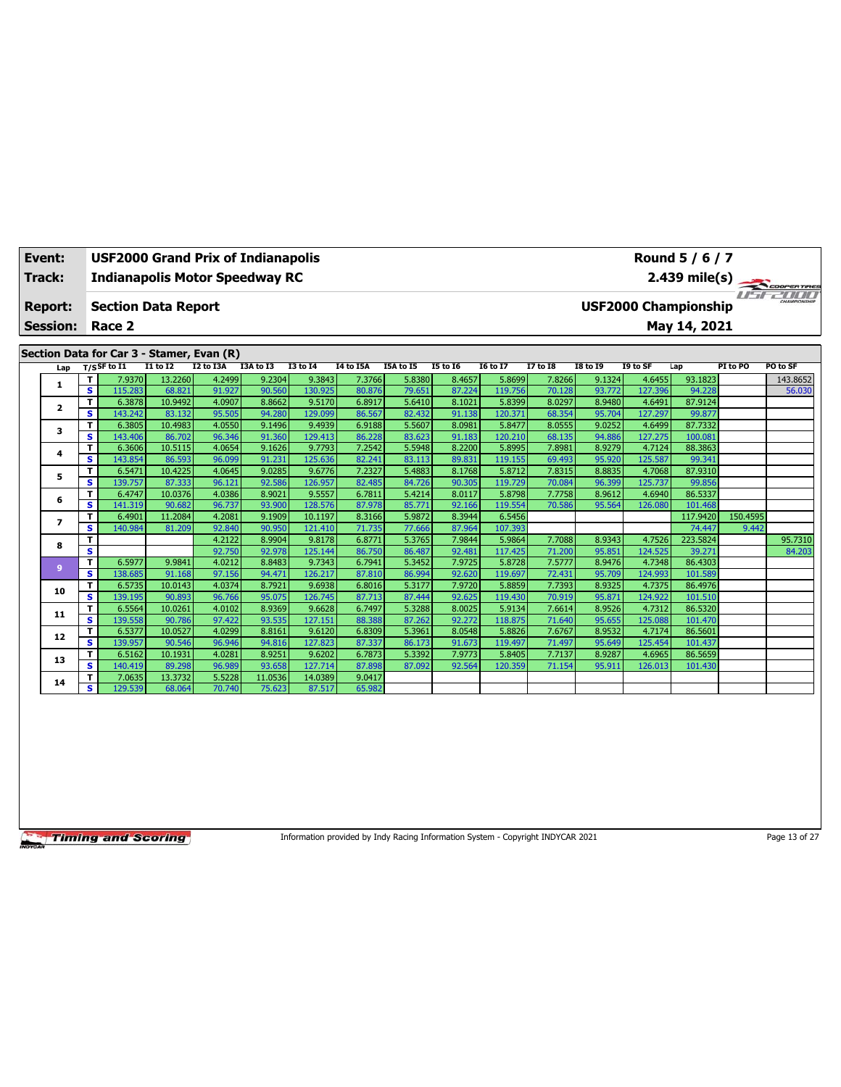| Event:          | USF2000 Grand Prix of Indianapolis        |                   |                  |                  |                   |                  |                  |                  |                   |                  |                  |                   | Round 5 / 6 / 7             |          |              |
|-----------------|-------------------------------------------|-------------------|------------------|------------------|-------------------|------------------|------------------|------------------|-------------------|------------------|------------------|-------------------|-----------------------------|----------|--------------|
| Track:          | <b>Indianapolis Motor Speedway RC</b>     |                   |                  |                  |                   |                  |                  |                  |                   |                  |                  |                   | $2.439$ mile(s)             |          | COOPER TIRES |
| <b>Report:</b>  | <b>Section Data Report</b>                |                   |                  |                  |                   |                  |                  |                  |                   |                  |                  |                   | <b>USF2000 Championship</b> | $H - F$  | CHAMPSONSHIP |
| <b>Session:</b> | Race 2                                    |                   |                  |                  |                   |                  |                  |                  |                   |                  |                  |                   | May 14, 2021                |          |              |
|                 | Section Data for Car 3 - Stamer, Evan (R) |                   |                  |                  |                   |                  |                  |                  |                   |                  |                  |                   |                             |          |              |
| Lap             | T/SSF to I1                               | I1 to I2          | I2 to I3A        | I3A to I3        | $I3$ to $I4$      | <b>I4 to I5A</b> | I5A to I5        | 15 to 16         | <b>16 to 17</b>   | $I7$ to $I8$     | <b>I8 to 19</b>  | I9 to SF          | Lap                         | PI to PO | PO to SF     |
| 1               | T<br>7.9370                               | 13.2260           | 4.2499           | 9.2304           | 9.3843            | 7.3766           | 5.8380           | 8.4657           | 5.8699            | 7.8266           | 9.1324           | 4.6455            | 93.1823                     |          | 143.8652     |
|                 | s<br>115.283                              | 68.821            | 91.927           | 90.560           | 130.925           | 80.876           | 79.651           | 87.224           | 119.756           | 70.128           | 93.772           | 127.396           | 94.228                      |          | 56.030       |
| $\mathbf{z}$    | 6.3878<br>T.                              | 10.9492           | 4.0907           | 8.8662           | 9.5170            | 6.8917           | 5.6410           | 8.1021           | 5.8399            | 8.0297           | 8.9480           | 4.6491            | 87.9124                     |          |              |
|                 | s<br>143.242                              | 83.132            | 95.505           | 94.280           | 129.099           | 86.567           | 82.432           | 91.138           | 120.371           | 68.354           | 95.704           | 127.297           | 99.877                      |          |              |
| 3               | т<br>6.3805                               | 10.4983           | 4.0550           | 9.1496           | 9.4939            | 6.9188           | 5.5607           | 8.0981           | 5.8477            | 8.0555           | 9.0252           | 4.6499            | 87.7332                     |          |              |
|                 | s<br>143.406                              | 86.702            | 96.346           | 91.360           | 129.413           | 86.228           | 83.623           | 91.183           | 120.210           | 68.135           | 94.886           | 127.275           | 100.081                     |          |              |
| 4               | T<br>6.3606                               | 10.5115           | 4.0654           | 9.1626           | 9.7793            | 7.2542           | 5.5948           | 8.2200           | 5.8995            | 7.8981           | 8.9279           | 4.7124            | 88.3863                     |          |              |
|                 | s<br>143.854                              | 86.593            | 96.099           | 91.231           | 125.636           | 82.241           | 83.113           | 89.831           | 119.155           | 69.493           | 95.920           | 125.587           | 99.341                      |          |              |
| 5               | т<br>6.5471<br>139.757                    | 10.4225<br>87.333 | 4.0645<br>96.121 | 9.0285<br>92.586 | 9.6776            | 7.2327           | 5.4883           | 8.1768<br>90.305 | 5.8712<br>119,729 | 7.8315<br>70.084 | 8.8835<br>96.399 | 4.7068<br>125.737 | 87.9310<br>99.856           |          |              |
|                 | s<br>6.4747<br>т                          | 10.0376           | 4.0386           | 8.9021           | 126.957<br>9.5557 | 82.485<br>6.7811 | 84.726<br>5.4214 | 8.0117           | 5.8798            | 7.7758           | 8.9612           | 4.6940            | 86.5337                     |          |              |
| 6               | s<br>141.319                              | 90.682            | 96.737           | 93.900           | 128.576           | 87.978           | 85.771           | 92.166           | 119.554           | 70.586           | 95.564           | 126.080           | 101.468                     |          |              |
|                 | 6.4901<br>т                               | 11.2084           | 4.2081           | 9.1909           | 10.1197           | 8.3166           | 5.9872           | 8.3944           | 6.5456            |                  |                  |                   | 117.9420                    | 150.4595 |              |
| $\overline{ }$  | s<br>140.984                              | 81.209            | 92.840           | 90.950           | 121.410           | 71.735           | 77.666           | 87.964           | 107.393           |                  |                  |                   | 74.447                      | 9.442    |              |
|                 | т                                         |                   | 4.2122           | 8.9904           | 9.8178            | 6.8771           | 5.3765           | 7.9844           | 5.9864            | 7.7088           | 8.9343           | 4.7526            | 223.5824                    |          | 95.7310      |
| 8               | s                                         |                   | 92.750           | 92.978           | 125.144           | 86.750           | 86.487           | 92.481           | 117.425           | 71.200           | 95.851           | 124.525           | 39.27                       |          | 84.203       |
|                 | T<br>6.5977                               | 9.9841            | 4.0212           | 8.8483           | 9.7343            | 6.7941           | 5.3452           | 7.9725           | 5.8728            | 7.5777           | 8.9476           | 4.7348            | 86.4303                     |          |              |
| $\overline{9}$  | s<br>138.685                              | 91.168            | 97.156           | 94.471           | 126.217           | 87.810           | 86.994           | 92.620           | 119.697           | 72.431           | 95.709           | 124.993           | 101.589                     |          |              |
|                 | 6.5735<br>т                               | 10.0143           | 4.0374           | 8.7921           | 9.6938            | 6.8016           | 5.3177           | 7.9720           | 5.8859            | 7.7393           | 8.9325           | 4.7375            | 86.4976                     |          |              |
| 10              | s<br>139.195                              | 90.893            | 96.766           | 95.075           | 126.745           | 87.713           | 87.444           | 92.625           | 119.430           | 70.919           | 95.871           | 124.922           | 101.510                     |          |              |
| 11              | T<br>6.5564                               | 10.0261           | 4.0102           | 8.9369           | 9.6628            | 6.7497           | 5.3288           | 8.0025           | 5.9134            | 7.6614           | 8.9526           | 4.7312            | 86.5320                     |          |              |
|                 | s<br>139.558                              | 90.786            | 97.422           | 93.535           | 127.151           | 88.388           | 87.262           | 92.272           | 118.875           | 71.640           | 95.655           | 125.088           | 101.470                     |          |              |
| 12              | T<br>6.5377                               | 10.0527           | 4.0299           | 8.8161           | 9.6120            | 6.8309           | 5.3961           | 8.0548           | 5.8826            | 7.6767           | 8.9532           | 4.7174            | 86.5601                     |          |              |
|                 | s<br>139.957                              | 90.546            | 96.946           | 94.816           | 127.823           | 87.337           | 86.173           | 91.673           | 119.497           | 71.497           | 95.649           | 125.454           | 101.437                     |          |              |
| 13              | 6.5162<br>т                               | 10.1931           | 4.0281           | 8.9251           | 9.6202            | 6.7873           | 5.3392           | 7.9773           | 5.8405            | 7.7137           | 8.9287           | 4.6965            | 86.5659                     |          |              |
|                 | s<br>140.419                              | 89.298            | 96.989           | 93.658           | 127.714           | 87.898           | 87.092           | 92.564           | 120.359           | 71.154           | 95.911           | 126.013           | 101.430                     |          |              |
| 14              | 7.0635<br>т                               | 13.3732           | 5.5228           | 11.0536          | 14.0389           | 9.0417           |                  |                  |                   |                  |                  |                   |                             |          |              |
|                 | s<br>129.539                              | 68.064            | 70.740           | 75.623           | 87.517            | 65.982           |                  |                  |                   |                  |                  |                   |                             |          |              |

Information provided by Indy Racing Information System - Copyright INDYCAR 2021 Page 13 of 27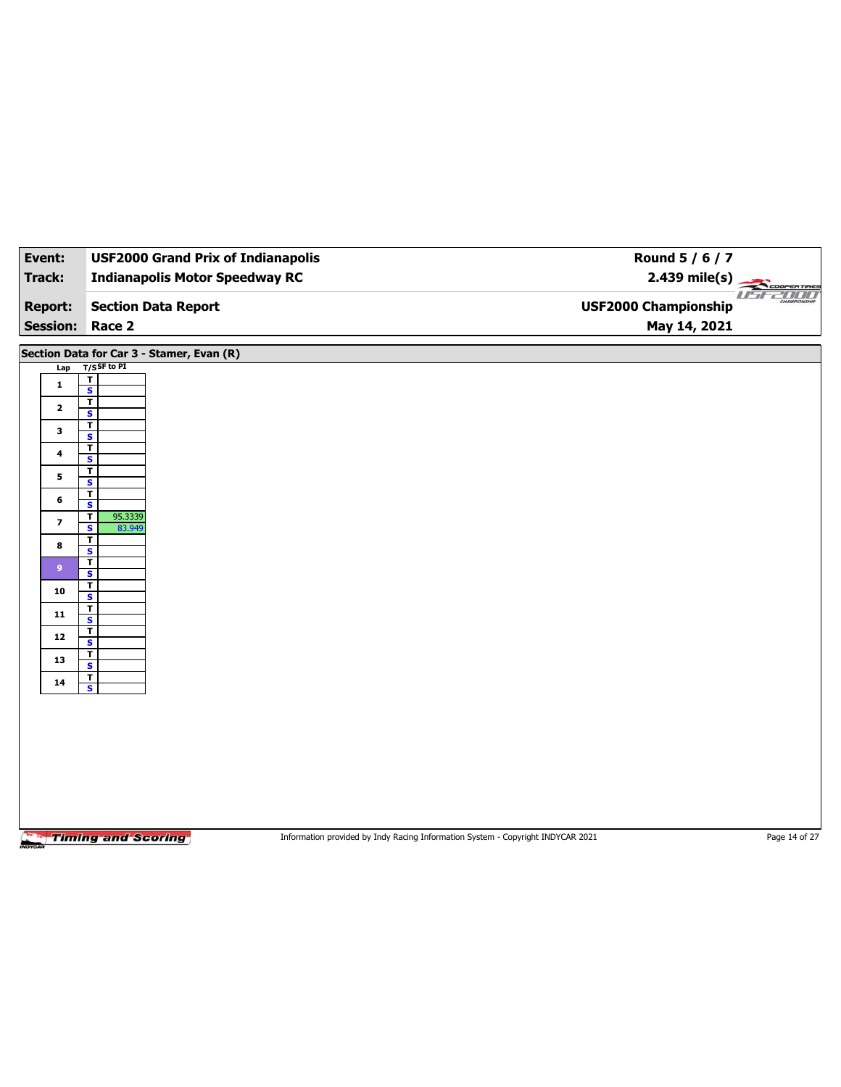| Event:                            | <b>USF2000 Grand Prix of Indianapolis</b>                    | Round 5 / 6 / 7                                                                 |               |
|-----------------------------------|--------------------------------------------------------------|---------------------------------------------------------------------------------|---------------|
| Track:                            | <b>Indianapolis Motor Speedway RC</b>                        | $2.439 \text{ mile(s)}$                                                         |               |
| <b>Report:</b><br><b>Session:</b> | <b>Section Data Report</b><br>Race 2                         | <b>USF2000 Championship</b><br>May 14, 2021                                     | useano        |
|                                   |                                                              |                                                                                 |               |
|                                   | Section Data for Car 3 - Stamer, Evan (R)                    |                                                                                 |               |
| Lap                               | $T/S$ SF to PI<br>T                                          |                                                                                 |               |
| $\mathbf{1}$                      | $\overline{\mathbf{s}}$                                      |                                                                                 |               |
| $\mathbf{2}$                      | $\overline{\mathbf{r}}$<br>$\overline{\mathbf{s}}$           |                                                                                 |               |
| $\mathbf{3}$                      | $\overline{\mathbf{r}}$                                      |                                                                                 |               |
|                                   | $\overline{\mathbf{s}}$<br>$\overline{\mathsf{r}}$           |                                                                                 |               |
| 4                                 | $\overline{\mathbf{s}}$                                      |                                                                                 |               |
| 5                                 | $\overline{\mathbf{r}}$<br>$\overline{\mathbf{s}}$           |                                                                                 |               |
| 6                                 | T<br>S                                                       |                                                                                 |               |
| $\overline{\phantom{a}}$          | $\mathbf T$<br>95.3339                                       |                                                                                 |               |
|                                   | $\overline{\mathbf{s}}$<br>83.949<br>$\overline{\mathsf{r}}$ |                                                                                 |               |
| 8                                 | S                                                            |                                                                                 |               |
| $\boldsymbol{9}$                  | $\mathbf T$<br>$\overline{\mathbf{s}}$                       |                                                                                 |               |
| 10                                | $\overline{\mathsf{r}}$<br>S                                 |                                                                                 |               |
| 11                                | $\mathbf{T}$                                                 |                                                                                 |               |
|                                   | $\overline{\mathbf{s}}$<br>T                                 |                                                                                 |               |
| 12                                | $\overline{\mathbf{s}}$<br>$\overline{\mathbf{r}}$           |                                                                                 |               |
| 13                                | $\overline{\mathbf{s}}$                                      |                                                                                 |               |
| 14                                | $\mathbf{r}$<br>$\overline{\mathbf{s}}$                      |                                                                                 |               |
|                                   |                                                              |                                                                                 |               |
|                                   |                                                              |                                                                                 |               |
|                                   |                                                              |                                                                                 |               |
|                                   |                                                              |                                                                                 |               |
|                                   |                                                              |                                                                                 |               |
|                                   |                                                              |                                                                                 |               |
|                                   |                                                              |                                                                                 |               |
|                                   | <b>Timing and Scoring</b>                                    | Information provided by Indy Racing Information System - Copyright INDYCAR 2021 | Page 14 of 27 |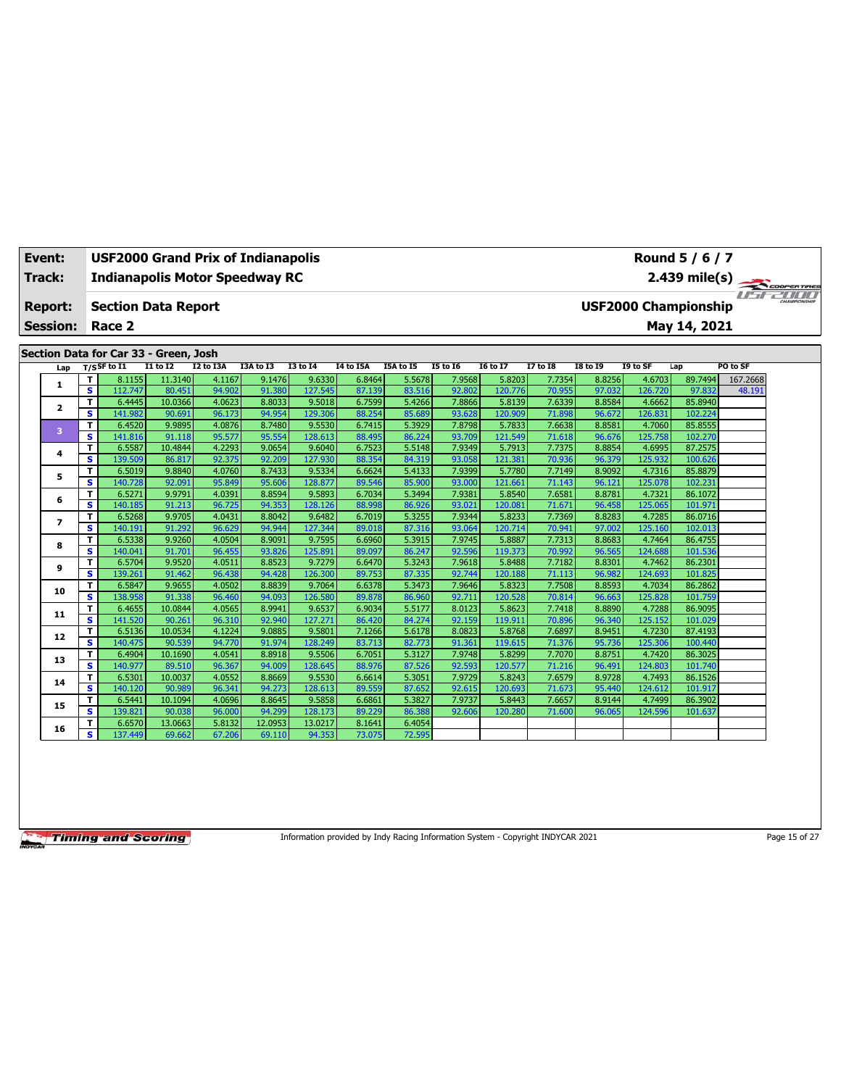| Event:                                                                    |         | <b>USF2000 Grand Prix of Indianapolis</b> |                  |                  |                  |                   |                  |                  |                  |                   |                  |                  |                   | Round 5 / 6 / 7                             |          |  |
|---------------------------------------------------------------------------|---------|-------------------------------------------|------------------|------------------|------------------|-------------------|------------------|------------------|------------------|-------------------|------------------|------------------|-------------------|---------------------------------------------|----------|--|
| <b>Track:</b><br><b>Indianapolis Motor Speedway RC</b><br>$2.439$ mile(s) |         |                                           |                  |                  |                  |                   |                  |                  |                  |                   |                  |                  | COOPERTIRES       |                                             |          |  |
| <b>Report:</b><br><b>Session:</b>                                         |         | <b>Section Data Report</b><br>Race 2      |                  |                  |                  |                   |                  |                  |                  |                   |                  |                  |                   | <b>USF2000 Championship</b><br>May 14, 2021 |          |  |
|                                                                           |         | Section Data for Car 33 - Green, Josh     |                  |                  |                  |                   |                  |                  |                  |                   |                  |                  |                   |                                             |          |  |
| Lap                                                                       |         | $T/S$ SF to I1                            | <b>I1 to I2</b>  | <b>I2 to I3A</b> | I3A to I3        | <b>I3 to 14</b>   | I4 to I5A        | I5A to I5        | <b>I5 to 16</b>  | <b>I6 to I7</b>   | <b>I7 to I8</b>  | <b>I8 to 19</b>  | I9 to SF          | Lap                                         | PO to SF |  |
| 1                                                                         | T.      | 8.1155                                    | 11.3140          | 4.1167           | 9.1476           | 9.6330            | 6.8464           | 5.5678           | 7.9568           | 5.8203            | 7.7354           | 8.8256           | 4.6703            | 89.7494                                     | 167.2668 |  |
|                                                                           | s.      | 112.747                                   | 80.451           | 94.902           | 91.380           | 127.545           | 87.139           | 83.516           | 92.802           | 120.776           | 70.955           | 97.032           | 126.720           | 97.832                                      | 48.191   |  |
| 2                                                                         | T.      | 6.4445                                    | 10.0366          | 4.0623           | 8.8033           | 9.5018            | 6.7599           | 5.4266           | 7.8866           | 5.8139            | 7.6339           | 8.8584           | 4.6662            | 85.8940                                     |          |  |
|                                                                           | s       | 141.982                                   | 90.691           | 96.173           | 94.954           | 129.306           | 88.254           | 85.689           | 93.628           | 120.909           | 71.898           | 96.672           | 126.831           | 102.224                                     |          |  |
| 3                                                                         | T.      | 6.4520                                    | 9.9895           | 4.0876           | 8.7480           | 9.5530            | 6.7415           | 5.3929           | 7.8798           | 5.7833            | 7.6638           | 8.8581           | 4.7060            | 85.8555                                     |          |  |
|                                                                           | s       | 141.816                                   | 91.118           | 95.577           | 95.554           | 128.613           | 88.495           | 86.224           | 93.709           | 121.549           | 71.618           | 96.676           | 125.758           | 102.270                                     |          |  |
| 4                                                                         | T.      | 6.5587                                    | 10.4844          | 4.2293           | 9.0654           | 9.6040            | 6.7523           | 5.5148           | 7.9349           | 5.7913            | 7.7375           | 8.8854           | 4.6995            | 87.2575                                     |          |  |
|                                                                           | s       | 139.509                                   | 86.817           | 92.375           | 92.209           | 127.930           | 88.354           | 84.319           | 93.058           | 121.381           | 70.936           | 96.379           | 125.932           | 100.626                                     |          |  |
| 5                                                                         | T.      | 6.5019                                    | 9.8840           | 4.0760           | 8.7433           | 9.5334            | 6.6624           | 5.4133           | 7.9399           | 5.7780            | 7.7149           | 8.9092           | 4.7316            | 85.8879                                     |          |  |
|                                                                           | s       | 140.728                                   | 92.091           | 95.849           | 95.606           | 128.877           | 89.546           | 85.900           | 93.000           | 121.661           | 71.143           | 96.121           | 125.078           | 102.231                                     |          |  |
| 6                                                                         | T.      | 6.5271                                    | 9.9791           | 4.0391           | 8.8594           | 9.5893            | 6.7034           | 5.3494           | 7.9381           | 5.8540            | 7.6581           | 8.8781           | 4.7321            | 86.1072                                     |          |  |
|                                                                           | s.      | 140.185                                   | 91.213           | 96.725           | 94.353           | 128.126           | 88.998           | 86.926           | 93.021           | 120.081           | 71.671           | 96.458           | 125.065           | 101.971                                     |          |  |
| 7                                                                         | T.      | 6.5268                                    | 9.9705           | 4.0431           | 8.8042           | 9.6482            | 6.7019           | 5.3255           | 7.9344           | 5.8233            | 7.7369           | 8.8283           | 4.7285            | 86.0716                                     |          |  |
|                                                                           | s.      | 140.191                                   | 91.292           | 96.629           | 94.944           | 127.344           | 89.018           | 87.316           | 93.064           | 120.714           | 70.941           | 97.002           | 125.160           | 102.013                                     |          |  |
| 8                                                                         | T<br>s. | 6.5338<br>140.041                         | 9.9260<br>91.701 | 4.0504<br>96.455 | 8.9091<br>93.826 | 9.7595<br>125.891 | 6.6960           | 5.3915<br>86.247 | 7.9745<br>92.596 | 5.8887<br>119.373 | 7.7313<br>70.992 | 8.8683<br>96.565 | 4.7464<br>124.688 | 86.4755<br>101.536                          |          |  |
|                                                                           | T       | 6.5704                                    | 9.9520           | 4.0511           | 8.8523           | 9.7279            | 89.097<br>6.6470 | 5.3243           | 7.9618           | 5.8488            | 7.7182           | 8.8301           | 4.7462            | 86.2301                                     |          |  |
| 9                                                                         | s.      | 139.261                                   | 91.462           | 96.438           | 94.428           | 126.300           | 89.753           | 87.335           | 92.744           | 120.188           | 71.113           | 96.982           | 124.693           | 101.825                                     |          |  |
|                                                                           | T.      | 6.5847                                    | 9.9655           | 4.0502           | 8.8839           | 9.7064            | 6.6378           | 5.3473           | 7.9646           | 5.8323            | 7.7508           | 8.8593           | 4.7034            | 86.2862                                     |          |  |
| 10                                                                        | s       | 138.958                                   | 91.338           | 96.460           | 94.093           | 126.580           | 89.878           | 86.960           | 92.711           | 120.528           | 70.814           | 96.663           | 125.828           | 101.759                                     |          |  |
|                                                                           | T       | 6.4655                                    | 10.0844          | 4.0565           | 8.9941           | 9.6537            | 6.9034           | 5.5177           | 8.0123           | 5.8623            | 7.7418           | 8.8890           | 4.7288            | 86.9095                                     |          |  |
| 11                                                                        | s.      | 141.520                                   | 90.261           | 96.310           | 92.940           | 127.271           | 86.420           | 84.274           | 92.159           | 119.911           | 70.896           | 96.340           | 125.152           | 101.029                                     |          |  |
|                                                                           | T.      | 6.5136                                    | 10.0534          | 4.1224           | 9.0885           | 9.5801            | 7.1266           | 5.6178           | 8.0823           | 5.8768            | 7.6897           | 8.9451           | 4.7230            | 87.4193                                     |          |  |
| 12                                                                        | s.      | 140.475                                   | 90.539           | 94.770           | 91.974           | 128.249           | 83.713           | 82.773           | 91.361           | 119.615           | 71.376           | 95.736           | 125.306           | 100.440                                     |          |  |
|                                                                           | T.      | 6.4904                                    | 10.1690          | 4.0541           | 8.8918           | 9.5506            | 6.7051           | 5.3127           | 7.9748           | 5.8299            | 7.7070           | 8.8751           | 4.7420            | 86.3025                                     |          |  |
| 13                                                                        | s.      | 140.977                                   | 89.510           | 96.367           | 94.009           | 128.645           | 88.976           | 87.526           | 92.593           | 120.577           | 71.216           | 96.491           | 124.803           | 101.740                                     |          |  |
|                                                                           | T       | 6.5301                                    | 10.0037          | 4.0552           | 8.8669           | 9.5530            | 6.6614           | 5.3051           | 7.9729           | 5.8243            | 7.6579           | 8.9728           | 4.7493            | 86.1526                                     |          |  |
| 14                                                                        | s.      | 140.120                                   | 90.989           | 96.341           | 94.273           | 128.613           | 89.559           | 87.652           | 92.615           | 120.693           | 71.673           | 95.440           | 124.612           | 101.917                                     |          |  |
|                                                                           | T.      | 6.5441                                    | 10.1094          | 4.0696           | 8.8645           | 9.5858            | 6.6861           | 5.3827           | 7.9737           | 5.8443            | 7.6657           | 8.9144           | 4.7499            | 86.3902                                     |          |  |
| 15                                                                        | s.      | 139.821                                   | 90.038           | 96.000           | 94.299           | 128.173           | 89.229           | 86.388           | 92.606           | 120.280           | 71.600           | 96.065           | 124.596           | 101.637                                     |          |  |
| 16                                                                        | т       | 6.6570                                    | 13.0663          | 5.8132           | 12.0953          | 13.0217           | 8.1641           | 6.4054           |                  |                   |                  |                  |                   |                                             |          |  |
|                                                                           | s.      | 137.449                                   | 69.662           | 67.206           | 69.110           | 94.353            | 73.075           | 72.595           |                  |                   |                  |                  |                   |                                             |          |  |

Information provided by Indy Racing Information System - Copyright INDYCAR 2021 Page 15 of 27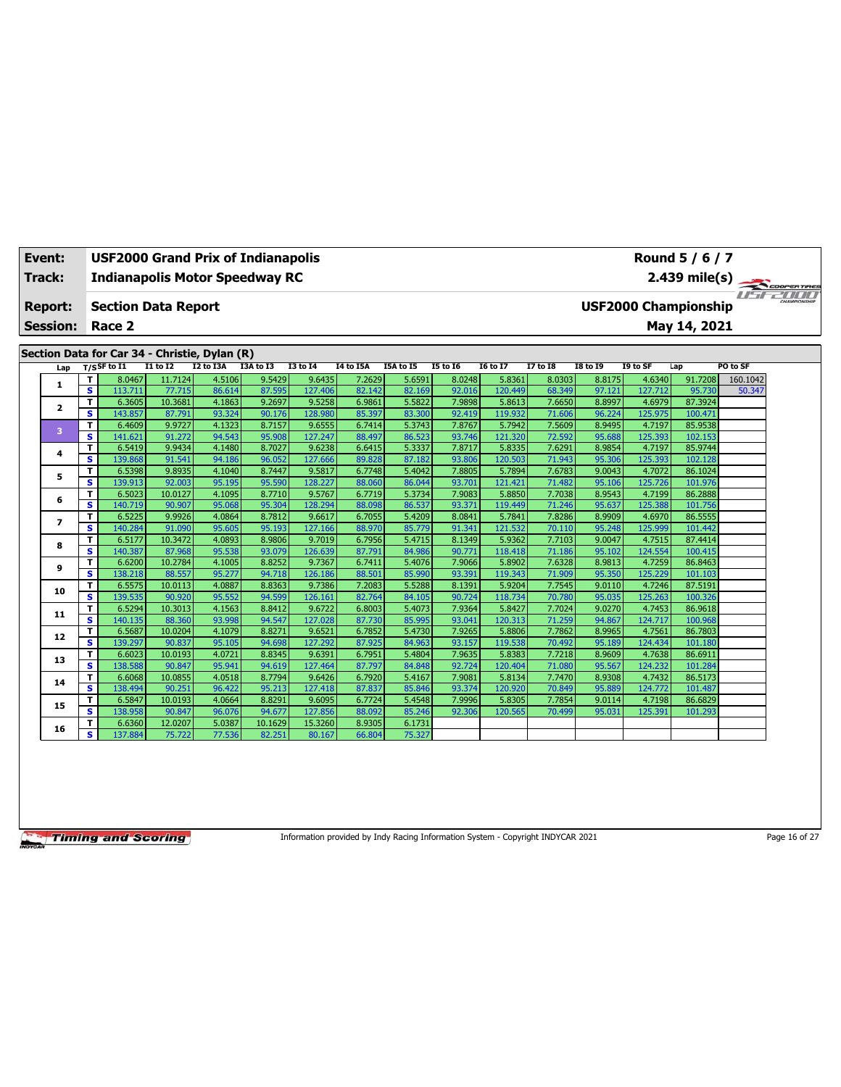| Event:          |        | <b>USF2000 Grand Prix of Indianapolis</b>     |                   |                  |                  |                   |                  |                  |                  |                   |                  |                  |                   | Round 5 / 6 / 7             |          |  |
|-----------------|--------|-----------------------------------------------|-------------------|------------------|------------------|-------------------|------------------|------------------|------------------|-------------------|------------------|------------------|-------------------|-----------------------------|----------|--|
| Track:          |        | <b>Indianapolis Motor Speedway RC</b>         |                   |                  |                  |                   |                  |                  |                  |                   |                  |                  |                   |                             |          |  |
|                 |        |                                               |                   |                  |                  |                   |                  |                  |                  |                   |                  |                  |                   | 2.439 mile(s)               |          |  |
| <b>Report:</b>  |        | <b>Section Data Report</b>                    |                   |                  |                  |                   |                  |                  |                  |                   |                  |                  |                   | <b>USF2000 Championship</b> |          |  |
| <b>Session:</b> |        | Race 2                                        |                   |                  |                  |                   |                  |                  |                  |                   |                  |                  |                   | May 14, 2021                |          |  |
|                 |        |                                               |                   |                  |                  |                   |                  |                  |                  |                   |                  |                  |                   |                             |          |  |
|                 |        | Section Data for Car 34 - Christie, Dylan (R) |                   |                  |                  |                   |                  |                  |                  |                   |                  |                  |                   |                             |          |  |
| Lap             |        | $T/S$ SF to I1                                | $I1$ to $I2$      | I2 to I3A        | I3A to I3        | <b>I3 to 14</b>   | I4 to I5A        | I5A to I5        | <b>I5 to 16</b>  | <b>I6 to I7</b>   | <b>I7 to I8</b>  | <b>I8 to I9</b>  | I9 to SF          | Lap                         | PO to SF |  |
|                 | т      | 8.0467                                        | 11.7124           | 4.5106           | 9.5429           | 9.6435            | 7.2629           | 5.6591           | 8.0248           | 5.8361            | 8.0303           | 8.8175           | 4.6340            | 91.7208                     | 160.1042 |  |
| 1               | s      | 113.711                                       | 77.715            | 86.614           | 87.595           | 127.406           | 82.142           | 82.169           | 92.016           | 120.449           | 68.349           | 97.121           | 127.712           | 95.730                      | 50.347   |  |
| $\mathbf{z}$    | T      | 6.3605                                        | 10.3681           | 4.1863           | 9.2697           | 9.5258            | 6.9861           | 5.5822           | 7.9898           | 5.8613            | 7.6650           | 8.8997           | 4.6979            | 87.3924                     |          |  |
|                 | s      | 143.857                                       | 87.791            | 93.324           | 90.176           | 128.980           | 85.397           | 83.300           | 92.419           | 119.932           | 71.606           | 96.224           | 125.975           | 100.471                     |          |  |
| 3               | т      | 6.4609                                        | 9.9727            | 4.1323           | 8.7157           | 9.6555            | 6.7414           | 5.3743           | 7.8767           | 5.7942            | 7.5609           | 8.9495           | 4.7197            | 85.9538                     |          |  |
|                 | s      | 141.621                                       | 91.272            | 94.543           | 95.908           | 127.247           | 88.497           | 86.523           | 93.746           | 121.320           | 72.592           | 95.688           | 125.393           | 102.153                     |          |  |
| 4               | T      | 6.5419                                        | 9.9434            | 4.1480           | 8.7027           | 9.6238            | 6.6415           | 5.3337           | 7.8717           | 5.8335            | 7.6291           | 8.9854           | 4.7197            | 85.9744                     |          |  |
|                 | s      | 139.868                                       | 91.541            | 94.186           | 96.052           | 127,666           | 89.828           | 87.182           | 93.806           | 120.503           | 71.943           | 95.306           | 125.393           | 102.128                     |          |  |
| 5               | T      | 6.5398                                        | 9.8935            | 4.1040           | 8.7447           | 9.5817            | 6.7748           | 5.4042           | 7.8805           | 5.7894            | 7.6783           | 9.0043           | 4.7072            | 86.1024                     |          |  |
|                 | s      | 139.913                                       | 92.003            | 95.195           | 95.590           | 128.227           | 88.060           | 86.044           | 93.701           | 121.421           | 71.482           | 95.106           | 125.726           | 101.976                     |          |  |
| 6               | т      | 6.5023                                        | 10.0127           | 4.1095           | 8.7710           | 9.5767            | 6.7719           | 5.3734           | 7.9083           | 5.8850            | 7.7038           | 8.9543           | 4.7199            | 86.2888                     |          |  |
|                 | s      | 140.719                                       | 90.907            | 95.068           | 95.304           | 128.294           | 88.098           | 86.537           | 93.371           | 119.449           | 71.246           | 95.637           | 125.388           | 101.756                     |          |  |
| $\overline{ }$  | т      | 6.5225                                        | 9.9926            | 4.0864           | 8.7812           | 9.6617            | 6.7055           | 5.4209           | 8.0841           | 5.7841            | 7.8286           | 8.9909           | 4.6970            | 86.5555                     |          |  |
|                 | s      | 140.284                                       | 91.090            | 95.605           | 95.193           | 127.166           | 88.970           | 85.779           | 91.341           | 121.532           | 70.110           | 95.248           | 125.999           | 101.442                     |          |  |
| 8               | т      | 6.5177                                        | 10.3472           | 4.0893           | 8.9806           | 9.7019            | 6.7956           | 5.4715           | 8.1349           | 5.9362            | 7.7103           | 9.0047           | 4.7515            | 87.4414                     |          |  |
|                 | s      | 140.387                                       | 87.968            | 95.538           | 93.079           | 126.639           | 87.791           | 84.986           | 90.771           | 118.418           | 71.186           | 95.102           | 124.554           | 100.415                     |          |  |
| 9               | T<br>s | 6.6200<br>138.218                             | 10.2784           | 4.1005           | 8.8252           | 9.7367            | 6.7411           | 5.4076           | 7.9066<br>93.391 | 5.8902            | 7.6328           | 8.9813           | 4.7259<br>125.229 | 86.8463                     |          |  |
|                 | T      | 6.5575                                        | 88.557<br>10.0113 | 95.277<br>4.0887 | 94.718<br>8.8363 | 126.186<br>9.7386 | 88.501<br>7.2083 | 85.990<br>5.5288 | 8.1391           | 119.343<br>5.9204 | 71.909<br>7.7545 | 95.350<br>9.0110 | 4.7246            | 101.103<br>87.5191          |          |  |
| 10              | s      | 139.535                                       | 90.920            | 95.552           | 94.599           | 126.161           | 82.764           | 84.105           | 90.724           | 118.734           | 70.780           | 95.035           | 125.263           | 100.326                     |          |  |
|                 | т      | 6.5294                                        | 10.3013           | 4.1563           | 8.8412           | 9.6722            | 6.8003           | 5.4073           | 7.9364           | 5.8427            | 7.7024           | 9.0270           | 4.7453            | 86.9618                     |          |  |
| 11              | s      | 140.135                                       | 88.360            | 93.998           | 94.547           | 127.028           | 87.730           | 85.995           | 93.041           | 120.313           | 71.259           | 94.867           | 124.717           | 100.968                     |          |  |
|                 | т      | 6.5687                                        | 10.0204           | 4.1079           | 8.8271           | 9.6521            | 6.7852           | 5.4730           | 7.9265           | 5.8806            | 7.7862           | 8.9965           | 4.7561            | 86.7803                     |          |  |
| 12              | s      | 139.297                                       | 90.837            | 95.105           | 94.698           | 127.292           | 87.925           | 84.963           | 93.157           | 119.538           | 70.492           | 95.189           | 124.434           | 101.180                     |          |  |
|                 | т      | 6.6023                                        | 10.0193           | 4.0721           | 8.8345           | 9.6391            | 6.7951           | 5.4804           | 7.9635           | 5.8383            | 7.7218           | 8.9609           | 4.7638            | 86.6911                     |          |  |
| 13              | s      | 138.588                                       | 90.847            | 95.941           | 94.619           | 127.464           | 87.797           | 84.848           | 92.724           | 120.404           | 71.080           | 95.567           | 124.232           | 101.284                     |          |  |
|                 | т      | 6.6068                                        | 10.0855           | 4.0518           | 8.7794           | 9.6426            | 6.7920           | 5.4167           | 7.9081           | 5.8134            | 7.7470           | 8.9308           | 4.7432            | 86.5173                     |          |  |
| 14              | s      | 138.494                                       | 90.251            | 96.422           | 95.213           | 127.418           | 87.837           | 85.846           | 93.374           | 120.920           | 70.849           | 95.889           | 124.772           | 101.487                     |          |  |
|                 | T      | 6.5847                                        | 10.0193           | 4.0664           | 8.8291           | 9.6095            | 6.7724           | 5.4548           | 7.9996           | 5.8305            | 7.7854           | 9.0114           | 4.7198            | 86.6829                     |          |  |
| 15              | s.     | 138.958                                       | 90.847            | 96.076           | 94.677           | 127.856           | 88.092           | 85.246           | 92.306           | 120.565           | 70.499           | 95.031           | 125.391           | 101.293                     |          |  |
|                 | т      | 6.6360                                        | 12.0207           | 5.0387           | 10.1629          | 15.3260           | 8.9305           | 6.1731           |                  |                   |                  |                  |                   |                             |          |  |
| 16              | s      | 137.884                                       | 75.722            | 77.536           | 82.251           | 80.167            | 66.804           | 75.327           |                  |                   |                  |                  |                   |                             |          |  |

Information provided by Indy Racing Information System - Copyright INDYCAR 2021 Page 16 of 27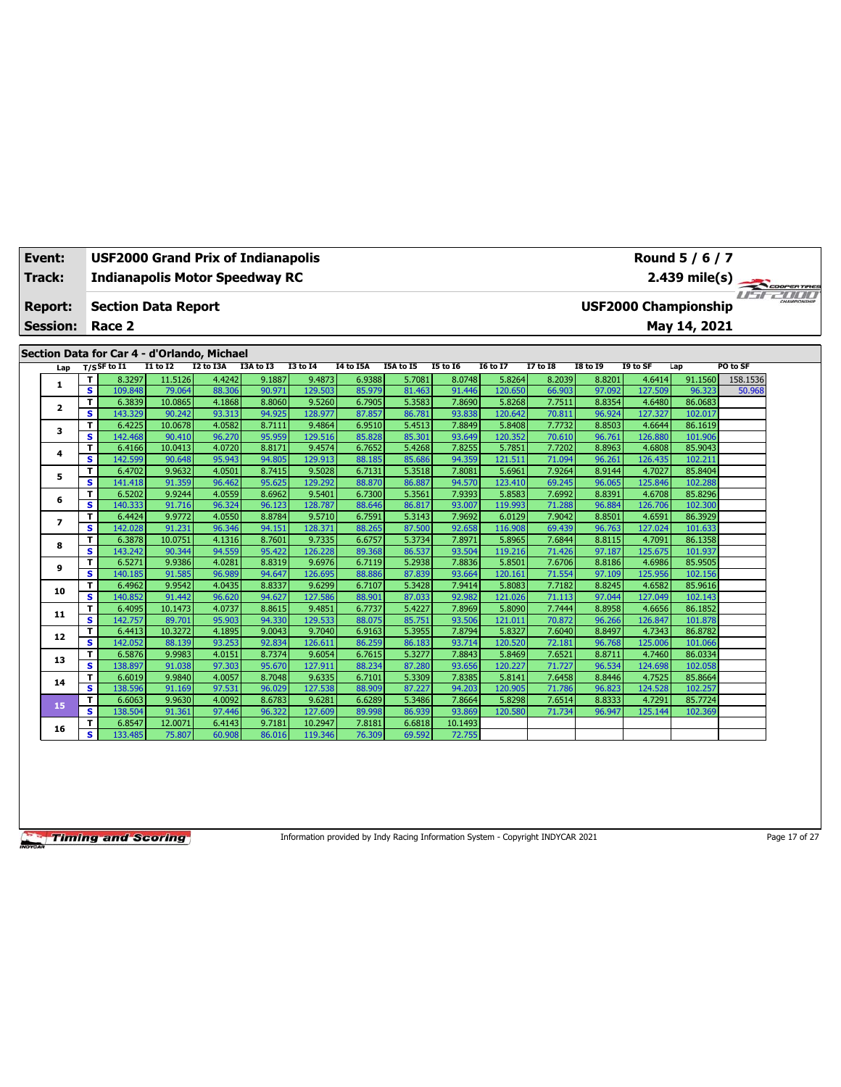| Event:          |        | <b>USF2000 Grand Prix of Indianapolis</b>   |                   |                  |                  |                   |                  |                  |                  |                   |                  |                  |                   | Round 5 / 6 / 7             |          |  |
|-----------------|--------|---------------------------------------------|-------------------|------------------|------------------|-------------------|------------------|------------------|------------------|-------------------|------------------|------------------|-------------------|-----------------------------|----------|--|
| Track:          |        | <b>Indianapolis Motor Speedway RC</b>       |                   |                  |                  |                   |                  |                  |                  |                   |                  |                  |                   |                             |          |  |
|                 |        |                                             |                   |                  |                  |                   |                  |                  |                  |                   |                  |                  |                   | 2.439 mile(s)               |          |  |
| <b>Report:</b>  |        | <b>Section Data Report</b>                  |                   |                  |                  |                   |                  |                  |                  |                   |                  |                  |                   | <b>USF2000 Championship</b> |          |  |
| <b>Session:</b> |        | Race 2                                      |                   |                  |                  |                   |                  |                  |                  |                   |                  |                  |                   | May 14, 2021                |          |  |
|                 |        |                                             |                   |                  |                  |                   |                  |                  |                  |                   |                  |                  |                   |                             |          |  |
|                 |        | Section Data for Car 4 - d'Orlando, Michael |                   |                  |                  |                   |                  |                  |                  |                   |                  |                  |                   |                             |          |  |
| Lap             |        | $T/S$ SF to $I1$                            | <b>I1 to I2</b>   | I2 to I3A        | I3A to I3        | <b>I3 to 14</b>   | <b>I4 to I5A</b> | I5A to I5        | <b>I5 to 16</b>  | <b>I6 to I7</b>   | <b>I7 to I8</b>  | <b>I8 to 19</b>  | I9 to SF          | Lap                         | PO to SF |  |
| 1               | т      | 8.3297                                      | 11.5126           | 4.4242           | 9.1887           | 9.4873            | 6.9388           | 5.7081           | 8.0748           | 5.8264            | 8.2039           | 8.8201           | 4.6414            | 91.1560                     | 158.1536 |  |
|                 | s      | 109.848                                     | 79.064            | 88.306           | 90.971           | 129.503           | 85.979           | 81.463           | 91.446           | 120.650           | 66.903           | 97.092           | 127.509           | 96.323                      | 50.968   |  |
| $\mathbf{z}$    | T      | 6.3839                                      | 10.0865           | 4.1868           | 8.8060           | 9.5260            | 6.7905           | 5.3583           | 7.8690           | 5.8268            | 7.7511           | 8.8354           | 4.6480            | 86.0683                     |          |  |
|                 | s      | 143.329                                     | 90.242            | 93.313           | 94.925           | 128.977           | 87.857           | 86.781           | 93.838           | 120.642           | 70.811           | 96.924           | 127.327           | 102.017                     |          |  |
| 3               | T<br>s | 6.4225                                      | 10.0678           | 4.0582<br>96.270 | 8.7111<br>95.959 | 9.4864            | 6.9510           | 5.4513<br>85.301 | 7.8849           | 5.8408            | 7.7732           | 8.8503           | 4.6644            | 86.1619                     |          |  |
|                 | T      | 142.468<br>6.4166                           | 90.410<br>10.0413 | 4.0720           | 8.8171           | 129.516<br>9.4574 | 85.828<br>6.7652 | 5.4268           | 93.649<br>7.8255 | 120.352<br>5.785  | 70.610<br>7.7202 | 96.761<br>8.8963 | 126.880<br>4.6808 | 101.906<br>85.9043          |          |  |
| 4               | s      | 142.599                                     | 90.648            | 95.943           | 94.805           | 129.913           | 88.185           | 85.686           | 94.359           | 121.511           | 71.094           | 96.261           | 126.435           | 102.211                     |          |  |
|                 | T      | 6.4702                                      | 9.9632            | 4.0501           | 8.7415           | 9.5028            | 6.7131           | 5.3518           | 7.8081           | 5.6961            | 7.9264           | 8.9144           | 4.7027            | 85.8404                     |          |  |
| 5               | s.     | 141.418                                     | 91.359            | 96.462           | 95.625           | 129.292           | 88.870           | 86.887           | 94.570           | 123.410           | 69.245           | 96.065           | 125.846           | 102.288                     |          |  |
|                 | T      | 6.5202                                      | 9.9244            | 4.0559           | 8.6962           | 9.5401            | 6.7300           | 5.3561           | 7.9393           | 5.8583            | 7.6992           | 8.8391           | 4.6708            | 85.8296                     |          |  |
| 6               | S      | 140.333                                     | 91.716            | 96.324           | 96.123           | 128.787           | 88.646           | 86.817           | 93,007           | 119.993           | 71.288           | 96.884           | 126.706           | 102.300                     |          |  |
|                 | T      | 6.4424                                      | 9.9772            | 4.0550           | 8.8784           | 9.5710            | 6.7591           | 5.3143           | 7.9692           | 6.0129            | 7.9042           | 8.8501           | 4.6591            | 86.3929                     |          |  |
| $\overline{ }$  | s      | 142.028                                     | 91.231            | 96.346           | 94.151           | 128.371           | 88.265           | 87.500           | 92.658           | 116.908           | 69.439           | 96.763           | 127.024           | 101.633                     |          |  |
| 8               | T      | 6.3878                                      | 10.0751           | 4.1316           | 8.7601           | 9.7335            | 6.6757           | 5.3734           | 7.8971           | 5.8965            | 7.6844           | 8.8115           | 4.7091            | 86.1358                     |          |  |
|                 | s      | 143.242                                     | 90.344            | 94.559           | 95.422           | 126.228           | 89.368           | 86.537           | 93.504           | 119,216           | 71.426           | 97.187           | 125.675           | 101.937                     |          |  |
| 9               | T      | 6.5271                                      | 9.9386            | 4.0281           | 8.8319           | 9.6976            | 6.7119           | 5.2938           | 7.8836           | 5.8501            | 7.6706           | 8.8186           | 4.6986            | 85.9505                     |          |  |
|                 | s.     | 140.185                                     | 91.585            | 96.989           | 94.647           | 126.695           | 88.886           | 87.839           | 93.664           | 120.161           | 71.554           | 97.109           | 125.956           | 102.156                     |          |  |
| 10              | T      | 6.4962                                      | 9.9542            | 4.0435           | 8.8337           | 9.6299            | 6.7107           | 5.3428           | 7.9414           | 5.8083            | 7.7182           | 8.8245           | 4.6582            | 85.9616                     |          |  |
|                 | s      | 140.852                                     | 91.442            | 96.620           | 94.627           | 127.586           | 88.901           | 87.033           | 92.982           | 121.026           | 71.113           | 97.044           | 127.049           | 102.143                     |          |  |
| 11              | T      | 6.4095                                      | 10.1473           | 4.0737           | 8.8615           | 9.4851            | 6.7737           | 5.4227           | 7.8969           | 5.8090            | 7.7444           | 8.8958           | 4.6656            | 86.1852                     |          |  |
|                 | s      | 142.757                                     | 89.701            | 95.903           | 94.330           | 129.533           | 88.075           | 85.751           | 93.506           | 121.011           | 70.872           | 96.266           | 126.847           | 101.878                     |          |  |
| 12              | т      | 6.4413                                      | 10.3272           | 4.1895           | 9.0043           | 9.7040            | 6.9163           | 5.3955           | 7.8794           | 5.8327            | 7.6040           | 8.8497           | 4.7343            | 86.8782                     |          |  |
|                 | s.     | 142.052                                     | 88.139            | 93.253           | 92.834           | 126,611           | 86.259           | 86.183           | 93.714           | 120,520           | 72.181           | 96.768           | 125.006           | 101.066                     |          |  |
| 13              | T<br>s | 6.5876                                      | 9.9983            | 4.0151<br>97.303 | 8.7374<br>95.670 | 9.6054            | 6.7615           | 5.3277<br>87,280 | 7.8843<br>93.656 | 5.8469            | 7.6521           | 8.8711<br>96.534 | 4.7460            | 86.0334<br>102.058          |          |  |
|                 | т      | 138.897<br>6.6019                           | 91.038<br>9.9840  | 4.0057           | 8.7048           | 127.911<br>9.6335 | 88.234<br>6.7101 | 5.3309           | 7.8385           | 120.227<br>5.8141 | 71.727<br>7.6458 | 8.8446           | 124.698<br>4.7525 | 85.8664                     |          |  |
| 14              | s.     | 138.596                                     | 91.169            | 97.531           | 96.029           | 127.538           | 88.909           | 87.227           | 94.203           | 120.905           | 71.786           | 96.823           | 124.528           | 102.257                     |          |  |
|                 | T      | 6.6063                                      | 9.9630            | 4.0092           | 8.6783           | 9.6281            | 6.6289           | 5.3486           | 7.8664           | 5.8298            | 7.6514           | 8.8333           | 4.7291            | 85.7724                     |          |  |
| 15              | S      | 138.504                                     | 91.361            | 97.446           | 96.322           | 127.609           | 89.998           | 86.939           | 93.869           | 120.580           | 71.734           | 96.947           | 125.144           | 102.369                     |          |  |
|                 | т      | 6.8547                                      | 12.0071           | 6.4143           | 9.7181           | 10.2947           | 7.8181           | 6.6818           | 10.1493          |                   |                  |                  |                   |                             |          |  |
| 16              | s.     | 133.485                                     | 75.807            | 60.908           | 86.016           | 119.346           | 76.309           | 69.592           | 72.755           |                   |                  |                  |                   |                             |          |  |
|                 |        |                                             |                   |                  |                  |                   |                  |                  |                  |                   |                  |                  |                   |                             |          |  |

Information provided by Indy Racing Information System - Copyright INDYCAR 2021 Page 17 of 27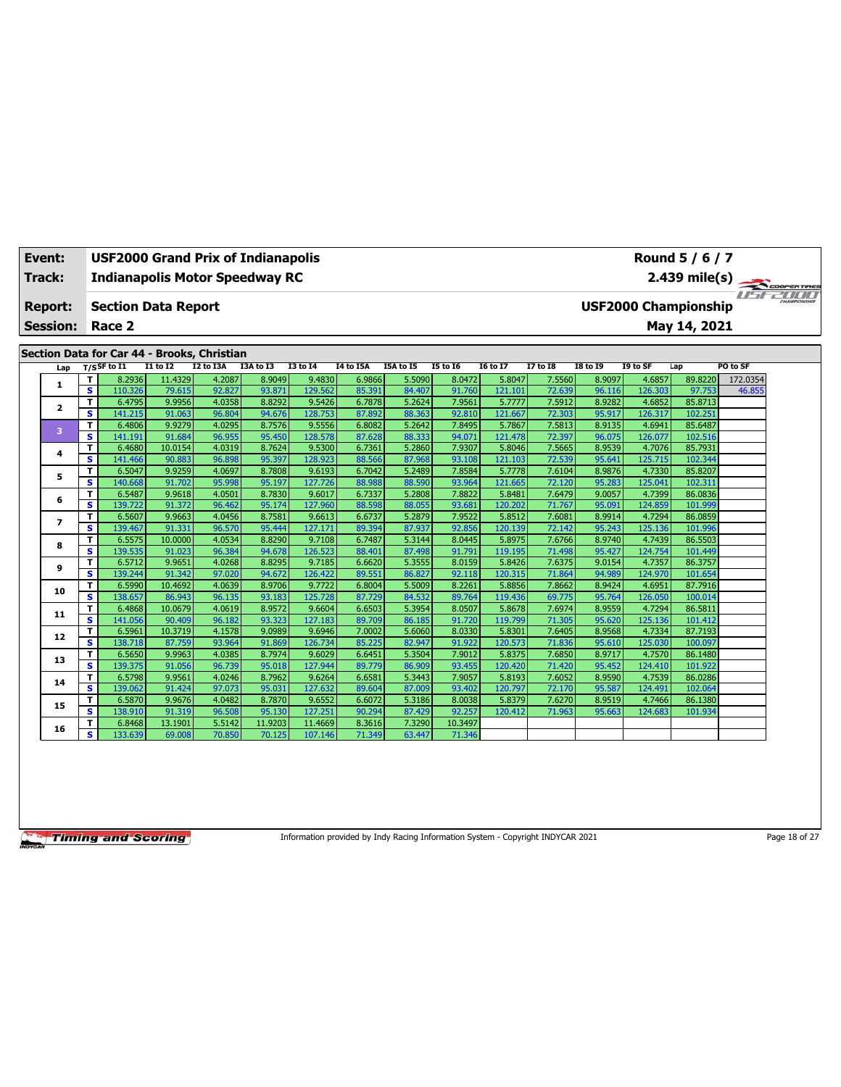| Event:          |                         | <b>USF2000 Grand Prix of Indianapolis</b>   |                  |                  |                  |                   |                  |                  |                  |                   |                  |                  |                   | Round 5 / 6 / 7             |               |  |
|-----------------|-------------------------|---------------------------------------------|------------------|------------------|------------------|-------------------|------------------|------------------|------------------|-------------------|------------------|------------------|-------------------|-----------------------------|---------------|--|
| Track:          |                         | <b>Indianapolis Motor Speedway RC</b>       |                  |                  |                  |                   |                  |                  |                  |                   |                  |                  |                   |                             | 2.439 mile(s) |  |
| <b>Report:</b>  |                         | <b>Section Data Report</b>                  |                  |                  |                  |                   |                  |                  |                  |                   |                  |                  |                   | <b>USF2000 Championship</b> |               |  |
| <b>Session:</b> |                         | Race 2                                      |                  |                  |                  |                   |                  |                  |                  |                   |                  |                  |                   | May 14, 2021                |               |  |
|                 |                         | Section Data for Car 44 - Brooks, Christian |                  |                  |                  |                   |                  |                  |                  |                   |                  |                  |                   |                             |               |  |
| Lap             |                         | T/SSF to I1                                 | <b>I1 to I2</b>  | <b>I2 to I3A</b> | I3A to I3        | <b>I3 to 14</b>   | <b>I4 to I5A</b> | I5A to I5        | <b>I5 to 16</b>  | <b>I6 to I7</b>   | <b>I7 to I8</b>  | <b>I8 to 19</b>  | I9 to SF          | Lap                         | PO to SF      |  |
|                 | т                       | 8.2936                                      | 11.4329          | 4.2087           | 8.9049           | 9.4830            | 6.9866           | 5.5090           | 8.0472           | 5.8047            | 7.5560           | 8.9097           | 4.6857            | 89.8220                     | 172.0354      |  |
| 1               | $\overline{\mathbf{s}}$ | 110.326                                     | 79.615           | 92.827           | 93.871           | 129.562           | 85.391           | 84.407           | 91.760           | 121.101           | 72.639           | 96.116           | 126.303           | 97.753                      | 46.855        |  |
| 2               | T                       | 6.4795                                      | 9.9956           | 4.0358           | 8.8292           | 9.5426            | 6.7878           | 5.2624           | 7.9561           | 5.7777            | 7.5912           | 8.9282           | 4.6852            | 85.8713                     |               |  |
|                 | s                       | 141.215                                     | 91.063           | 96.804           | 94.676           | 128.753           | 87.892           | 88.363           | 92.810           | 121.667           | 72.303           | 95.917           | 126.317           | 102.251                     |               |  |
| 3               | T                       | 6.4806                                      | 9.9279           | 4.0295           | 8.7576           | 9.5556            | 6.8082           | 5.2642           | 7.8495           | 5.7867            | 7.5813           | 8.9135           | 4.6941            | 85.6487                     |               |  |
|                 | s                       | 141.191                                     | 91.684           | 96.955           | 95.450           | 128.578           | 87.628           | 88.333           | 94.071           | 121.478           | 72.397           | 96.075           | 126.077           | 102.516                     |               |  |
| 4               | T                       | 6.4680                                      | 10.0154          | 4.0319           | 8.7624           | 9.5300            | 6.7361           | 5.2860           | 7.9307           | 5.8046            | 7.5665           | 8.9539           | 4.7076            | 85.7931                     |               |  |
|                 | s                       | 141.466                                     | 90.883           | 96.898           | 95.397           | 128.923           | 88.566           | 87.968           | 93.108           | 121.103           | 72.539           | 95.641           | 125.715           | 102.344                     |               |  |
| 5               | T                       | 6.5047                                      | 9.9259           | 4.0697           | 8.7808           | 9.6193            | 6.7042           | 5.2489           | 7.8584           | 5.7778            | 7.6104           | 8.9876           | 4.7330            | 85.8207                     |               |  |
|                 | s.                      | 140.668                                     | 91.702           | 95.998<br>4.0501 | 95.197<br>8.7830 | 127.726           | 88,988           | 88.590           | 93.964<br>7.8822 | 121.665           | 72.120           | 95.283           | 125.041<br>4.7399 | 102.311                     |               |  |
| 6               | T<br>s                  | 6.5487<br>139.722                           | 9.9618<br>91.372 | 96.462           | 95.174           | 9.6017<br>127.960 | 6.7337<br>88.598 | 5.2808<br>88.055 | 93.681           | 5.8481<br>120.202 | 7.6479<br>71.767 | 9.0057<br>95.091 | 124.859           | 86.0836<br>101.999          |               |  |
|                 | т                       | 6.5607                                      | 9.9663           | 4.0456           | 8.7581           | 9.6613            | 6.6737           | 5.2879           | 7.9522           | 5.8512            | 7.6081           | 8.9914           | 4.7294            | 86.0859                     |               |  |
| $\overline{ }$  | s.                      | 139.467                                     | 91.331           | 96.570           | 95.444           | 127.171           | 89.394           | 87.937           | 92.856           | 120.139           | 72.142           | 95.243           | 125.136           | 101.996                     |               |  |
|                 | T                       | 6.5575                                      | 10.0000          | 4.0534           | 8.8290           | 9.7108            | 6.7487           | 5.3144           | 8.0445           | 5.8975            | 7.6766           | 8.9740           | 4.7439            | 86.5503                     |               |  |
| 8               | s                       | 139.535                                     | 91.023           | 96.384           | 94.678           | 126.523           | 88.401           | 87.498           | 91.791           | 119.195           | 71.498           | 95.427           | 124.754           | 101.449                     |               |  |
|                 | T                       | 6.5712                                      | 9.9651           | 4.0268           | 8.8295           | 9.7185            | 6.6620           | 5.3555           | 8.0159           | 5.8426            | 7.6375           | 9.0154           | 4.7357            | 86.3757                     |               |  |
| 9               | s                       | 139.244                                     | 91.342           | 97.020           | 94.672           | 126.422           | 89.551           | 86.827           | 92.118           | 120.315           | 71.864           | 94.989           | 124.970           | 101.654                     |               |  |
|                 | T                       | 6.5990                                      | 10.4692          | 4.0639           | 8.9706           | 9.7722            | 6.8004           | 5.5009           | 8.2261           | 5.8856            | 7.8662           | 8.9424           | 4.6951            | 87.7916                     |               |  |
| 10              | $\overline{\mathbf{s}}$ | 138.657                                     | 86.943           | 96.135           | 93.183           | 125.728           | 87.729           | 84.532           | 89.764           | 119.436           | 69.775           | 95.764           | 126.050           | 100.014                     |               |  |
| 11              | T                       | 6.4868                                      | 10.0679          | 4.0619           | 8.9572           | 9.6604            | 6.6503           | 5.3954           | 8.0507           | 5.8678            | 7.6974           | 8.9559           | 4.7294            | 86.5811                     |               |  |
|                 | s                       | 141.056                                     | 90.409           | 96.182           | 93.323           | 127.183           | 89.709           | 86.185           | 91.720           | 119.799           | 71.305           | 95.620           | 125.136           | 101.412                     |               |  |
| 12              | т                       | 6.5961                                      | 10.3719          | 4.1578           | 9.0989           | 9.6946            | 7.0002           | 5.6060           | 8.0330           | 5.8301            | 7.6405           | 8.9568           | 4.7334            | 87.7193                     |               |  |
|                 | s.                      | 138.718                                     | 87.759           | 93.964           | 91.869           | 126.734           | 85.225           | 82.947           | 91.922           | 120.573           | 71.836           | 95.610           | 125.030           | 100.097                     |               |  |
| 13              | T                       | 6.5650                                      | 9.9963           | 4.0385           | 8.7974           | 9.6029            | 6.6451           | 5.3504           | 7.9012           | 5.8375            | 7.6850           | 8.9717           | 4.7570            | 86.1480                     |               |  |
|                 | s.                      | 139.375                                     | 91.056           | 96.739           | 95.018           | 127.944           | 89.779           | 86.909           | 93.455           | 120.420           | 71.420           | 95.452           | 124.410           | 101.922                     |               |  |
| 14              | T                       | 6.5798                                      | 9.9561           | 4.0246           | 8.7962           | 9.6264            | 6.6581           | 5.3443           | 7.9057           | 5.8193            | 7.6052           | 8.9590           | 4.7539            | 86.0286                     |               |  |
|                 | $\overline{\mathbf{s}}$ | 139.062                                     | 91.424           | 97.073           | 95.031           | 127.632           | 89.604           | 87,009           | 93.402           | 120.797           | 72.170           | 95.587           | 124.491           | 102.064                     |               |  |
| 15              | т                       | 6.5870                                      | 9.9676           | 4.0482           | 8.7870           | 9.6552            | 6.6072           | 5.3186           | 8.0038           | 5.8379            | 7.6270           | 8.9519           | 4.7466            | 86.1380                     |               |  |
|                 | s                       | 138.910                                     | 91.319           | 96.508           | 95.130           | 127.251           | 90.294           | 87.429           | 92.257           | 120.412           | 71.963           | 95.663           | 124.683           | 101.934                     |               |  |
| 16              | т<br>s.                 | 6.8468                                      | 13.1901          | 5.5142           | 11.9203          | 11.4669           | 8.3616           | 7.3290           | 10.3497          |                   |                  |                  |                   |                             |               |  |
|                 |                         | 133.639                                     | 69.008           | 70.850           | 70.125           | 107.146           | 71.349           | 63.447           | 71.346           |                   |                  |                  |                   |                             |               |  |

Information provided by Indy Racing Information System - Copyright INDYCAR 2021 Page 18 of 27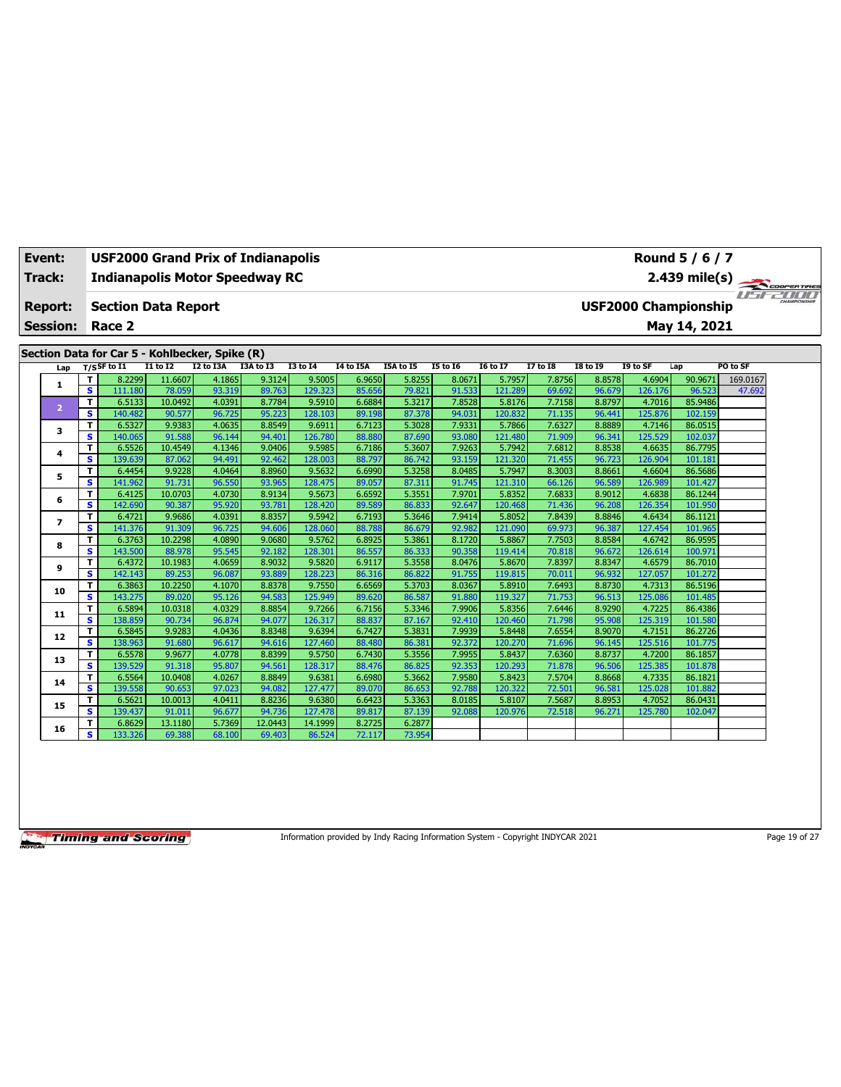| Event:          |                         | <b>USF2000 Grand Prix of Indianapolis</b>      |                   |                  |                  |                   |                  |                  |                  |                   |                  |                  |                   | Round 5 / 6 / 7             |               |  |
|-----------------|-------------------------|------------------------------------------------|-------------------|------------------|------------------|-------------------|------------------|------------------|------------------|-------------------|------------------|------------------|-------------------|-----------------------------|---------------|--|
| Track:          |                         | <b>Indianapolis Motor Speedway RC</b>          |                   |                  |                  |                   |                  |                  |                  |                   |                  |                  |                   |                             |               |  |
| <b>Report:</b>  |                         | <b>Section Data Report</b>                     |                   |                  |                  |                   |                  |                  |                  |                   |                  |                  |                   | <b>USF2000 Championship</b> | 2.439 mile(s) |  |
| <b>Session:</b> |                         | Race 2                                         |                   |                  |                  |                   |                  |                  |                  |                   |                  |                  |                   | May 14, 2021                |               |  |
|                 |                         |                                                |                   |                  |                  |                   |                  |                  |                  |                   |                  |                  |                   |                             |               |  |
|                 |                         | Section Data for Car 5 - Kohlbecker, Spike (R) |                   |                  |                  |                   |                  |                  |                  |                   |                  |                  |                   |                             |               |  |
| Lap             |                         | $T/S$ SF to I1                                 | <b>I1 to I2</b>   | I2 to I3A        | I3A to I3        | <b>I3 to 14</b>   | I4 to I5A        | <b>I5A to I5</b> | <b>I5 to 16</b>  | <b>16 to 17</b>   | 17 to 18         | <b>I8 to 19</b>  | I9 to SF          | Lap                         | PO to SF      |  |
|                 | т                       | 8.2299                                         | 11.6607           | 4.1865           | 9.3124           | 9.5005            | 6.9650           | 5.8255           | 8.0671           | 5.7957            | 7.8756           | 8.8578           | 4.6904            | 90.9671                     | 169.0167      |  |
| 1               | $\overline{\mathbf{s}}$ | 111.180                                        | 78.059            | 93.319           | 89.763           | 129.323           | 85.656           | 79.821           | 91.533           | 121.289           | 69.692           | 96.679           | 126.176           | 96.523                      | 47.692        |  |
|                 | T                       | 6.5133                                         | 10.0492           | 4.0391           | 8.7784           | 9.5910            | 6.6884           | 5.3217           | 7.8528           | 5.8176            | 7.7158           | 8.8797           | 4.7016            | 85.9486                     |               |  |
| $\overline{2}$  | s                       | 140.482                                        | 90.577            | 96.725           | 95.223           | 128.103           | 89.198           | 87.378           | 94.031           | 120.832           | 71.135           | 96.441           | 125.876           | 102.159                     |               |  |
| 3               | т                       | 6.5327                                         | 9.9383            | 4.0635           | 8.8549           | 9.6911            | 6.7123           | 5.3028           | 7.9331           | 5.7866            | 7.6327           | 8.8889           | 4.7146            | 86.0515                     |               |  |
|                 | s                       | 140.065                                        | 91.588            | 96.144           | 94.401           | 126,780           | 88.880           | 87.690           | 93.080           | 121.480           | 71.909           | 96.341           | 125.529           | 102.037                     |               |  |
| 4               | T                       | 6.5526                                         | 10.4549           | 4.1346           | 9.0406           | 9.5985            | 6.7186           | 5.3607           | 7.9263           | 5.7942            | 7.6812           | 8.8538           | 4.6635            | 86.7795                     |               |  |
|                 | s                       | 139.639                                        | 87.062            | 94.491           | 92.462           | 128.003           | 88.797           | 86.742           | 93.159           | 121.320           | 71.455           | 96.723           | 126.904           | 101.181                     |               |  |
| 5               | т                       | 6.4454                                         | 9.9228            | 4.0464           | 8.8960           | 9.5632            | 6.6990           | 5.3258           | 8.0485           | 5.7947            | 8.3003           | 8.8661           | 4.6604            | 86.5686                     |               |  |
|                 | s                       | 141.962                                        | 91.731            | 96.550           | 93.965           | 128.475           | 89.057           | 87.311           | 91.745           | 121.310           | 66.126           | 96.589           | 126.989           | 101.427                     |               |  |
| 6               | т                       | 6.4125                                         | 10.0703           | 4.0730           | 8.9134           | 9.5673            | 6.6592           | 5.3551           | 7.9701           | 5.8352            | 7.6833           | 8.9012           | 4.6838            | 86.1244                     |               |  |
|                 | s                       | 142.690                                        | 90.387            | 95.920           | 93.781           | 128.420           | 89.589           | 86.833           | 92.647           | 120.468           | 71.436           | 96.208           | 126.354           | 101.950                     |               |  |
| $\overline{ }$  | т                       | 6.4721                                         | 9.9686            | 4.0391           | 8.8357           | 9.5942            | 6.7193           | 5.3646           | 7.9414           | 5.8052            | 7.8439           | 8.8846           | 4.6434            | 86.1121                     |               |  |
|                 | s                       | 141.376                                        | 91.309            | 96.725           | 94.606           | 128.060           | 88.788           | 86.679           | 92.982           | 121.090           | 69.973           | 96.387           | 127.454           | 101.965                     |               |  |
| 8               | т                       | 6.3763                                         | 10.2298           | 4.0890           | 9.0680           | 9.5762            | 6.8925           | 5.3861           | 8.1720           | 5.8867            | 7.7503           | 8.8584           | 4.6742            | 86.9595                     |               |  |
|                 | s                       | 143.500                                        | 88.978            | 95.545           | 92.182           | 128.301           | 86.557           | 86.333           | 90.358           | 119.414           | 70.818           | 96.672           | 126.614           | 100.971                     |               |  |
| 9               | T                       | 6.4372                                         | 10.1983           | 4.0659<br>96.087 | 8.9032<br>93.889 | 9.5820<br>128,223 | 6.9117           | 5.3558<br>86.822 | 8.0476<br>91.755 | 5.8670<br>119.815 | 7.8397           | 8.8347           | 4.6579<br>127.057 | 86.7010<br>101.272          |               |  |
|                 | s<br>T                  | 142.143<br>6.3863                              | 89.253<br>10.2250 | 4.1070           | 8.8378           | 9.7550            | 86.316<br>6.6569 | 5.3703           | 8.0367           | 5.8910            | 70.011<br>7.6493 | 96.932<br>8.8730 | 4.7313            | 86.5196                     |               |  |
| 10              | s                       | 143.275                                        | 89.020            | 95.126           | 94.583           | 125.949           | 89.620           | 86.587           | 91.880           | 119.327           | 71.753           | 96.513           | 125.086           | 101.485                     |               |  |
|                 | т                       | 6.5894                                         | 10.0318           | 4.0329           | 8.8854           | 9.7266            | 6.7156           | 5.3346           | 7.9906           | 5.8356            | 7.6446           | 8.9290           | 4.7225            | 86.4386                     |               |  |
| 11              | s                       | 138.859                                        | 90.734            | 96.874           | 94.077           | 126.317           | 88.837           | 87.167           | 92.410           | 120,460           | 71.798           | 95.908           | 125.319           | 101.580                     |               |  |
|                 | T                       | 6.5845                                         | 9.9283            | 4.0436           | 8.8348           | 9.6394            | 6.7427           | 5.3831           | 7.9939           | 5.8448            | 7.6554           | 8.9070           | 4.7151            | 86.2726                     |               |  |
| 12              | s                       | 138.963                                        | 91.680            | 96.617           | 94.616           | 127.460           | 88.480           | 86.381           | 92.372           | 120,270           | 71.696           | 96.145           | 125.516           | 101.775                     |               |  |
|                 | T                       | 6.5578                                         | 9.9677            | 4.0778           | 8.8399           | 9.5750            | 6.7430           | 5.3556           | 7.9955           | 5.8437            | 7.6360           | 8.8737           | 4.7200            | 86.1857                     |               |  |
| 13              | s                       | 139.529                                        | 91.318            | 95.807           | 94.561           | 128.317           | 88.476           | 86.825           | 92.353           | 120.293           | 71.878           | 96.506           | 125.385           | 101.878                     |               |  |
|                 | т                       | 6.5564                                         | 10.0408           | 4.0267           | 8.8849           | 9.6381            | 6.6980           | 5.3662           | 7.9580           | 5.8423            | 7.5704           | 8.8668           | 4.7335            | 86.1821                     |               |  |
| 14              | s                       | 139.558                                        | 90.653            | 97.023           | 94.082           | 127.477           | 89.070           | 86.653           | 92.788           | 120.322           | 72.501           | 96.581           | 125.028           | 101.882                     |               |  |
|                 | T                       | 6.5621                                         | 10.0013           | 4.0411           | 8.8236           | 9.6380            | 6.6423           | 5.3363           | 8.0185           | 5.8107            | 7.5687           | 8.8953           | 4.7052            | 86.0431                     |               |  |
| 15              | s                       | 139.437                                        | 91.011            | 96.677           | 94.736           | 127.478           | 89.817           | 87.139           | 92.088           | 120.976           | 72.518           | 96.271           | 125.780           | 102.047                     |               |  |
| 16              | T                       | 6.8629                                         | 13.1180           | 5.7369           | 12.0443          | 14.1999           | 8.2725           | 6.2877           |                  |                   |                  |                  |                   |                             |               |  |
|                 | s                       | 133.326                                        | 69.388            | 68.100           | 69.403           | 86.524            | 72.117           | 73.954           |                  |                   |                  |                  |                   |                             |               |  |

Information provided by Indy Racing Information System - Copyright INDYCAR 2021 Page 19 of 27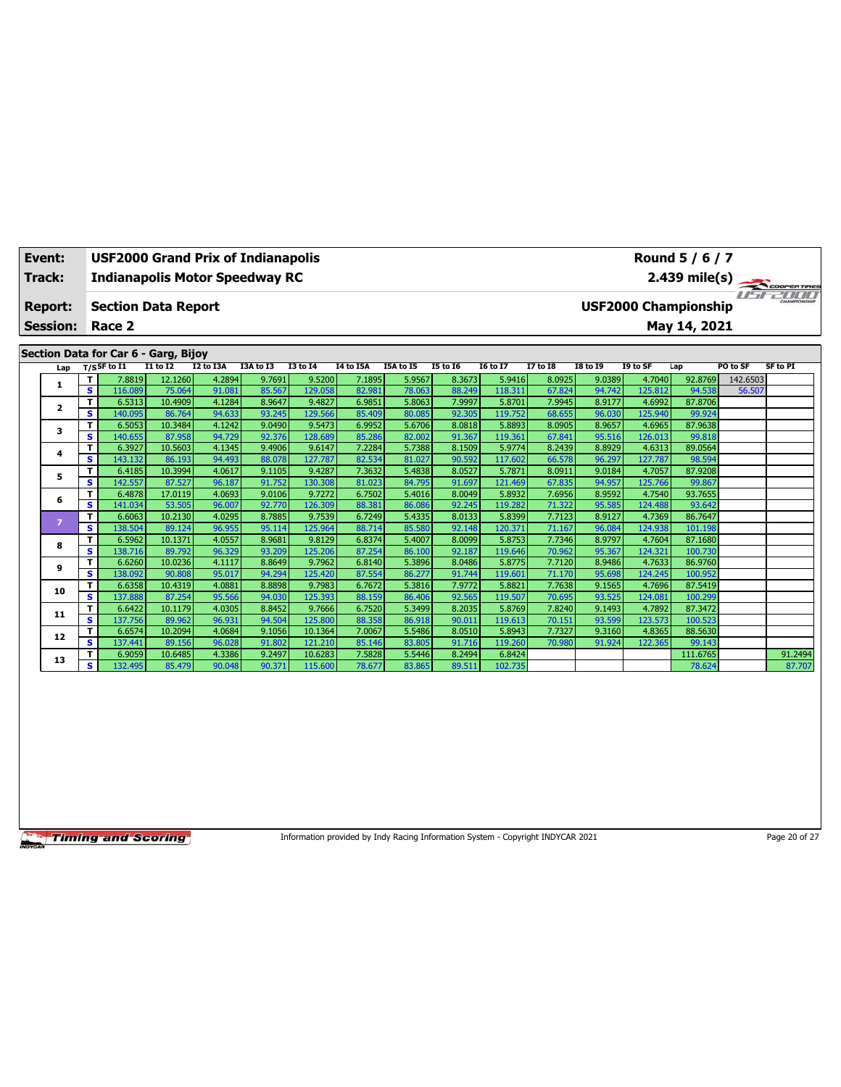| Event: | Track:                                        |                | <b>Indianapolis Motor Speedway RC</b>                                                                                           |                                                 |                                         | <b>USF2000 Grand Prix of Indianapolis</b> |                                                |                                         |                                         |                                               |                                                |                                               |                                               |                                                                        | Round 5 / 6 / 7<br>$2.439$ mile(s)                  |                                |                                                     |
|--------|-----------------------------------------------|----------------|---------------------------------------------------------------------------------------------------------------------------------|-------------------------------------------------|-----------------------------------------|-------------------------------------------|------------------------------------------------|-----------------------------------------|-----------------------------------------|-----------------------------------------------|------------------------------------------------|-----------------------------------------------|-----------------------------------------------|------------------------------------------------------------------------|-----------------------------------------------------|--------------------------------|-----------------------------------------------------|
|        | <b>Report:</b><br><b>Session:</b><br>Lap<br>1 | T.<br>s.<br>T. | <b>Section Data Report</b><br>Race 2<br>Section Data for Car 6 - Garg, Bijoy<br>$T/S$ SF to $I1$<br>7.8819<br>116.089<br>6.5313 | <b>I1 to I2</b><br>12.1260<br>75.064<br>10.4909 | I2 to I3A<br>4.2894<br>91.081<br>4.1284 | I3A to I3<br>9.7691<br>85.567<br>8.9647   | <b>I3 to 14</b><br>9.5200<br>129.058<br>9.4827 | I4 to I5A<br>7.1895<br>82.981<br>6.9851 | I5A to I5<br>5.9567<br>78.063<br>5.8063 | <b>I5 to 16</b><br>8.3673<br>88.249<br>7.9997 | <b>I6 to I7</b><br>5.9416<br>118.311<br>5.8701 | <b>I7 to I8</b><br>8.0925<br>67.824<br>7.9945 | <b>I8 to 19</b><br>9.0389<br>94.742<br>8.9177 | <b>USF2000 Championship</b><br>I9 to SF<br>4.7040<br>125.812<br>4.6992 | May 14, 2021<br>Lap<br>92.8769<br>94.538<br>87,8706 | PO to SF<br>142.6503<br>56.507 | COOPER TIRES<br><i>Haferfull</i><br><b>SF to PI</b> |
|        | 2                                             | s.             | 140.095                                                                                                                         | 86.764                                          | 94.633                                  | 93.245                                    | 129.566                                        | 85.409                                  | 80.085                                  | 92.305                                        | 119.752                                        | 68.655                                        | 96.030                                        | 125.940                                                                | 99.924                                              |                                |                                                     |
|        | 3                                             | T.<br>s.       | 6.5053<br>140.655                                                                                                               | 10.3484<br>87.958                               | 4.1242<br>94.729                        | 9.0490<br>92.376                          | 9.5473<br>128.689                              | 6.9952<br>85.286                        | 5.6706<br>82.002                        | 8.0818<br>91.367                              | 5.8893<br>119.361                              | 8.0905<br>67.841                              | 8.9657<br>95.516                              | 4.6965<br>126.013                                                      | 87.9638<br>99.818                                   |                                |                                                     |
|        | 4                                             | T.<br>s        | 6.3927<br>143.132                                                                                                               | 10.5603<br>86.193                               | 4.1345<br>94.493                        | 9.4906<br>88.078                          | 9.6147<br>127.787                              | 7.2284<br>82.534                        | 5.7388<br>81.027                        | 8.1509<br>90.592                              | 5.9774<br>117.602                              | 8.2439<br>66.578                              | 8.8929<br>96.297                              | 4.6313<br>127.787                                                      | 89.0564<br>98.594                                   |                                |                                                     |
|        | 5                                             | т<br>s.        | 6.4185<br>142.557                                                                                                               | 10.3994<br>87.527                               | 4.0617<br>96.187                        | 9.1105<br>91.752                          | 9.4287<br>130.308                              | 7.3632<br>81.023                        | 5.4838<br>84.795                        | 8.0527<br>91.697                              | 5.7871<br>121.469                              | 8.0911<br>67.835                              | 9.0184<br>94.957                              | 4.7057<br>125.766                                                      | 87.9208<br>99.867                                   |                                |                                                     |
|        | 6                                             | T.<br>s        | 6.4878<br>141.034                                                                                                               | 17.0119<br>53.505                               | 4.0693<br>96.007                        | 9.0106<br>92.770                          | 9.7272<br>126.309                              | 6.7502<br>88.381                        | 5.4016<br>86.086                        | 8.0049<br>92.245                              | 5.8932<br>119.282                              | 7.6956<br>71.322                              | 8.9592<br>95.585                              | 4.7540<br>124.488                                                      | 93.7655<br>93.642                                   |                                |                                                     |
|        | $\overline{z}$                                | T.<br>s        | 6.6063<br>138.504                                                                                                               | 10.2130<br>89.124                               | 4.0295<br>96.955                        | 8.7885<br>95.114                          | 9.7539<br>125.964                              | 6.7249<br>88.714                        | 5.4335<br>85.580                        | 8.0133<br>92.148                              | 5.8399<br>120.371                              | 7.7123<br>71.167                              | 8.9127<br>96.084                              | 4.7369<br>124.938                                                      | 86.7647<br>101.198                                  |                                |                                                     |
|        | 8                                             | T.<br>s.       | 6.5962<br>138.716                                                                                                               | 10.1371<br>89.792                               | 4.0557<br>96.329                        | 8.9681<br>93.209                          | 9.8129<br>125.206                              | 6.8374<br>87.254                        | 5.4007<br>86.100                        | 8.0099<br>92.187                              | 5.8753<br>119.646                              | 7.7346<br>70.962                              | 8.9797<br>95.367                              | 4.7604<br>124.321                                                      | 87.1680<br>100.730                                  |                                |                                                     |
|        | 9                                             | T.<br>s        | 6.6260<br>138.092                                                                                                               | 10.0236<br>90.808                               | 4.1117<br>95.017                        | 8.8649<br>94.294                          | 9.7962<br>125.420                              | 6.8140<br>87.554                        | 5.3896<br>86.277                        | 8.0486<br>91.744                              | 5.8775<br>119.601                              | 7.7120<br>71.170                              | 8.9486<br>95.698                              | 4.7633<br>124.245                                                      | 86.9760<br>100.952                                  |                                |                                                     |
|        | 10                                            | T.<br>s.       | 6.6358<br>137.888                                                                                                               | 10.4319<br>87.254                               | 4.0881<br>95.566                        | 8.8898<br>94.030                          | 9.7983<br>125.393                              | 6.7672<br>88.159                        | 5.3816<br>86.406                        | 7.9772<br>92.565                              | 5.8821<br>119.507                              | 7.7638<br>70.695                              | 9.1565<br>93.525                              | 4.7696<br>124.081                                                      | 87.5419<br>100.299                                  |                                |                                                     |
|        | 11                                            | T.<br>s.       | 6.6422<br>137.756                                                                                                               | 10.1179<br>89.962                               | 4.0305<br>96.931                        | 8.8452<br>94.504                          | 9.7666<br>125.800                              | 6.7520<br>88.358                        | 5.3499<br>86.918                        | 8.2035<br>90.011                              | 5.8769<br>119.613                              | 7.8240<br>70.151                              | 9.1493<br>93.599                              | 4.7892<br>123.573                                                      | 87.3472<br>100.523                                  |                                |                                                     |
|        | 12                                            | T.<br>s.       | 6.6574<br>137.441                                                                                                               | 10.2094<br>89.156                               | 4.0684<br>96.028                        | 9.1056<br>91.802                          | 10.1364<br>121.210                             | 7.0067<br>85.146                        | 5.5486<br>83.805                        | 8.0510<br>91.716                              | 5.8943<br>119.260                              | 7.7327<br>70.980                              | 9.3160<br>91.924                              | 4.8365<br>122.365                                                      | 88.5630<br>99.143                                   |                                |                                                     |
|        | 13                                            | T.<br>s.       | 6.9059<br>132.495                                                                                                               | 10.6485<br>85.479                               | 4.3386<br>90.048                        | 9.2497<br>90.371                          | 10.6283<br>115.600                             | 7.5828<br>78.677                        | 5.5446<br>83.865                        | 8.2494<br>89.511                              | 6.8424<br>102.735                              |                                               |                                               |                                                                        | 111.6765<br>78.624                                  |                                | 91.2494<br>87.707                                   |

Information provided by Indy Racing Information System - Copyright INDYCAR 2021 Page 20 of 27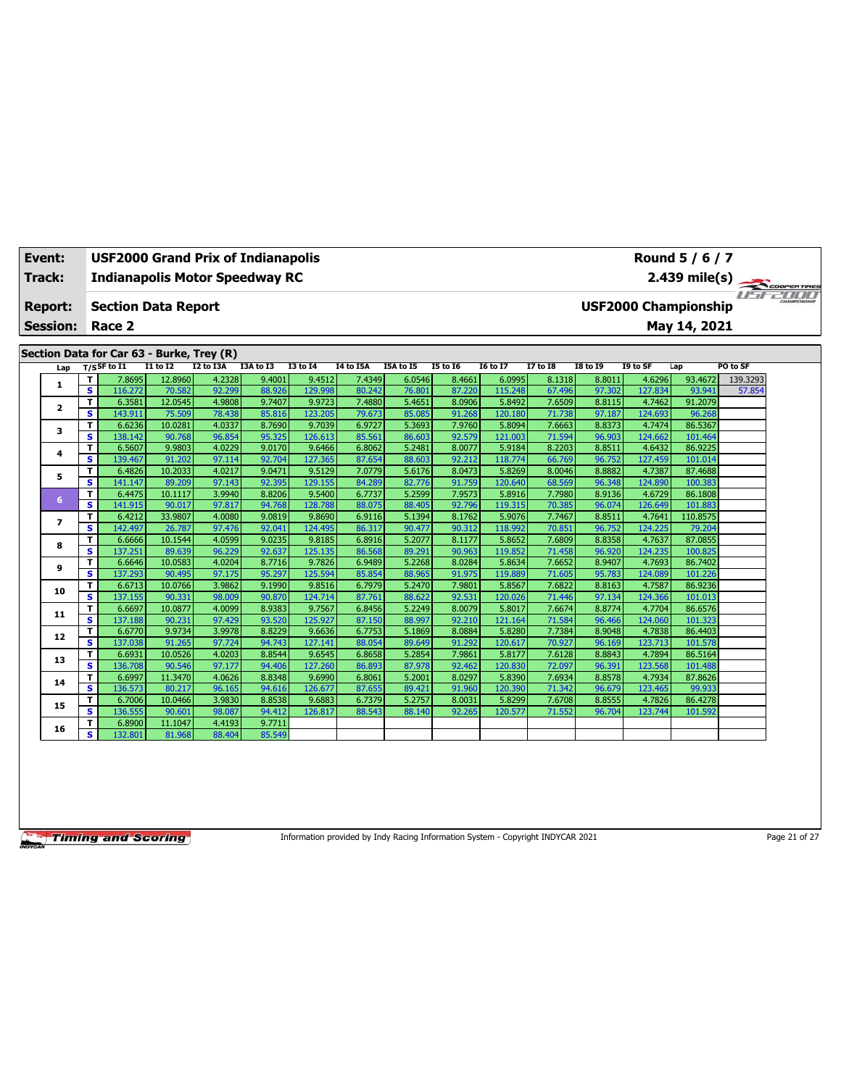| Event:                   | <b>USF2000 Grand Prix of Indianapolis</b><br><b>Indianapolis Motor Speedway RC</b> |                                           |                   |                  |                  |                   |                  |                  |                  |                   |                  |                  |                             | Round 5 / 6 / 7    |               |  |
|--------------------------|------------------------------------------------------------------------------------|-------------------------------------------|-------------------|------------------|------------------|-------------------|------------------|------------------|------------------|-------------------|------------------|------------------|-----------------------------|--------------------|---------------|--|
| Track:                   |                                                                                    |                                           |                   |                  |                  |                   |                  |                  |                  |                   |                  |                  |                             |                    |               |  |
| <b>Report:</b>           |                                                                                    | <b>Section Data Report</b>                |                   |                  |                  |                   |                  |                  |                  |                   |                  |                  | <b>USF2000 Championship</b> |                    | 2.439 mile(s) |  |
| <b>Session:</b>          |                                                                                    | Race 2                                    |                   |                  |                  |                   |                  |                  |                  |                   |                  |                  |                             | May 14, 2021       |               |  |
|                          |                                                                                    | Section Data for Car 63 - Burke, Trey (R) |                   |                  |                  |                   |                  |                  |                  |                   |                  |                  |                             |                    |               |  |
| Lap                      |                                                                                    | $T/S$ SF to I1                            | I1 to I2          | I2 to I3A        | I3A to I3        | <b>I3 to 14</b>   | I4 to I5A        | I5A to I5        | <b>I5 to 16</b>  | <b>I6 to I7</b>   | <b>I7 to I8</b>  | <b>I8 to 19</b>  | I9 to SF                    | Lap                | PO to SF      |  |
|                          | т                                                                                  | 7.8695                                    | 12.8960           | 4.2328           | 9.4001           | 9.4512            | 7.4349           | 6.0546           | 8.4661           | 6.0995            | 8.1318           | 8.8011           | 4.6296                      | 93.4672            | 139.3293      |  |
| 1.                       | $\overline{\mathbf{s}}$                                                            | 116.272                                   | 70.582            | 92.299           | 88.926           | 129.998           | 80.242           | 76.801           | 87.220           | 115,248           | 67.496           | 97.302           | 127.834                     | 93.941             | 57.854        |  |
| 2                        | T                                                                                  | 6.3581                                    | 12.0545           | 4.9808           | 9.7407           | 9.9723            | 7.4880           | 5.4651           | 8.0906           | 5.8492            | 7.6509           | 8.8115           | 4.7462                      | 91.2079            |               |  |
|                          | s                                                                                  | 143.911                                   | 75.509            | 78.438           | 85.816           | 123.205           | 79.673           | 85.085           | 91.268           | 120.180           | 71.738           | 97.187           | 124.693                     | 96.268             |               |  |
| 3                        | т                                                                                  | 6.6236                                    | 10.0281           | 4.0337           | 8.7690           | 9.7039            | 6.9727           | 5.3693           | 7.9760           | 5.8094            | 7.6663           | 8.8373           | 4.7474                      | 86.5367            |               |  |
|                          | s                                                                                  | 138.142                                   | 90.768            | 96.854           | 95.325           | 126,613           | 85.561           | 86.603           | 92.579           | 121.003           | 71.594           | 96.903           | 124.662                     | 101.464            |               |  |
| 4                        | т                                                                                  | 6.5607                                    | 9.9803            | 4.0229           | 9.0170           | 9.6466            | 6.8062           | 5.2481           | 8.0077           | 5.9184            | 8.2203           | 8.8511           | 4.6432                      | 86.9225            |               |  |
|                          | s                                                                                  | 139.467                                   | 91.202            | 97.114           | 92.704           | 127.365           | 87.654           | 88.603           | 92.212           | 118.774           | 66.769           | 96.752           | 127.459                     | 101.014            |               |  |
| 5                        | т                                                                                  | 6.4826                                    | 10.2033           | 4.0217           | 9.0471           | 9.5129            | 7.0779           | 5.6176           | 8.0473           | 5.8269            | 8.0046           | 8.8882           | 4.7387                      | 87.4688            |               |  |
|                          | s                                                                                  | 141.147                                   | 89.209            | 97.143           | 92.395           | 129.155           | 84.289           | 82.776           | 91.759           | 120.640           | 68.569           | 96.348           | 124.890                     | 100.383            |               |  |
| 6                        | T                                                                                  | 6.4475                                    | 10.1117           | 3.9940           | 8.8206           | 9.5400            | 6.7737           | 5.2599           | 7.9573           | 5.8916            | 7.7980           | 8.9136           | 4.6729                      | 86.1808            |               |  |
|                          | s                                                                                  | 141.915                                   | 90.017            | 97.817           | 94.768           | 128,788           | 88.075           | 88.405           | 92.796           | 119.315           | 70.385           | 96.074           | 126.649                     | 101.883            |               |  |
| $\overline{\phantom{a}}$ | т                                                                                  | 6.4212                                    | 33.9807           | 4.0080           | 9.0819           | 9.8690            | 6.9116           | 5.1394           | 8.1762           | 5.9076            | 7.7467           | 8.8511           | 4.7641                      | 110.8575           |               |  |
|                          | s                                                                                  | 142.497                                   | 26.787            | 97.476           | 92.041           | 124.495           | 86.317           | 90.477           | 90.312<br>8.1177 | 118.992           | 70.851           | 96.752           | 124.225<br>4.7637           | 79.204             |               |  |
| 8                        | т<br>s                                                                             | 6.6666<br>137.251                         | 10.1544<br>89.639 | 4.0599<br>96.229 | 9.0235<br>92.637 | 9.8185<br>125.135 | 6.8916<br>86.568 | 5.2077<br>89.291 | 90.963           | 5.8652<br>119,852 | 7.6809<br>71.458 | 8.8358<br>96.920 | 124.235                     | 87.0855<br>100.825 |               |  |
|                          | T                                                                                  | 6.6646                                    | 10.0583           | 4.0204           | 8.7716           | 9.7826            | 6.9489           | 5.2268           | 8.0284           | 5.8634            | 7.6652           | 8.9407           | 4.7693                      | 86.7402            |               |  |
| 9                        | $\overline{\mathbf{s}}$                                                            | 137.293                                   | 90.495            | 97.175           | 95.297           | 125.594           | 85.854           | 88.965           | 91.975           | 119.889           | 71.605           | 95.783           | 124.089                     | 101.226            |               |  |
|                          | т                                                                                  | 6.6713                                    | 10.0766           | 3.9862           | 9.1990           | 9.8516            | 6.7979           | 5.2470           | 7.9801           | 5.8567            | 7.6822           | 8.8163           | 4.7587                      | 86.9236            |               |  |
| 10                       | s                                                                                  | 137.155                                   | 90.331            | 98.009           | 90.870           | 124,714           | 87.761           | 88.622           | 92.531           | 120.026           | 71.446           | 97.134           | 124.366                     | 101.013            |               |  |
|                          | т                                                                                  | 6.6697                                    | 10.0877           | 4.0099           | 8.9383           | 9.7567            | 6.8456           | 5.2249           | 8.0079           | 5.8017            | 7.6674           | 8.8774           | 4.7704                      | 86.6576            |               |  |
| 11                       | s                                                                                  | 137.188                                   | 90.231            | 97.429           | 93.520           | 125.927           | 87.150           | 88.997           | 92.210           | 121.164           | 71.584           | 96.466           | 124.060                     | 101.323            |               |  |
|                          | т                                                                                  | 6.6770                                    | 9.9734            | 3.9978           | 8.8229           | 9.6636            | 6.7753           | 5.1869           | 8.0884           | 5.8280            | 7.7384           | 8.9048           | 4.7838                      | 86.4403            |               |  |
| 12                       | s                                                                                  | 137.038                                   | 91.265            | 97.724           | 94.743           | 127.141           | 88.054           | 89.649           | 91.292           | 120.617           | 70.927           | 96.169           | 123.713                     | 101.578            |               |  |
|                          | T                                                                                  | 6.6931                                    | 10.0526           | 4.0203           | 8.8544           | 9.6545            | 6.8658           | 5.2854           | 7.9861           | 5.8177            | 7.6128           | 8.8843           | 4.7894                      | 86.5164            |               |  |
| 13                       | s                                                                                  | 136.708                                   | 90.546            | 97.177           | 94.406           | 127.260           | 86.893           | 87.978           | 92.462           | 120.830           | 72.097           | 96.391           | 123.568                     | 101.488            |               |  |
| 14                       | т                                                                                  | 6.6997                                    | 11.3470           | 4.0626           | 8.8348           | 9.6990            | 6.8061           | 5.2001           | 8.0297           | 5.8390            | 7.6934           | 8.8578           | 4.7934                      | 87.8626            |               |  |
|                          | s                                                                                  | 136.573                                   | 80.217            | 96.165           | 94.616           | 126.677           | 87.655           | 89.421           | 91.960           | 120.390           | 71.342           | 96.679           | 123.465                     | 99.933             |               |  |
| 15                       | т                                                                                  | 6.7006                                    | 10.0466           | 3.9830           | 8.8538           | 9.6883            | 6.7379           | 5.2757           | 8.0031           | 5.8299            | 7.6708           | 8.8555           | 4.7826                      | 86.4278            |               |  |
|                          | s                                                                                  | 136.555                                   | 90.601            | 98.087           | 94.412           | 126.817           | 88.543           | 88.140           | 92.265           | 120.577           | 71.552           | 96.704           | 123.744                     | 101.592            |               |  |
| 16                       | T.                                                                                 | 6.8900                                    | 11.1047           | 4.4193           | 9.7711           |                   |                  |                  |                  |                   |                  |                  |                             |                    |               |  |
|                          | s                                                                                  | 132.801                                   | 81.968            | 88.404           | 85.549           |                   |                  |                  |                  |                   |                  |                  |                             |                    |               |  |

Information provided by Indy Racing Information System - Copyright INDYCAR 2021 Page 21 of 27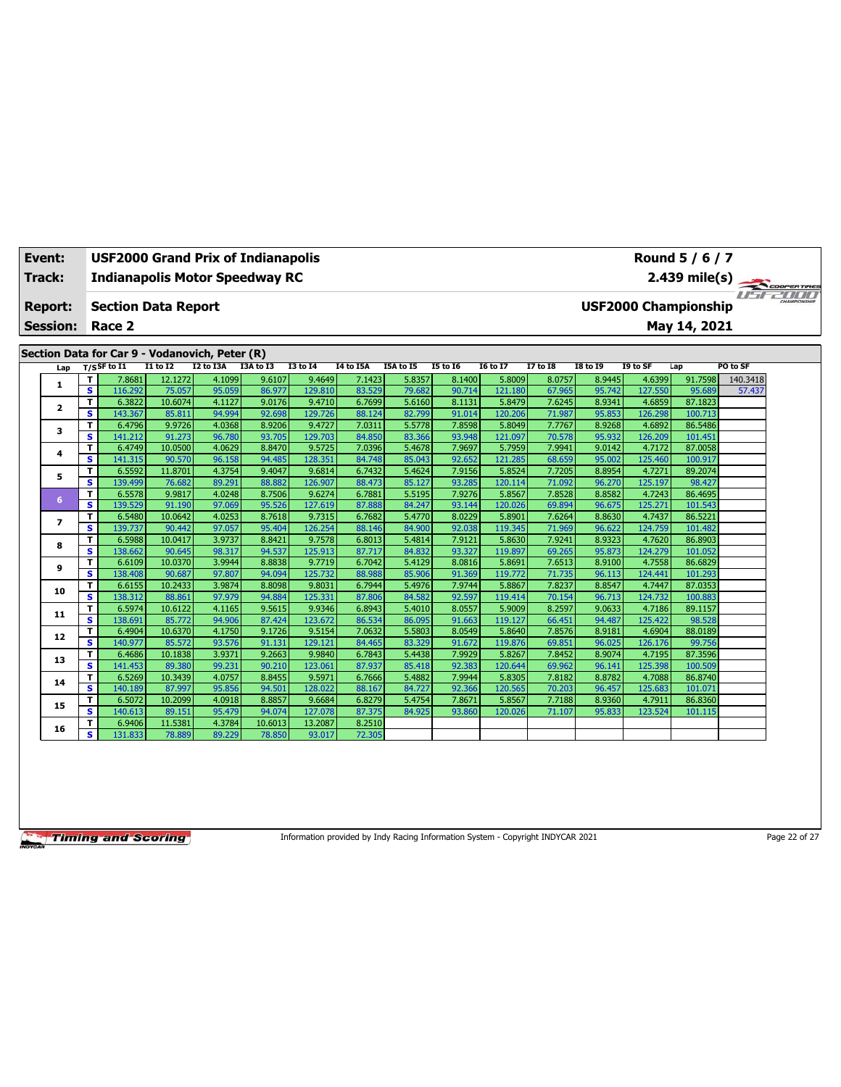| Event:          | <b>USF2000 Grand Prix of Indianapolis</b><br>Round 5 / 6 / 7<br>2.439 mile(s)<br><b>Indianapolis Motor Speedway RC</b> |                                                |                   |                  |                  |                   |                  |                  |                  |                   |                  |                  |                   |                             |          |  |
|-----------------|------------------------------------------------------------------------------------------------------------------------|------------------------------------------------|-------------------|------------------|------------------|-------------------|------------------|------------------|------------------|-------------------|------------------|------------------|-------------------|-----------------------------|----------|--|
| Track:          |                                                                                                                        |                                                |                   |                  |                  |                   |                  |                  |                  |                   |                  |                  |                   |                             |          |  |
| <b>Report:</b>  |                                                                                                                        | <b>Section Data Report</b>                     |                   |                  |                  |                   |                  |                  |                  |                   |                  |                  |                   | <b>USF2000 Championship</b> |          |  |
| <b>Session:</b> |                                                                                                                        | Race 2                                         |                   |                  |                  |                   |                  |                  |                  |                   |                  |                  |                   | May 14, 2021                |          |  |
|                 |                                                                                                                        |                                                |                   |                  |                  |                   |                  |                  |                  |                   |                  |                  |                   |                             |          |  |
|                 |                                                                                                                        | Section Data for Car 9 - Vodanovich, Peter (R) |                   |                  |                  |                   |                  |                  |                  |                   |                  |                  |                   |                             |          |  |
|                 |                                                                                                                        | $T/S$ SF to I1                                 | <b>I1 to I2</b>   | I2 to I3A        | I3A to I3        | <b>I3 to 14</b>   | <b>I4 to I5A</b> | I5A to I5        | <b>I5 to 16</b>  | <b>I6 to I7</b>   | <b>I7 to I8</b>  | <b>I8 to I9</b>  | I9 to SF          | Lap                         | PO to SF |  |
| Lap             | т                                                                                                                      | 7.8681                                         | 12.1272           | 4.1099           | 9.6107           | 9.4649            | 7.1423           | 5.8357           | 8.1400           | 5.8009            | 8.0757           | 8.9445           | 4.6399            | 91.7598                     | 140.3418 |  |
| 1               | s                                                                                                                      | 116.292                                        | 75.057            | 95.059           | 86.977           | 129.810           | 83.529           | 79.682           | 90.714           | 121.180           | 67.965           | 95.742           | 127.550           | 95.689                      | 57.437   |  |
|                 | т                                                                                                                      | 6.3822                                         | 10.6074           | 4.1127           | 9.0176           | 9.4710            | 6.7699           | 5.6160           | 8.1131           | 5.8479            | 7.6245           | 8.9341           | 4.6859            | 87.1823                     |          |  |
| $\mathbf{z}$    | s                                                                                                                      | 143.367                                        | 85.811            | 94.994           | 92.698           | 129.726           | 88.124           | 82.799           | 91.014           | 120,206           | 71.987           | 95.853           | 126.298           | 100.713                     |          |  |
|                 | т                                                                                                                      | 6.4796                                         | 9.9726            | 4.0368           | 8.9206           | 9.4727            | 7.0311           | 5.5778           | 7.8598           | 5.8049            | 7.7767           | 8.9268           | 4.6892            | 86.5486                     |          |  |
| 3               | s                                                                                                                      | 141.212                                        | 91.273            | 96.780           | 93.705           | 129.703           | 84.850           | 83.366           | 93.948           | 121.097           | 70.578           | 95.932           | 126.209           | 101.451                     |          |  |
| 4               | T                                                                                                                      | 6.4749                                         | 10.0500           | 4.0629           | 8.8470           | 9.5725            | 7.0396           | 5.4678           | 7.9697           | 5.7959            | 7.9941           | 9.0142           | 4.7172            | 87.0058                     |          |  |
|                 | s                                                                                                                      | 141.315                                        | 90.570            | 96.158           | 94.485           | 128.351           | 84.748           | 85.043           | 92.652           | 121.285           | 68.659           | 95.002           | 125.460           | 100.917                     |          |  |
| 5               | T                                                                                                                      | 6.5592                                         | 11.8701           | 4.3754           | 9.4047           | 9.6814            | 6.7432           | 5.4624           | 7.9156           | 5.8524            | 7.7205           | 8.8954           | 4.7271            | 89.2074                     |          |  |
|                 | s                                                                                                                      | 139.499                                        | 76.682            | 89.291           | 88.882           | 126.907           | 88.473           | 85.127           | 93.285           | 120.114           | 71.092           | 96.270           | 125.197           | 98.427                      |          |  |
| 6               | т                                                                                                                      | 6.5578                                         | 9.9817            | 4.0248           | 8.7506           | 9.6274            | 6.7881           | 5.5195           | 7.9276           | 5.8567            | 7.8528           | 8.8582           | 4.7243            | 86.4695                     |          |  |
|                 | S                                                                                                                      | 139.529                                        | 91.190            | 97.069           | 95.526           | 127.619           | 87.888           | 84.247           | 93.144           | 120.026           | 69.894           | 96.675           | 125.271           | 101.543                     |          |  |
| $\overline{ }$  | T                                                                                                                      | 6.5480                                         | 10.0642           | 4.0253           | 8.7618           | 9.7315            | 6.7682           | 5.4770           | 8.0229           | 5.8901            | 7.6264           | 8.8630           | 4.7437            | 86.5221                     |          |  |
|                 | s                                                                                                                      | 139.737                                        | 90.442            | 97.057           | 95.404           | 126.254           | 88.146           | 84.900           | 92.038           | 119.345           | 71.969           | 96.622           | 124.759           | 101.482                     |          |  |
| 8               | T                                                                                                                      | 6.5988                                         | 10.0417           | 3.9737           | 8.8421           | 9.7578            | 6.8013           | 5.4814           | 7.9121           | 5.8630            | 7.9241           | 8.9323           | 4.7620            | 86.8903                     |          |  |
|                 | s                                                                                                                      | 138.662                                        | 90.645            | 98.317           | 94.537           | 125.913           | 87.717           | 84.832           | 93.327           | 119.897           | 69.265           | 95.873           | 124.279           | 101.052                     |          |  |
| 9               | T                                                                                                                      | 6.6109                                         | 10.0370           | 3.9944           | 8.8838           | 9.7719            | 6.7042           | 5.4129           | 8.0816           | 5.8691            | 7.6513           | 8.9100           | 4.7558            | 86.6829                     |          |  |
|                 | s                                                                                                                      | 138,408                                        | 90.687            | 97.807           | 94.094           | 125.732           | 88.988           | 85,906           | 91.369           | 119,772           | 71.735           | 96.113           | 124.441           | 101.293                     |          |  |
| 10              | т<br>s                                                                                                                 | 6.6155                                         | 10.2433           | 3.9874           | 8.8098           | 9.8031            | 6.7944           | 5.4976           | 7.9744<br>92.597 | 5.8867            | 7.8237           | 8.8547           | 4.7447            | 87.0353<br>100.883          |          |  |
|                 | т                                                                                                                      | 138.312<br>6.5974                              | 88.861<br>10.6122 | 97.979<br>4.1165 | 94.884<br>9.5615 | 125.331<br>9.9346 | 87.806<br>6.8943 | 84.582<br>5.4010 | 8.0557           | 119.414<br>5.9009 | 70.154<br>8.2597 | 96.713<br>9.0633 | 124.732<br>4.7186 | 89.1157                     |          |  |
| 11              | s                                                                                                                      | 138.691                                        | 85.772            | 94.906           | 87.424           | 123.672           | 86.534           | 86.095           | 91.663           | 119.127           | 66.451           | 94.487           | 125.422           | 98.528                      |          |  |
|                 | т                                                                                                                      | 6.4904                                         | 10.6370           | 4.1750           | 9.1726           | 9.5154            | 7.0632           | 5.5803           | 8.0549           | 5.8640            | 7.8576           | 8.9181           | 4.6904            | 88.0189                     |          |  |
| 12              | s                                                                                                                      | 140.977                                        | 85.572            | 93.576           | 91.131           | 129.121           | 84.465           | 83.329           | 91.672           | 119.876           | 69.851           | 96.025           | 126.176           | 99.756                      |          |  |
|                 | T                                                                                                                      | 6.4686                                         | 10.1838           | 3.9371           | 9.2663           | 9.9840            | 6.7843           | 5.4438           | 7.9929           | 5.8267            | 7.8452           | 8.9074           | 4.7195            | 87.3596                     |          |  |
| 13              | s                                                                                                                      | 141.453                                        | 89.380            | 99.231           | 90.210           | 123.061           | 87.937           | 85.418           | 92.383           | 120.644           | 69.962           | 96.141           | 125.398           | 100.509                     |          |  |
|                 | т                                                                                                                      | 6.5269                                         | 10.3439           | 4.0757           | 8.8455           | 9.5971            | 6.7666           | 5.4882           | 7.9944           | 5.8305            | 7.8182           | 8.8782           | 4.7088            | 86.8740                     |          |  |
| 14              | s                                                                                                                      | 140.189                                        | 87.997            | 95.856           | 94.501           | 128,022           | 88.167           | 84.727           | 92.366           | 120.565           | 70.203           | 96.457           | 125.683           | 101.071                     |          |  |
|                 | T                                                                                                                      | 6.5072                                         | 10.2099           | 4.0918           | 8.8857           | 9.6684            | 6.8279           | 5.4754           | 7.8671           | 5.8567            | 7.7188           | 8.9360           | 4.7911            | 86.8360                     |          |  |
| 15              | s                                                                                                                      | 140.613                                        | 89.151            | 95.479           | 94.074           | 127.078           | 87.375           | 84.925           | 93.860           | 120.026           | 71.107           | 95.833           | 123.524           | 101.115                     |          |  |
|                 | т                                                                                                                      | 6.9406                                         | 11.5381           | 4.3784           | 10.6013          | 13.2087           | 8.2510           |                  |                  |                   |                  |                  |                   |                             |          |  |
| 16              | s                                                                                                                      | 131.833                                        | 78.889            | 89.229           | 78.850           | 93.017            | 72.305           |                  |                  |                   |                  |                  |                   |                             |          |  |

Information provided by Indy Racing Information System - Copyright INDYCAR 2021 Page 22 of 27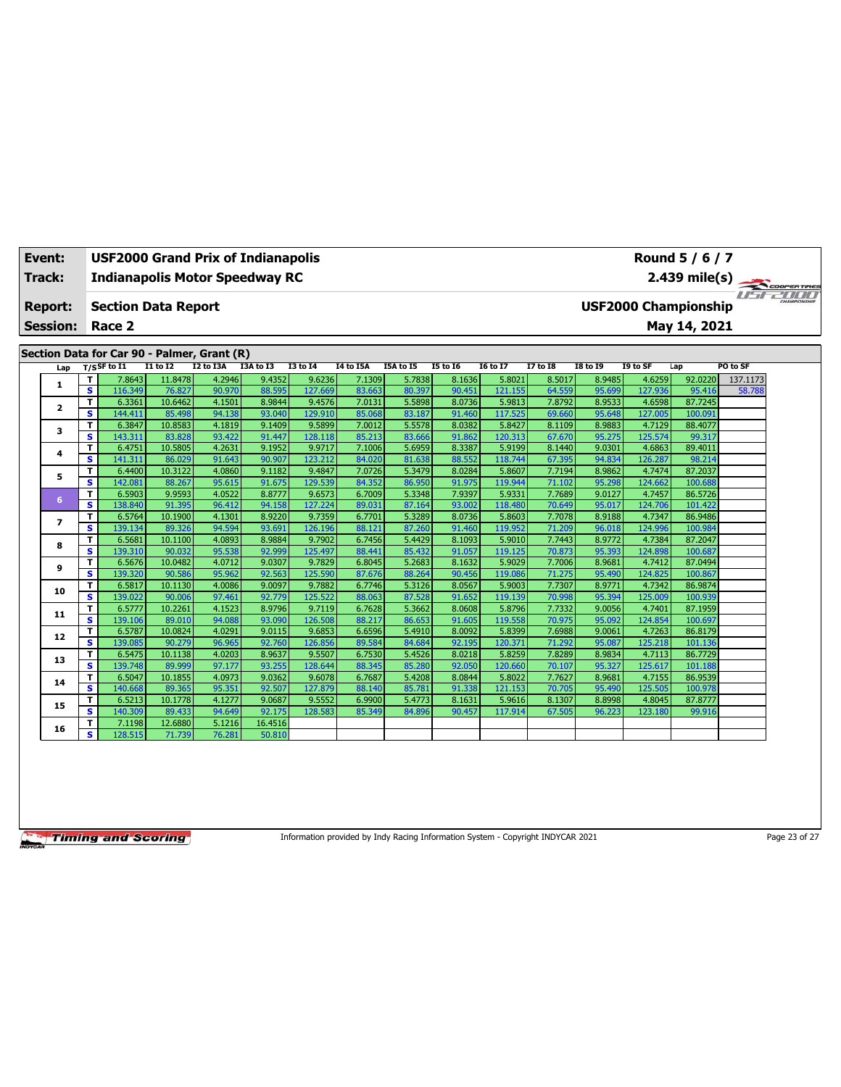| Event:                  |                         | <b>USF2000 Grand Prix of Indianapolis</b>   |                   |                  |                  |                   |                  |                  |                  |                   |                  |                  |                   | Round 5 / 6 / 7             |          |  |
|-------------------------|-------------------------|---------------------------------------------|-------------------|------------------|------------------|-------------------|------------------|------------------|------------------|-------------------|------------------|------------------|-------------------|-----------------------------|----------|--|
| <b>Track:</b>           |                         | <b>Indianapolis Motor Speedway RC</b>       |                   |                  |                  |                   |                  |                  |                  |                   |                  |                  |                   | 2.439 mile(s)               |          |  |
|                         |                         |                                             |                   |                  |                  |                   |                  |                  |                  |                   |                  |                  |                   |                             |          |  |
| <b>Report:</b>          |                         | <b>Section Data Report</b>                  |                   |                  |                  |                   |                  |                  |                  |                   |                  |                  |                   | <b>USF2000 Championship</b> |          |  |
| <b>Session:</b>         |                         | Race 2                                      |                   |                  |                  |                   |                  |                  |                  |                   |                  |                  |                   | May 14, 2021                |          |  |
|                         |                         |                                             |                   |                  |                  |                   |                  |                  |                  |                   |                  |                  |                   |                             |          |  |
|                         |                         | Section Data for Car 90 - Palmer, Grant (R) |                   |                  |                  |                   |                  |                  |                  |                   |                  |                  |                   |                             |          |  |
| Lap                     |                         | $T/S$ SF to $I1$                            | <b>I1 to I2</b>   | <b>I2 to I3A</b> | I3A to I3        | <b>I3 to 14</b>   | <b>I4 to I5A</b> | I5A to I5        | <b>I5 to 16</b>  | <b>I6 to I7</b>   | <b>I7 to I8</b>  | <b>I8 to 19</b>  | I9 to SF          | Lap                         | PO to SF |  |
| 1                       | T                       | 7.8643                                      | 11.8478           | 4.2946           | 9.4352           | 9.6236            | 7.1309           | 5.7838           | 8.1636           | 5.8021            | 8.5017           | 8.9485           | 4.6259            | 92.0220                     | 137.1173 |  |
|                         | s                       | 116.349                                     | 76.827            | 90.970           | 88.595           | 127.669           | 83.663           | 80.397           | 90.451           | 121.155           | 64.559           | 95.699           | 127.936           | 95.416                      | 58.788   |  |
| $\overline{\mathbf{2}}$ | T                       | 6.3361                                      | 10.6462           | 4.1501           | 8.9844           | 9.4576            | 7.0131           | 5.5898           | 8.0736           | 5.9813            | 7.8792           | 8.9533           | 4.6598            | 87.7245                     |          |  |
|                         | s.                      | 144.411                                     | 85.498            | 94.138           | 93.040           | 129.910           | 85.068           | 83.187           | 91.460           | 117.525           | 69.660           | 95.648           | 127.005           | 100.091                     |          |  |
| 3                       | T                       | 6.3847                                      | 10.8583           | 4.1819           | 9.1409           | 9.5899            | 7.0012           | 5.5578           | 8.0382           | 5.8427            | 8.1109           | 8.9883           | 4.7129            | 88.4077                     |          |  |
|                         | s                       | 143.311                                     | 83.828            | 93.422           | 91.447           | 128.118           | 85.213           | 83.666           | 91.862           | 120.313           | 67.670           | 95.275           | 125.574           | 99.317                      |          |  |
| 4                       | T                       | 6.4751                                      | 10.5805           | 4.2631           | 9.1952           | 9.9717            | 7.1006           | 5.6959           | 8.3387           | 5.9199            | 8.1440           | 9.0301           | 4.6863            | 89.4011                     |          |  |
|                         | S                       | 141.311                                     | 86.029            | 91.643           | 90.907           | 123.212           | 84.020           | 81.638           | 88.552           | 118.744           | 67.395           | 94.834           | 126.287           | 98.214                      |          |  |
| 5                       | т                       | 6.4400                                      | 10.3122           | 4.0860           | 9.1182           | 9.4847            | 7.0726           | 5.3479           | 8.0284           | 5.8607            | 7.7194           | 8.9862           | 4.7474            | 87.2037                     |          |  |
|                         | $\overline{\mathbf{s}}$ | 142.081                                     | 88.267            | 95.615           | 91.675           | 129.539           | 84.352           | 86.950           | 91.975           | 119.944           | 71.102           | 95.298           | 124.662           | 100.688                     |          |  |
| 6                       | T                       | 6.5903                                      | 9.9593            | 4.0522           | 8.8777           | 9.6573            | 6.7009           | 5.3348           | 7.9397           | 5.9331            | 7.7689           | 9.0127           | 4.7457            | 86.5726                     |          |  |
|                         | s                       | 138.840                                     | 91.395            | 96.412           | 94.158           | 127.224           | 89.031           | 87.164           | 93.002           | 118,480           | 70.649           | 95.017           | 124.706           | 101.422                     |          |  |
| $\overline{ }$          | т                       | 6.5764                                      | 10.1900           | 4.1301           | 8.9220           | 9.7359            | 6.7701           | 5.3289           | 8.0736           | 5.8603            | 7.7078           | 8.9188           | 4.7347            | 86.9486                     |          |  |
|                         | s.                      | 139.134                                     | 89.326            | 94.594           | 93.691           | 126.196           | 88.121           | 87.260           | 91.460           | 119.952           | 71.209           | 96.018           | 124.996           | 100.984                     |          |  |
| 8                       | T                       | 6.5681                                      | 10.1100           | 4.0893           | 8.9884           | 9.7902            | 6.7456           | 5.4429           | 8.1093           | 5.9010            | 7.7443           | 8.9772           | 4.7384            | 87.2047                     |          |  |
|                         | S                       | 139.310                                     | 90.032            | 95.538           | 92.999           | 125.497           | 88.441           | 85.432           | 91.057           | 119.125           | 70.873           | 95.393           | 124.898           | 100.687                     |          |  |
| 9                       | T                       | 6.5676                                      | 10.0482           | 4.0712           | 9.0307           | 9.7829            | 6.8045           | 5.2683           | 8.1632           | 5.9029            | 7.7006           | 8.9681           | 4.7412            | 87.0494                     |          |  |
|                         | s                       | 139.320                                     | 90.586            | 95.962           | 92.563           | 125.590           | 87.676           | 88.264           | 90.456           | 119.086           | 71.275           | 95.490           | 124.825           | 100.867                     |          |  |
| 10                      | T<br>s.                 | 6.5817                                      | 10.1130           | 4.0086           | 9.0097<br>92,779 | 9.7882<br>125,522 | 6.7746           | 5.3126<br>87.528 | 8.0567<br>91.652 | 5.9003            | 7.7307           | 8.9771           | 4.7342            | 86.9874<br>100.939          |          |  |
|                         |                         | 139.022                                     | 90.006            | 97.461           |                  |                   | 88.063           |                  |                  | 119.139           | 70.998           | 95.394           | 125.009           |                             |          |  |
| 11                      | T<br>s                  | 6.5777<br>139.106                           | 10.2261<br>89.010 | 4.1523<br>94.088 | 8.9796<br>93.090 | 9.7119<br>126.508 | 6.7628<br>88.217 | 5.3662<br>86.653 | 8.0608<br>91.605 | 5.8796<br>119.558 | 7.7332<br>70.975 | 9.0056<br>95.092 | 4.7401<br>124.854 | 87.1959<br>100.697          |          |  |
|                         | T                       | 6.5787                                      | 10.0824           | 4.0291           | 9.0115           | 9.6853            | 6.6596           | 5.4910           | 8.0092           | 5.8399            | 7.6988           | 9.0061           | 4.7263            | 86.8179                     |          |  |
| 12                      | S                       | 139.085                                     | 90.279            | 96.965           | 92.760           | 126.856           | 89.584           | 84.684           | 92.195           | 120.37:           | 71.292           | 95.087           | 125.218           | 101.136                     |          |  |
|                         | T                       | 6.5475                                      | 10.1138           | 4.0203           | 8.9637           | 9.5507            | 6.7530           | 5.4526           | 8.0218           | 5.8259            | 7.8289           | 8.9834           | 4.7113            | 86.7729                     |          |  |
| 13                      | S                       | 139.748                                     | 89.999            | 97.177           | 93.255           | 128.644           | 88.345           | 85.280           | 92.050           | 120.660           | 70.107           | 95.327           | 125.617           | 101.188                     |          |  |
|                         | т                       | 6.5047                                      | 10.1855           | 4.0973           | 9.0362           | 9.6078            | 6.7687           | 5.4208           | 8.0844           | 5.8022            | 7.7627           | 8.9681           | 4.7155            | 86.9539                     |          |  |
| 14                      | s                       | 140.668                                     | 89.365            | 95.351           | 92.507           | 127.879           | 88.140           | 85.781           | 91.338           | 121.153           | 70.705           | 95.490           | 125.505           | 100.978                     |          |  |
|                         | T                       | 6.5213                                      | 10.1778           | 4.1277           | 9.0687           | 9.5552            | 6.9900           | 5.4773           | 8.1631           | 5.9616            | 8.1307           | 8.8998           | 4.8045            | 87.8777                     |          |  |
| 15                      | s                       | 140.309                                     | 89.433            | 94.649           | 92.175           | 128.583           | 85.349           | 84.896           | 90.457           | 117.914           | 67.505           | 96.223           | 123.180           | 99.916                      |          |  |
|                         | T                       | 7.1198                                      | 12.6880           | 5.1216           | 16.4516          |                   |                  |                  |                  |                   |                  |                  |                   |                             |          |  |
| 16                      | s.                      | 128.515                                     | 71.739            | 76.281           | 50.810           |                   |                  |                  |                  |                   |                  |                  |                   |                             |          |  |
|                         |                         |                                             |                   |                  |                  |                   |                  |                  |                  |                   |                  |                  |                   |                             |          |  |

Information provided by Indy Racing Information System - Copyright INDYCAR 2021 Page 23 of 27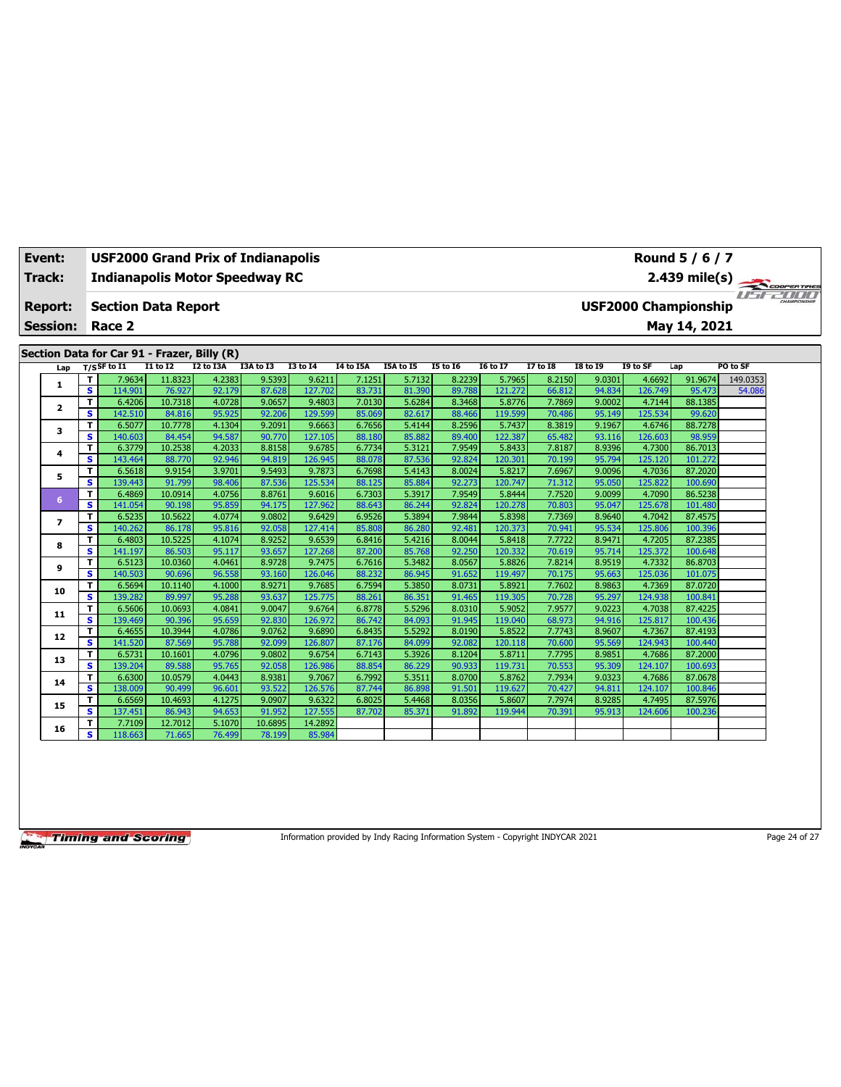| Event:                            |                |                                                                                                                       |                   |                   | USF2000 Grand Prix of Indianapolis          |                  |                   |                  |                  |                  |                   |                  |                  |                   | Round 5 / 6 / 7    |             |  |
|-----------------------------------|----------------|-----------------------------------------------------------------------------------------------------------------------|-------------------|-------------------|---------------------------------------------|------------------|-------------------|------------------|------------------|------------------|-------------------|------------------|------------------|-------------------|--------------------|-------------|--|
| Track:                            |                | <b>Indianapolis Motor Speedway RC</b><br>$2.439$ mile(s)<br><b>USF2000 Championship</b><br><b>Section Data Report</b> |                   |                   |                                             |                  |                   |                  |                  |                  |                   |                  |                  |                   |                    | COOPERTIRES |  |
| <b>Report:</b><br><b>Session:</b> |                | Race 2                                                                                                                |                   |                   |                                             |                  |                   |                  |                  |                  |                   |                  |                  |                   | May 14, 2021       |             |  |
|                                   |                |                                                                                                                       |                   |                   | Section Data for Car 91 - Frazer, Billy (R) |                  |                   |                  |                  |                  |                   |                  |                  |                   |                    |             |  |
|                                   | Lap            | $T/S$ SF to $I1$                                                                                                      |                   | I1 to I2          | <b>I2 to I3A</b>                            | I3A to I3        | <b>I3 to I4</b>   | I4 to I5A        | I5A to I5        | <b>I5 to 16</b>  | <b>I6 to I7</b>   | <b>I7 to I8</b>  | <b>I8 to 19</b>  | I9 to SF          | Lap                | PO to SF    |  |
|                                   | 1              | т                                                                                                                     | 7.9634            | 11.8323           | 4.2383                                      | 9.5393           | 9.6211            | 7.1251           | 5.7132           | 8.2239           | 5.7965            | 8.2150           | 9.0301           | 4.6692            | 91.9674            | 149.0353    |  |
|                                   |                | $\overline{\mathbf{s}}$                                                                                               | 114.901           | 76.927            | 92.179                                      | 87.628           | 127,702           | 83.731           | 81.390           | 89.788           | 121.272           | 66.812           | 94.834           | 126.749           | 95.473             | 54.086      |  |
|                                   | 2              | т                                                                                                                     | 6.4206            | 10.7318           | 4.0728                                      | 9.0657           | 9.4803            | 7.0130           | 5.6284           | 8.3468           | 5.8776            | 7.7869           | 9.0002           | 4.7144            | 88.1385            |             |  |
|                                   |                | s                                                                                                                     | 142.510           | 84.816            | 95.925                                      | 92.206           | 129.599           | 85.069           | 82.617           | 88.466           | 119.599           | 70.486           | 95.149           | 125.534           | 99.620             |             |  |
|                                   | 3              | T                                                                                                                     | 6.5077            | 10.7778           | 4.1304                                      | 9.2091           | 9.6663            | 6.7656           | 5.4144           | 8.2596           | 5.7437            | 8.3819           | 9.1967           | 4.6746            | 88,7278            |             |  |
|                                   |                | s                                                                                                                     | 140.603           | 84.454            | 94.587                                      | 90.770           | 127.105           | 88.180           | 85.882           | 89.400           | 122.387           | 65.482           | 93.116           | 126.603           | 98.959             |             |  |
|                                   | 4              | т                                                                                                                     | 6.3779            | 10.2538           | 4.2033                                      | 8.8158           | 9.6785            | 6.7734           | 5.3121           | 7.9549           | 5.8433            | 7.8187           | 8.9396           | 4.7300            | 86.7013            |             |  |
|                                   |                | s                                                                                                                     | 143.464           | 88.770            | 92.946                                      | 94.819           | 126.945           | 88.078           | 87.536           | 92.824           | 120.301           | 70.199           | 95.794           | 125.120           | 101.272            |             |  |
|                                   | 5              | т                                                                                                                     | 6.5618            | 9.9154            | 3.9701                                      | 9.5493           | 9.7873            | 6.7698           | 5.4143           | 8.0024           | 5.8217            | 7.6967           | 9.0096           | 4.7036            | 87.2020            |             |  |
|                                   |                | s                                                                                                                     | 139.443           | 91.799            | 98.406                                      | 87.536           | 125.534           | 88.125           | 85.884           | 92.273           | 120.747           | 71.312           | 95.050           | 125.822           | 100.690            |             |  |
|                                   | 6              | т<br>s                                                                                                                | 6.4869<br>141.054 | 10.0914<br>90.198 | 4.0756<br>95.859                            | 8.8761<br>94.175 | 9.6016            | 6.7303           | 5.3917<br>86.244 | 7.9549<br>92.824 | 5.8444<br>120.278 | 7.7520           | 9.0099<br>95.047 | 4.7090<br>125.678 | 86.5238<br>101.480 |             |  |
|                                   |                |                                                                                                                       | 6.5235            | 10.5622           | 4.0774                                      |                  | 127.962           | 88.643           | 5.3894           | 7.9844           |                   | 70.803<br>7.7369 |                  |                   |                    |             |  |
|                                   | $\overline{ }$ | T<br>s                                                                                                                | 140.262           | 86.178            | 95.816                                      | 9.0802<br>92.058 | 9.6429<br>127.414 | 6.9526<br>85.808 | 86.280           | 92.481           | 5.8398<br>120.373 | 70.941           | 8.9640<br>95.534 | 4.7042<br>125.806 | 87.4575<br>100.396 |             |  |
|                                   |                | T                                                                                                                     | 6.4803            | 10.5225           | 4.1074                                      | 8.9252           | 9.6539            | 6.8416           | 5.4216           | 8.0044           | 5.8418            | 7.7722           | 8.9471           | 4.7205            | 87.2385            |             |  |
|                                   | 8              | s                                                                                                                     | 141.197           | 86.503            | 95.117                                      | 93.657           | 127.268           | 87.200           | 85.768           | 92.250           | 120.332           | 70.619           | 95.714           | 125.372           | 100.648            |             |  |
|                                   |                | T                                                                                                                     | 6.5123            | 10.0360           | 4.0461                                      | 8.9728           | 9.7475            | 6.7616           | 5.3482           | 8.0567           | 5.8826            | 7.8214           | 8.9519           | 4.7332            | 86.8703            |             |  |
|                                   | 9              | s                                                                                                                     | 140.503           | 90.696            | 96.558                                      | 93.160           | 126.046           | 88.232           | 86.945           | 91.652           | 119.497           | 70.175           | 95.663           | 125.036           | 101.075            |             |  |
|                                   |                | т                                                                                                                     | 6.5694            | 10.1140           | 4.1000                                      | 8.9271           | 9.7685            | 6.7594           | 5.3850           | 8.0731           | 5.8921            | 7.7602           | 8.9863           | 4.7369            | 87.0720            |             |  |
|                                   | 10             | s                                                                                                                     | 139.282           | 89.997            | 95.288                                      | 93.637           | 125,775           | 88.261           | 86.351           | 91.465           | 119.305           | 70.728           | 95.297           | 124.938           | 100.841            |             |  |
|                                   |                | T                                                                                                                     | 6.5606            | 10.0693           | 4.0841                                      | 9.0047           | 9.6764            | 6.8778           | 5.5296           | 8.0310           | 5.9052            | 7.9577           | 9.0223           | 4.7038            | 87.4225            |             |  |
|                                   | 11             | s                                                                                                                     | 139.469           | 90.396            | 95.659                                      | 92.830           | 126.972           | 86.742           | 84.093           | 91.945           | 119.040           | 68.973           | 94.916           | 125.817           | 100.436            |             |  |
|                                   |                | т                                                                                                                     | 6.4655            | 10.3944           | 4.0786                                      | 9.0762           | 9.6890            | 6.8435           | 5.5292           | 8.0190           | 5.8522            | 7.7743           | 8.9607           | 4.7367            | 87.4193            |             |  |
|                                   | 12             | s                                                                                                                     | 141.520           | 87.569            | 95.788                                      | 92.099           | 126.807           | 87.176           | 84.099           | 92.082           | 120.118           | 70.600           | 95.569           | 124.943           | 100.440            |             |  |
|                                   |                | T                                                                                                                     | 6.5731            | 10.1601           | 4.0796                                      | 9.0802           | 9.6754            | 6.7143           | 5.3926           | 8.1204           | 5.8711            | 7.7795           | 8.9851           | 4.7686            | 87.2000            |             |  |
|                                   | 13             | s                                                                                                                     | 139.204           | 89.588            | 95.765                                      | 92.058           | 126.986           | 88.854           | 86.229           | 90.933           | 119.731           | 70.553           | 95.309           | 124.107           | 100.693            |             |  |
|                                   | 14             | т                                                                                                                     | 6.6300            | 10.0579           | 4.0443                                      | 8.9381           | 9.7067            | 6.7992           | 5.3511           | 8.0700           | 5.8762            | 7.7934           | 9.0323           | 4.7686            | 87.0678            |             |  |
|                                   |                | s                                                                                                                     | 138.009           | 90.499            | 96.601                                      | 93.522           | 126.576           | 87.744           | 86.898           | 91.501           | 119.627           | 70.427           | 94.811           | 124.107           | 100.846            |             |  |
|                                   | 15             | T                                                                                                                     | 6.6569            | 10.4693           | 4.1275                                      | 9.0907           | 9.6322            | 6.8025           | 5.4468           | 8.0356           | 5.8607            | 7.7974           | 8.9285           | 4.7495            | 87.5976            |             |  |
|                                   |                | s                                                                                                                     | 137.451           | 86.943            | 94.653                                      | 91.952           | 127.555           | 87.702           | 85.371           | 91.892           | 119.944           | 70.391           | 95.913           | 124.606           | 100.236            |             |  |
|                                   | 16             | T                                                                                                                     | 7.7109            | 12.7012           | 5.1070                                      | 10.6895          | 14.2892           |                  |                  |                  |                   |                  |                  |                   |                    |             |  |
|                                   |                | s                                                                                                                     | 118.663           | 71.665            | 76.499                                      | 78.199           | 85.984            |                  |                  |                  |                   |                  |                  |                   |                    |             |  |

Information provided by Indy Racing Information System - Copyright INDYCAR 2021 Page 24 of 27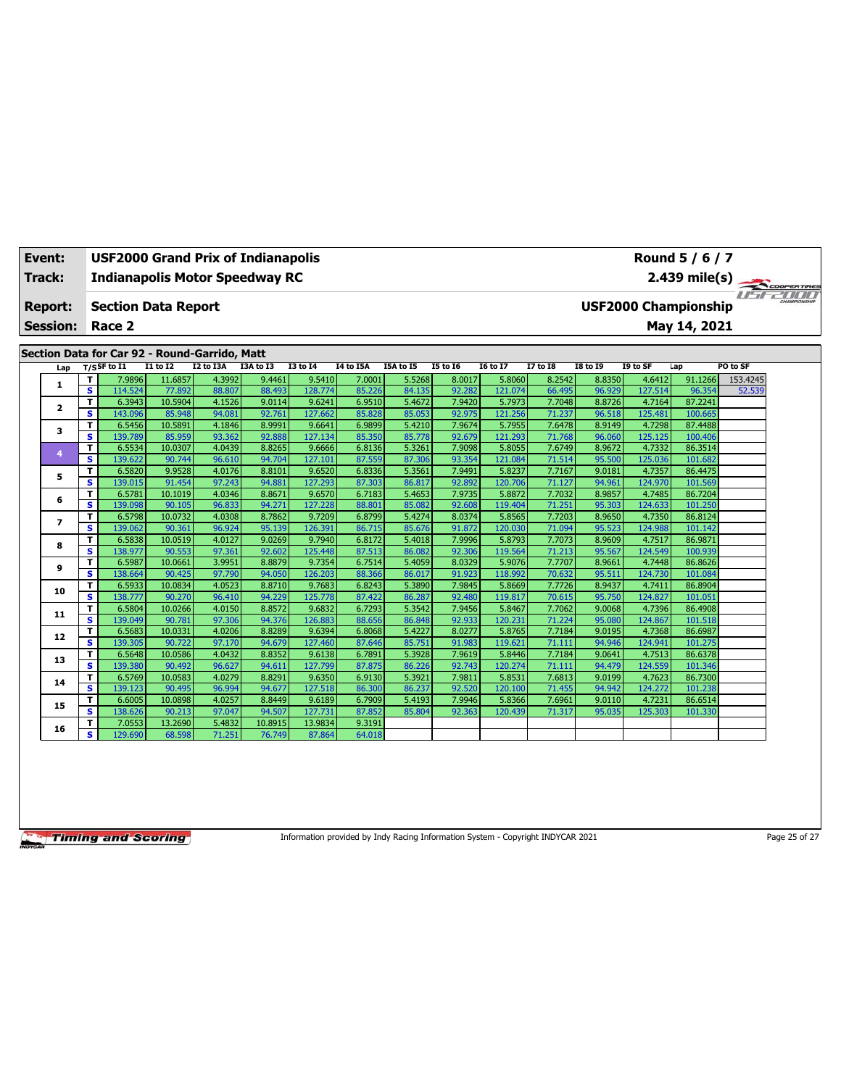| Event:<br>Track:                              |     |        | USF2000 Grand Prix of Indianapolis<br><b>Indianapolis Motor Speedway RC</b> |                   |                  |                  |                                             |                  |                  |                  |                   |                  |                  |                   | Round 5 / 6 / 7<br>$2.439$ mile(s)<br>COOPERTIRES |          |  |  |  |  |
|-----------------------------------------------|-----|--------|-----------------------------------------------------------------------------|-------------------|------------------|------------------|---------------------------------------------|------------------|------------------|------------------|-------------------|------------------|------------------|-------------------|---------------------------------------------------|----------|--|--|--|--|
|                                               |     |        |                                                                             |                   |                  |                  |                                             |                  |                  |                  |                   |                  |                  |                   |                                                   |          |  |  |  |  |
| <b>Report:</b><br><b>Session:</b>             |     |        | <b>Section Data Report</b><br>Race 2                                        |                   |                  |                  | <b>USF2000 Championship</b><br>May 14, 2021 |                  |                  |                  |                   |                  |                  |                   |                                                   |          |  |  |  |  |
| Section Data for Car 92 - Round-Garrido, Matt |     |        |                                                                             |                   |                  |                  |                                             |                  |                  |                  |                   |                  |                  |                   |                                                   |          |  |  |  |  |
|                                               | Lap |        | $T/S$ SF to $I1$                                                            | I1 to I2          | I2 to I3A        | I3A to I3        | <b>I3 to I4</b>                             | I4 to I5A        | I5A to I5        | <b>I5 to 16</b>  | <b>I6 to I7</b>   | <b>I7 to I8</b>  | <b>I8 to 19</b>  | I9 to SF          | Lap                                               | PO to SF |  |  |  |  |
|                                               | 1   | т      | 7.9896                                                                      | 11.6857           | 4.3992           | 9.4461           | 9.5410                                      | 7.0001           | 5.5268           | 8.0017           | 5.8060            | 8.2542           | 8.8350           | 4.6412            | 91.1266                                           | 153.4245 |  |  |  |  |
|                                               |     | s      | 114.524                                                                     | 77.892            | 88.807           | 88.493           | 128.774                                     | 85.226           | 84.135           | 92.282           | 121.074           | 66.495           | 96.929           | 127.514           | 96.354                                            | 52.539   |  |  |  |  |
|                                               | 2   | т      | 6.3943                                                                      | 10.5904           | 4.1526           | 9.0114           | 9.6241                                      | 6.9510           | 5.4672           | 7.9420           | 5.7973            | 7.7048           | 8.8726           | 4.7164            | 87.2241                                           |          |  |  |  |  |
|                                               |     | s      | 143.096                                                                     | 85.948            | 94.081           | 92.761           | 127.662                                     | 85.828           | 85.053           | 92.975           | 121.256           | 71.237           | 96.518           | 125.481           | 100.665                                           |          |  |  |  |  |
|                                               | з   | T      | 6.5456                                                                      | 10.5891           | 4.1846           | 8.9991           | 9.6641                                      | 6.9899           | 5.4210           | 7.9674           | 5.7955            | 7.6478           | 8.9149           | 4.7298            | 87.4488                                           |          |  |  |  |  |
|                                               |     | s      | 139.789                                                                     | 85.959            | 93.362           | 92.888           | 127.134                                     | 85.350           | 85.778           | 92.679           | 121.293           | 71.768           | 96.060           | 125.125           | 100.406                                           |          |  |  |  |  |
|                                               | 4   | T      | 6.5534                                                                      | 10.0307           | 4.0439           | 8.8265           | 9.6666                                      | 6.8136           | 5.3261           | 7.9098           | 5.8055            | 7.6749           | 8.9672           | 4.7332            | 86.3514                                           |          |  |  |  |  |
|                                               |     | s      | 139.622                                                                     | 90.744            | 96.610           | 94.704           | 127.101                                     | 87.559           | 87.306           | 93.354           | 121.084           | 71.514           | 95.500           | 125.036           | 101.682                                           |          |  |  |  |  |
|                                               | 5   | т      | 6.5820                                                                      | 9.9528            | 4.0176           | 8.8101           | 9.6520                                      | 6.8336           | 5.3561           | 7.9491           | 5.8237            | 7.7167           | 9.0181           | 4.7357            | 86.4475                                           |          |  |  |  |  |
|                                               |     | s      | 139.015<br>6.5781                                                           | 91.454<br>10.1019 | 97.243<br>4.0346 | 94.881<br>8.8671 | 127.293<br>9.6570                           | 87.303<br>6.7183 | 86.817<br>5.4653 | 92.892<br>7.9735 | 120.706<br>5.8872 | 71.127<br>7.7032 | 94.961<br>8.9857 | 124.970<br>4.7485 | 101.569<br>86.7204                                |          |  |  |  |  |
|                                               | 6   | т<br>s | 139.098                                                                     | 90.105            | 96.833           | 94.271           | 127.228                                     | 88.801           | 85.082           | 92.608           | 119.404           | 71.251           | 95.303           | 124.633           | 101.250                                           |          |  |  |  |  |
|                                               | 7   |        | 6.5798                                                                      | 10.0732           | 4.0308           | 8.7862           | 9.7209                                      |                  | 5.4274           | 8.0374           | 5.8565            | 7.7203           | 8.9650           | 4.7350            | 86.8124                                           |          |  |  |  |  |
|                                               |     | т<br>s | 139.062                                                                     | 90.361            | 96.924           | 95.139           | 126.391                                     | 6.8799<br>86.715 | 85.676           | 91.872           | 120.030           | 71.094           | 95.523           | 124.988           | 101.142                                           |          |  |  |  |  |
|                                               | 8   | т      | 6.5838                                                                      | 10.0519           | 4.0127           | 9.0269           | 9.7940                                      | 6.8172           | 5.4018           | 7.9996           | 5.8793            | 7.7073           | 8.9609           | 4.7517            | 86.9871                                           |          |  |  |  |  |
|                                               |     | s      | 138.977                                                                     | 90.553            | 97.361           | 92.602           | 125.448                                     | 87.513           | 86.082           | 92.306           | 119.564           | 71.213           | 95.567           | 124.549           | 100.939                                           |          |  |  |  |  |
|                                               | 9   | T      | 6.5987                                                                      | 10.0661           | 3.9951           | 8.8879           | 9.7354                                      | 6.7514           | 5.4059           | 8.0329           | 5.9076            | 7.7707           | 8.9661           | 4.7448            | 86.8626                                           |          |  |  |  |  |
|                                               |     | s      | 138.664                                                                     | 90.425            | 97.790           | 94.050           | 126.203                                     | 88.366           | 86.017           | 91.923           | 118.992           | 70.632           | 95.511           | 124.730           | 101.084                                           |          |  |  |  |  |
|                                               |     | т      | 6.5933                                                                      | 10.0834           | 4.0523           | 8.8710           | 9.7683                                      | 6.8243           | 5.3890           | 7.9845           | 5.8669            | 7.7726           | 8.9437           | 4.7411            | 86.8904                                           |          |  |  |  |  |
|                                               | 10  | s      | 138,777                                                                     | 90.270            | 96.410           | 94.229           | 125.778                                     | 87.422           | 86.287           | 92.480           | 119.817           | 70.615           | 95.750           | 124.827           | 101.051                                           |          |  |  |  |  |
|                                               |     | T      | 6.5804                                                                      | 10.0266           | 4.0150           | 8.8572           | 9.6832                                      | 6.7293           | 5.3542           | 7.9456           | 5.8467            | 7.7062           | 9.0068           | 4.7396            | 86.4908                                           |          |  |  |  |  |
|                                               | 11  | s      | 139.049                                                                     | 90.781            | 97.306           | 94.376           | 126.883                                     | 88.656           | 86.848           | 92.933           | 120.231           | 71.224           | 95.080           | 124.867           | 101.518                                           |          |  |  |  |  |
|                                               |     | т      | 6.5683                                                                      | 10.0331           | 4.0206           | 8.8289           | 9.6394                                      | 6.8068           | 5.4227           | 8.0277           | 5.8765            | 7.7184           | 9.0195           | 4.7368            | 86.6987                                           |          |  |  |  |  |
|                                               | 12  | s      | 139.305                                                                     | 90.722            | 97.170           | 94.679           | 127.460                                     | 87.646           | 85.751           | 91.983           | 119.621           | 71.111           | 94.946           | 124.941           | 101.275                                           |          |  |  |  |  |
|                                               |     | T      | 6.5648                                                                      | 10.0586           | 4.0432           | 8.8352           | 9.6138                                      | 6.7891           | 5.3928           | 7.9619           | 5.8446            | 7.7184           | 9.0641           | 4.7513            | 86.6378                                           |          |  |  |  |  |
|                                               | 13  | s      | 139.380                                                                     | 90.492            | 96.627           | 94.611           | 127.799                                     | 87.875           | 86.226           | 92.743           | 120.274           | 71.111           | 94.479           | 124.559           | 101.346                                           |          |  |  |  |  |
|                                               | 14  | т      | 6.5769                                                                      | 10.0583           | 4.0279           | 8.8291           | 9.6350                                      | 6.9130           | 5.3921           | 7.9811           | 5.8531            | 7.6813           | 9.0199           | 4.7623            | 86.7300                                           |          |  |  |  |  |
|                                               |     | s      | 139.123                                                                     | 90.495            | 96.994           | 94.677           | 127.518                                     | 86.300           | 86.237           | 92.520           | 120.100           | 71.455           | 94.942           | 124.272           | 101.238                                           |          |  |  |  |  |
|                                               | 15  | т      | 6.6005                                                                      | 10.0898           | 4.0257           | 8.8449           | 9.6189                                      | 6.7909           | 5.4193           | 7.9946           | 5.8366            | 7.6961           | 9.0110           | 4.7231            | 86.6514                                           |          |  |  |  |  |
|                                               |     | s      | 138.626                                                                     | 90.213            | 97.047           | 94.507           | 127.731                                     | 87.852           | 85.804           | 92.363           | 120.439           | 71.317           | 95.035           | 125.303           | 101.330                                           |          |  |  |  |  |
|                                               | 16  | т      | 7.0553                                                                      | 13.2690           | 5.4832           | 10.8915          | 13.9834                                     | 9.3191           |                  |                  |                   |                  |                  |                   |                                                   |          |  |  |  |  |
|                                               |     | s      | 129.690                                                                     | 68.598            | 71.251           | 76.749           | 87.864                                      | 64.018           |                  |                  |                   |                  |                  |                   |                                                   |          |  |  |  |  |

Information provided by Indy Racing Information System - Copyright INDYCAR 2021 Page 25 of 27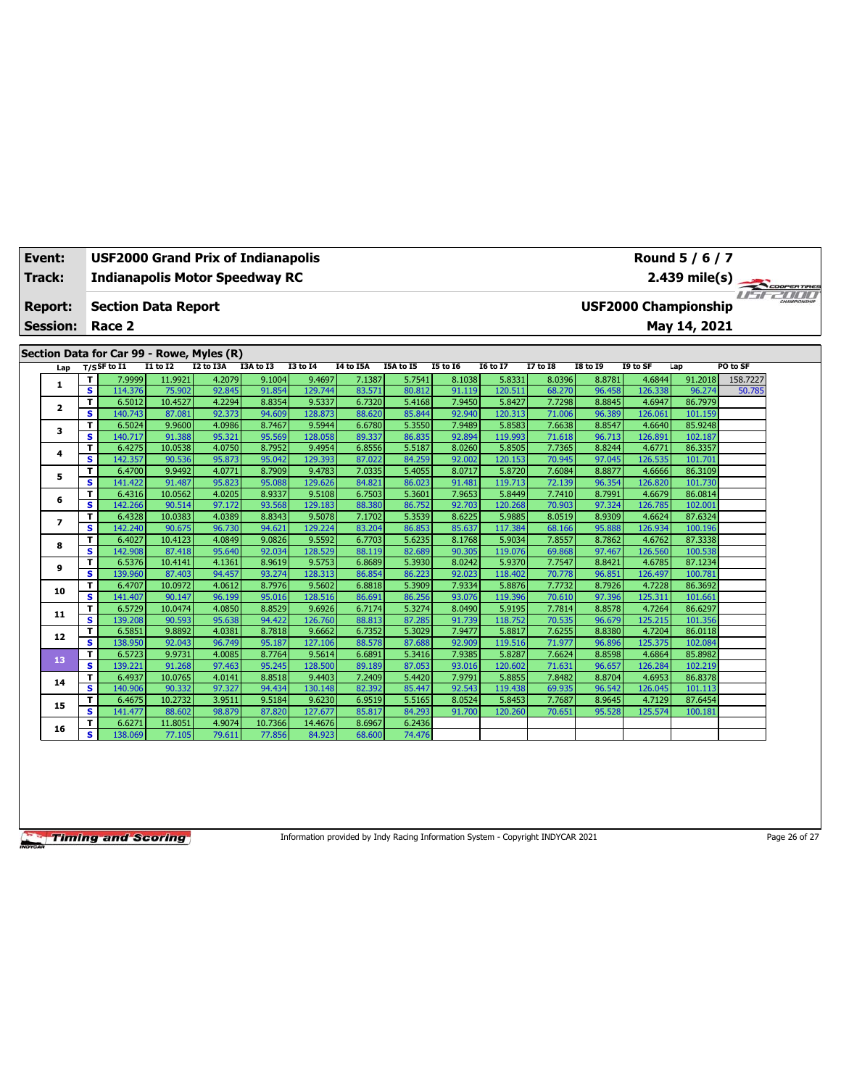| Event:                                    |                |                         | <b>USF2000 Grand Prix of Indianapolis</b> |                  |                  |                  |                   |                             |                  |                  |                   |                  |                  | Round 5 / 6 / 7   |                    |          |  |  |
|-------------------------------------------|----------------|-------------------------|-------------------------------------------|------------------|------------------|------------------|-------------------|-----------------------------|------------------|------------------|-------------------|------------------|------------------|-------------------|--------------------|----------|--|--|
| <b>Track:</b>                             |                |                         | <b>Indianapolis Motor Speedway RC</b>     |                  |                  |                  |                   |                             |                  |                  |                   |                  |                  |                   |                    |          |  |  |
|                                           |                |                         |                                           |                  |                  |                  | 2.439 mile(s)     |                             |                  |                  |                   |                  |                  |                   |                    |          |  |  |
| Report:                                   |                |                         | <b>Section Data Report</b>                |                  |                  |                  |                   | <b>USF2000 Championship</b> |                  |                  |                   |                  |                  |                   |                    |          |  |  |
| <b>Session:</b>                           |                |                         | Race 2                                    |                  |                  |                  |                   | May 14, 2021                |                  |                  |                   |                  |                  |                   |                    |          |  |  |
|                                           |                |                         |                                           |                  |                  |                  |                   |                             |                  |                  |                   |                  |                  |                   |                    |          |  |  |
| Section Data for Car 99 - Rowe, Myles (R) |                |                         |                                           |                  |                  |                  |                   |                             |                  |                  |                   |                  |                  |                   |                    |          |  |  |
|                                           | Lap            |                         | $T/S$ SF to I1                            | <b>I1 to I2</b>  | <b>I2 to I3A</b> | I3A to I3        | <b>I3 to 14</b>   | I4 to I5A                   | I5A to I5        | <b>I5 to 16</b>  | <b>16 to 17</b>   | 17 to 18         | <b>18 to 19</b>  | I9 to SF          | Lap                | PO to SF |  |  |
|                                           | 1              | т                       | 7.9999                                    | 11.9921          | 4.2079           | 9.1004           | 9.4697            | 7.1387                      | 5.7541           | 8.1038           | 5.8331            | 8.0396           | 8.8781           | 4.6844            | 91.2018            | 158.7227 |  |  |
|                                           |                | $\overline{\mathbf{s}}$ | 114.376                                   | 75,902           | 92.845           | 91.854           | 129.744           | 83.571                      | 80.812           | 91.119           | 120.511           | 68.270           | 96.458           | 126.338           | 96.274             | 50.785   |  |  |
|                                           | $\mathbf{2}$   | T.                      | 6.5012                                    | 10.4527          | 4.2294           | 8.8354           | 9.5337            | 6.7320                      | 5.4168           | 7.9450           | 5.8427            | 7.7298           | 8.8845           | 4.6947            | 86.7979            |          |  |  |
|                                           |                | s                       | 140.743                                   | 87.081           | 92.373           | 94.609           | 128.873           | 88.620                      | 85.844           | 92.940           | 120.313           | 71.006           | 96.389           | 126.061           | 101.159            |          |  |  |
|                                           | 3              | т<br>s                  | 6.5024<br>140.717                         | 9.9600<br>91.388 | 4.0986<br>95.321 | 8.7467<br>95.569 | 9.5944<br>128.058 | 6.6780<br>89.337            | 5.3550<br>86.835 | 7.9489<br>92.894 | 5.8583<br>119.993 | 7.6638<br>71.618 | 8.8547<br>96.713 | 4.6640<br>126.891 | 85.9248<br>102.187 |          |  |  |
|                                           |                | т                       | 6.4275                                    | 10.0538          | 4.0750           | 8.7952           | 9.4954            | 6.8556                      | 5.5187           | 8.0260           | 5.8505            | 7.7365           | 8.8244           | 4.6771            | 86.3357            |          |  |  |
|                                           | 4              | s.                      | 142.357                                   | 90.536           | 95.873           | 95.042           | 129.393           | 87.022                      | 84.259           | 92.002           | 120.153           | 70.945           | 97.045           | 126.535           | 101.701            |          |  |  |
|                                           |                | т                       | 6.4700                                    | 9.9492           | 4.0771           | 8.7909           | 9.4783            | 7.0335                      | 5.4055           | 8.0717           | 5.8720            | 7.6084           | 8.8877           | 4.6666            | 86.3109            |          |  |  |
|                                           | 5              | $\overline{\mathbf{s}}$ | 141.422                                   | 91.487           | 95.823           | 95.088           | 129.626           | 84.821                      | 86.023           | 91.481           | 119,713           | 72.139           | 96.354           | 126.820           | 101.730            |          |  |  |
|                                           | 6              | T                       | 6.4316                                    | 10.0562          | 4.0205           | 8.9337           | 9.5108            | 6.7503                      | 5.3601           | 7.9653           | 5.8449            | 7.7410           | 8.7991           | 4.6679            | 86.0814            |          |  |  |
|                                           |                | s.                      | 142.266                                   | 90.514           | 97.172           | 93.568           | 129.183           | 88.380                      | 86.752           | 92.703           | 120.268           | 70.903           | 97.324           | 126.785           | 102.001            |          |  |  |
|                                           | $\overline{ }$ | T                       | 6.4328                                    | 10.0383          | 4.0389           | 8.8343           | 9.5078            | 7.1702                      | 5.3539           | 8.6225           | 5.9885            | 8.0519           | 8.9309           | 4.6624            | 87.6324            |          |  |  |
|                                           |                | s.                      | 142.240                                   | 90.675           | 96.730           | 94.621           | 129.224           | 83.204                      | 86.853           | 85.637           | 117.384           | 68.166           | 95.888           | 126.934           | 100.196            |          |  |  |
|                                           | 8<br>9         | т                       | 6.4027                                    | 10.4123          | 4.0849           | 9.0826           | 9.5592            | 6.7703                      | 5.6235           | 8.1768           | 5.9034            | 7.8557           | 8.7862           | 4.6762            | 87.3338            |          |  |  |
|                                           |                | s                       | 142.908                                   | 87.418           | 95.640           | 92.034           | 128.529           | 88.119                      | 82.689           | 90.305           | 119.076           | 69.868           | 97.467           | 126.560           | 100.538            |          |  |  |
|                                           |                | T                       | 6.5376                                    | 10.4141          | 4.1361           | 8.9619           | 9.5753            | 6.8689                      | 5.3930           | 8.0242           | 5.9370            | 7.7547           | 8.8421           | 4.6785            | 87.1234            |          |  |  |
|                                           |                | s                       | 139.960                                   | 87.403           | 94.457           | 93.274           | 128.313           | 86.854                      | 86.223           | 92.023           | 118,402           | 70.778           | 96.851           | 126.497           | 100.781            |          |  |  |
|                                           | 10             | T                       | 6.4707                                    | 10.0972          | 4.0612           | 8.7976           | 9.5602            | 6.8818                      | 5.3909           | 7.9334           | 5.8876            | 7.7732           | 8.7926           | 4.7228            | 86.3692            |          |  |  |
|                                           |                | s                       | 141.407                                   | 90.147           | 96.199           | 95.016           | 128.516           | 86.691                      | 86.256           | 93.076           | 119.396           | 70.610           | 97.396           | 125.311           | 101.661            |          |  |  |
|                                           | 11             | T<br>s.                 | 6.5729<br>139.208                         | 10.0474          | 4.0850<br>95.638 | 8.8529<br>94.422 | 9.6926<br>126.760 | 6.7174<br>88.813            | 5.3274<br>87.285 | 8.0490<br>91.739 | 5.9195            | 7.7814           | 8.8578           | 4.7264<br>125.215 | 86.6297<br>101.356 |          |  |  |
|                                           |                | т                       | 6.5851                                    | 90.593<br>9.8892 | 4.0381           | 8.7818           | 9.6662            | 6.7352                      | 5.3029           | 7.9477           | 118,752<br>5.8817 | 70.535<br>7.6255 | 96.679<br>8.8380 | 4.7204            | 86.0118            |          |  |  |
|                                           | 12             | s.                      | 138.950                                   | 92.043           | 96.749           | 95.187           | 127.106           | 88.578                      | 87.688           | 92.909           | 119.516           | 71.977           | 96.896           | 125.375           | 102.084            |          |  |  |
|                                           |                | T                       | 6.5723                                    | 9.9731           | 4.0085           | 8.7764           | 9.5614            | 6.6891                      | 5.3416           | 7.9385           | 5.8287            | 7.6624           | 8.8598           | 4.6864            | 85.8982            |          |  |  |
|                                           | 13             | s                       | 139.221                                   | 91.268           | 97.463           | 95.245           | 128,500           | 89.189                      | 87.053           | 93.016           | 120.602           | 71.631           | 96.657           | 126.284           | 102.219            |          |  |  |
|                                           |                | т                       | 6.4937                                    | 10.0765          | 4.0141           | 8.8518           | 9.4403            | 7.2409                      | 5.4420           | 7.9791           | 5.8855            | 7.8482           | 8.8704           | 4.6953            | 86.8378            |          |  |  |
|                                           | 14             | s                       | 140.906                                   | 90.332           | 97.327           | 94.434           | 130.148           | 82.392                      | 85.447           | 92.543           | 119.438           | 69.935           | 96.542           | 126.045           | 101.113            |          |  |  |
|                                           |                | T                       | 6.4675                                    | 10.2732          | 3.9511           | 9.5184           | 9.6230            | 6.9519                      | 5.5165           | 8.0524           | 5.8453            | 7.7687           | 8.9645           | 4.7129            | 87.6454            |          |  |  |
|                                           | 15             | s                       | 141.477                                   | 88.602           | 98.879           | 87.820           | 127.677           | 85.817                      | 84.293           | 91.700           | 120.260           | 70.651           | 95.528           | 125.574           | 100.181            |          |  |  |
|                                           |                | т                       | 6.6271                                    | 11.8051          | 4.9074           | 10.7366          | 14.4676           | 8.6967                      | 6.2436           |                  |                   |                  |                  |                   |                    |          |  |  |
|                                           | 16             | s.                      | 138.069                                   | 77.105           | 79.611           | 77.856           | 84.923            | 68.600                      | 74.476           |                  |                   |                  |                  |                   |                    |          |  |  |

Information provided by Indy Racing Information System - Copyright INDYCAR 2021 Page 26 of 27